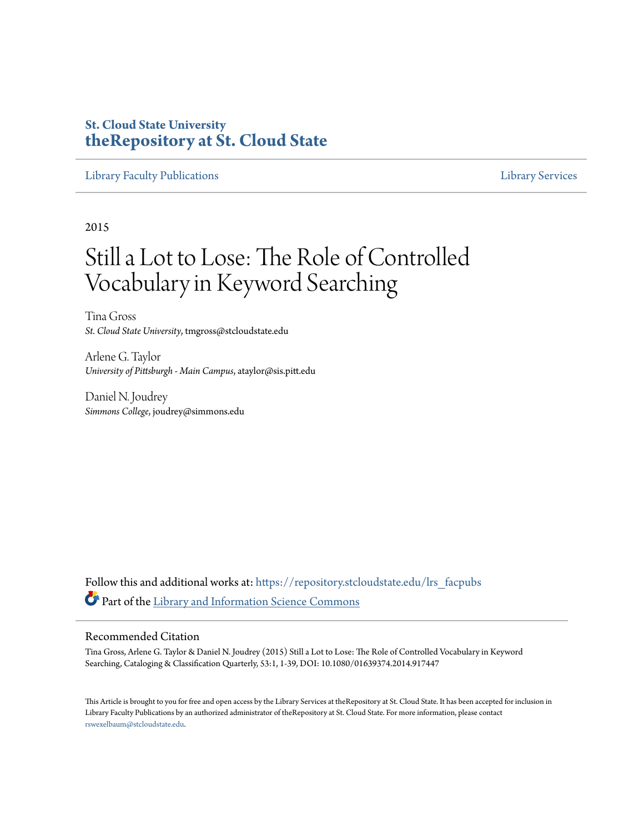# **St. Cloud State University [theRepository at St. Cloud State](https://repository.stcloudstate.edu?utm_source=repository.stcloudstate.edu%2Flrs_facpubs%2F45&utm_medium=PDF&utm_campaign=PDFCoverPages)**

[Library Faculty Publications](https://repository.stcloudstate.edu/lrs_facpubs?utm_source=repository.stcloudstate.edu%2Flrs_facpubs%2F45&utm_medium=PDF&utm_campaign=PDFCoverPages) [Library Services](https://repository.stcloudstate.edu/ls?utm_source=repository.stcloudstate.edu%2Flrs_facpubs%2F45&utm_medium=PDF&utm_campaign=PDFCoverPages)

2015

# Still a Lot to Lose: The Role of Controlled Vocabulary in Keyword Searching

Tina Gross *St. Cloud State University*, tmgross@stcloudstate.edu

Arlene G. Taylor *University of Pittsburgh - Main Campus*, ataylor@sis.pitt.edu

Daniel N. Joudrey *Simmons College*, joudrey@simmons.edu

Follow this and additional works at: [https://repository.stcloudstate.edu/lrs\\_facpubs](https://repository.stcloudstate.edu/lrs_facpubs?utm_source=repository.stcloudstate.edu%2Flrs_facpubs%2F45&utm_medium=PDF&utm_campaign=PDFCoverPages) Part of the [Library and Information Science Commons](http://network.bepress.com/hgg/discipline/1018?utm_source=repository.stcloudstate.edu%2Flrs_facpubs%2F45&utm_medium=PDF&utm_campaign=PDFCoverPages)

#### Recommended Citation

Tina Gross, Arlene G. Taylor & Daniel N. Joudrey (2015) Still a Lot to Lose: The Role of Controlled Vocabulary in Keyword Searching, Cataloging & Classification Quarterly, 53:1, 1-39, DOI: 10.1080/01639374.2014.917447

This Article is brought to you for free and open access by the Library Services at theRepository at St. Cloud State. It has been accepted for inclusion in Library Faculty Publications by an authorized administrator of theRepository at St. Cloud State. For more information, please contact [rswexelbaum@stcloudstate.edu](mailto:rswexelbaum@stcloudstate.edu).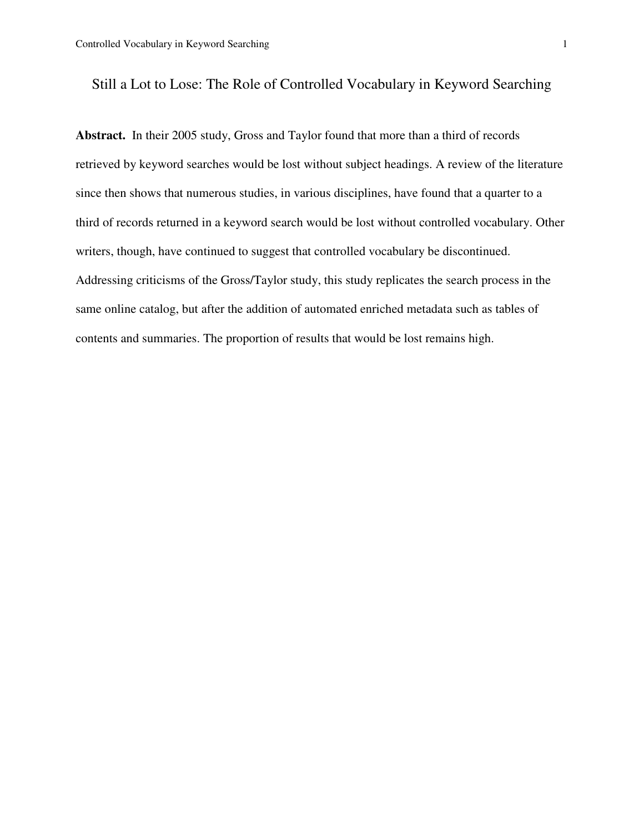# Still a Lot to Lose: The Role of Controlled Vocabulary in Keyword Searching

**Abstract.** In their 2005 study, Gross and Taylor found that more than a third of records retrieved by keyword searches would be lost without subject headings. A review of the literature since then shows that numerous studies, in various disciplines, have found that a quarter to a third of records returned in a keyword search would be lost without controlled vocabulary. Other writers, though, have continued to suggest that controlled vocabulary be discontinued. Addressing criticisms of the Gross/Taylor study, this study replicates the search process in the same online catalog, but after the addition of automated enriched metadata such as tables of contents and summaries. The proportion of results that would be lost remains high.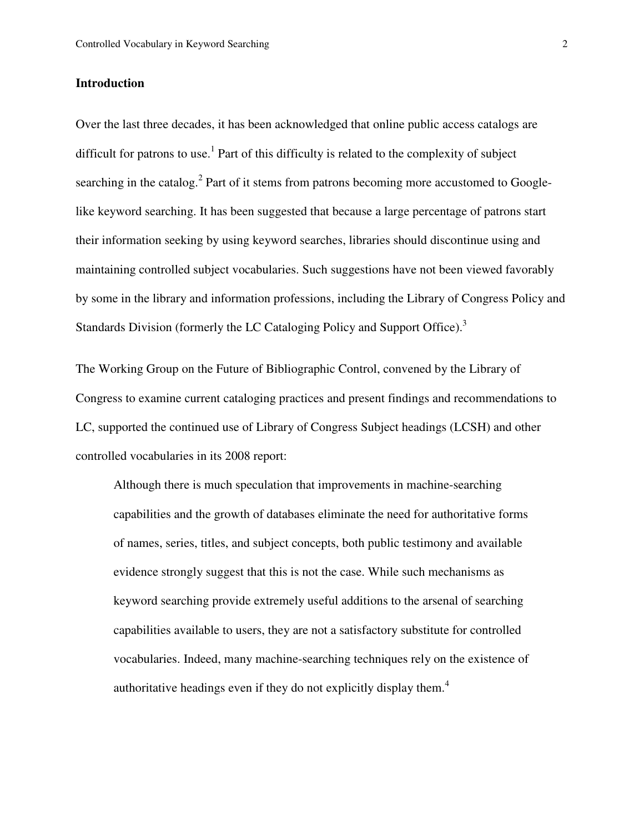#### **Introduction**

Over the last three decades, it has been acknowledged that online public access catalogs are difficult for patrons to use.<sup>1</sup> Part of this difficulty is related to the complexity of subject searching in the catalog.<sup>2</sup> Part of it stems from patrons becoming more accustomed to Googlelike keyword searching. It has been suggested that because a large percentage of patrons start their information seeking by using keyword searches, libraries should discontinue using and maintaining controlled subject vocabularies. Such suggestions have not been viewed favorably by some in the library and information professions, including the Library of Congress Policy and Standards Division (formerly the LC Cataloging Policy and Support Office).<sup>3</sup>

The Working Group on the Future of Bibliographic Control, convened by the Library of Congress to examine current cataloging practices and present findings and recommendations to LC, supported the continued use of Library of Congress Subject headings (LCSH) and other controlled vocabularies in its 2008 report:

Although there is much speculation that improvements in machine-searching capabilities and the growth of databases eliminate the need for authoritative forms of names, series, titles, and subject concepts, both public testimony and available evidence strongly suggest that this is not the case. While such mechanisms as keyword searching provide extremely useful additions to the arsenal of searching capabilities available to users, they are not a satisfactory substitute for controlled vocabularies. Indeed, many machine-searching techniques rely on the existence of authoritative headings even if they do not explicitly display them.<sup>4</sup>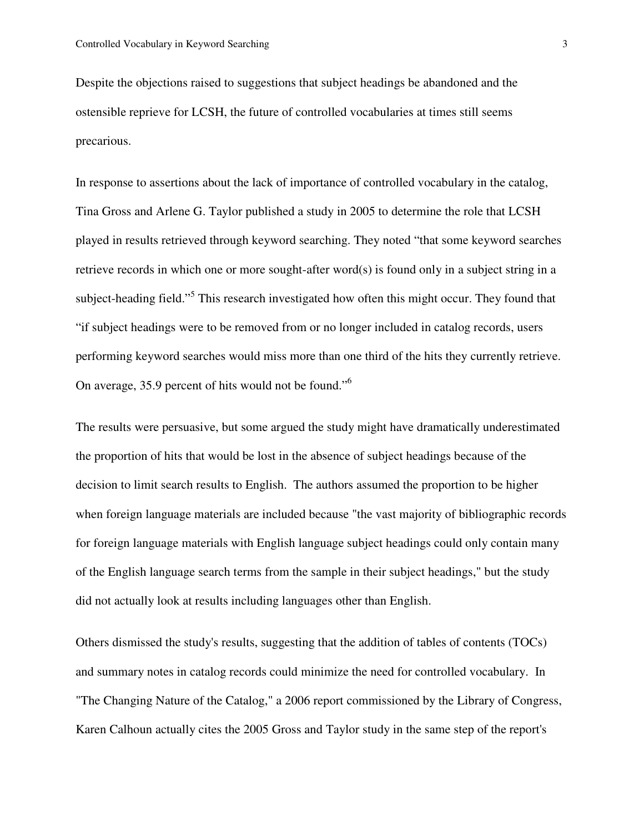Despite the objections raised to suggestions that subject headings be abandoned and the ostensible reprieve for LCSH, the future of controlled vocabularies at times still seems precarious.

In response to assertions about the lack of importance of controlled vocabulary in the catalog, Tina Gross and Arlene G. Taylor published a study in 2005 to determine the role that LCSH played in results retrieved through keyword searching. They noted "that some keyword searches retrieve records in which one or more sought-after word(s) is found only in a subject string in a subject-heading field."<sup>5</sup> This research investigated how often this might occur. They found that "if subject headings were to be removed from or no longer included in catalog records, users performing keyword searches would miss more than one third of the hits they currently retrieve. On average, 35.9 percent of hits would not be found."<sup>6</sup>

The results were persuasive, but some argued the study might have dramatically underestimated the proportion of hits that would be lost in the absence of subject headings because of the decision to limit search results to English. The authors assumed the proportion to be higher when foreign language materials are included because "the vast majority of bibliographic records for foreign language materials with English language subject headings could only contain many of the English language search terms from the sample in their subject headings," but the study did not actually look at results including languages other than English.

Others dismissed the study's results, suggesting that the addition of tables of contents (TOCs) and summary notes in catalog records could minimize the need for controlled vocabulary. In "The Changing Nature of the Catalog," a 2006 report commissioned by the Library of Congress, Karen Calhoun actually cites the 2005 Gross and Taylor study in the same step of the report's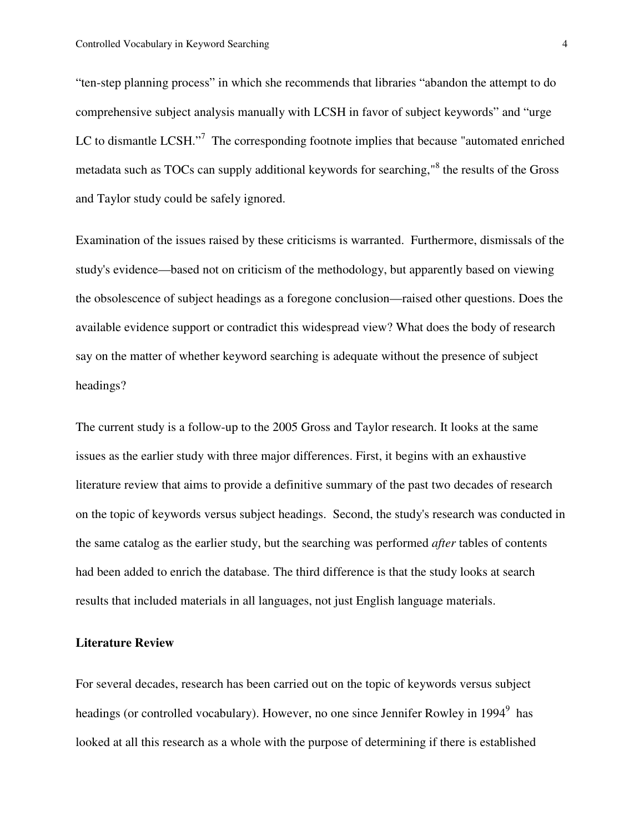"ten-step planning process" in which she recommends that libraries "abandon the attempt to do comprehensive subject analysis manually with LCSH in favor of subject keywords" and "urge LC to dismantle LCSH."<sup>7</sup> The corresponding footnote implies that because "automated enriched metadata such as TOCs can supply additional keywords for searching,"<sup>8</sup> the results of the Gross and Taylor study could be safely ignored.

Examination of the issues raised by these criticisms is warranted. Furthermore, dismissals of the study's evidence—based not on criticism of the methodology, but apparently based on viewing the obsolescence of subject headings as a foregone conclusion—raised other questions. Does the available evidence support or contradict this widespread view? What does the body of research say on the matter of whether keyword searching is adequate without the presence of subject headings?

The current study is a follow-up to the 2005 Gross and Taylor research. It looks at the same issues as the earlier study with three major differences. First, it begins with an exhaustive literature review that aims to provide a definitive summary of the past two decades of research on the topic of keywords versus subject headings. Second, the study's research was conducted in the same catalog as the earlier study, but the searching was performed *after* tables of contents had been added to enrich the database. The third difference is that the study looks at search results that included materials in all languages, not just English language materials.

#### **Literature Review**

For several decades, research has been carried out on the topic of keywords versus subject headings (or controlled vocabulary). However, no one since Jennifer Rowley in 1994<sup>9</sup> has looked at all this research as a whole with the purpose of determining if there is established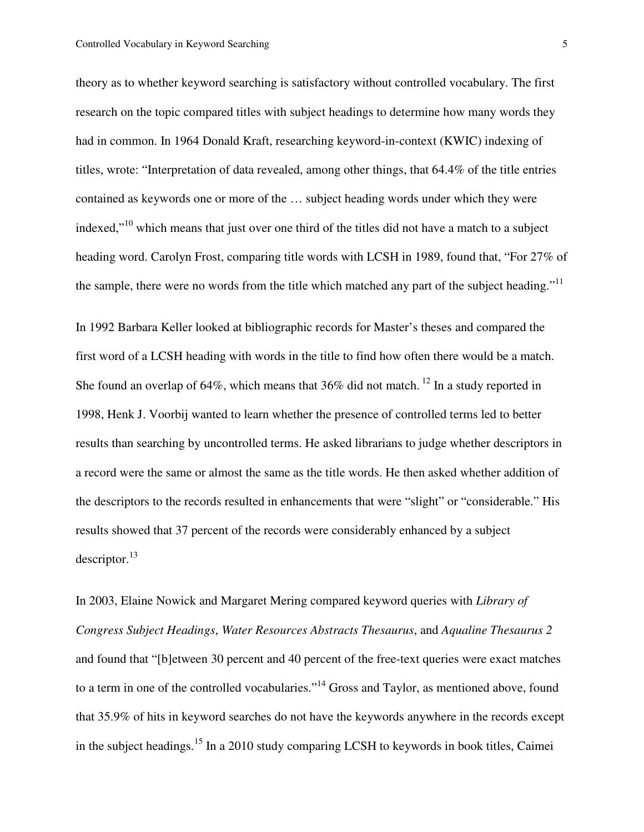theory as to whether keyword searching is satisfactory without controlled vocabulary. The first research on the topic compared titles with subject headings to determine how many words they had in common. In 1964 Donald Kraft, researching keyword-in-context (KWIC) indexing of titles, wrote: "Interpretation of data revealed, among other things, that 64.4% of the title entries contained as keywords one or more of the … subject heading words under which they were indexed,<sup>"10</sup> which means that just over one third of the titles did not have a match to a subject heading word. Carolyn Frost, comparing title words with LCSH in 1989, found that, "For 27% of the sample, there were no words from the title which matched any part of the subject heading."<sup>11</sup>

In 1992 Barbara Keller looked at bibliographic records for Master's theses and compared the first word of a LCSH heading with words in the title to find how often there would be a match. She found an overlap of 64%, which means that  $36\%$  did not match.<sup>12</sup> In a study reported in 1998, Henk J. Voorbij wanted to learn whether the presence of controlled terms led to better results than searching by uncontrolled terms. He asked librarians to judge whether descriptors in a record were the same or almost the same as the title words. He then asked whether addition of the descriptors to the records resulted in enhancements that were "slight" or "considerable." His results showed that 37 percent of the records were considerably enhanced by a subject descriptor.<sup>13</sup>

In 2003, Elaine Nowick and Margaret Mering compared keyword queries with *Library of Congress Subject Headings*, *Water Resources Abstracts Thesaurus*, and *Aqualine Thesaurus 2* and found that "[b]etween 30 percent and 40 percent of the free-text queries were exact matches to a term in one of the controlled vocabularies."<sup>14</sup> Gross and Taylor, as mentioned above, found that 35.9% of hits in keyword searches do not have the keywords anywhere in the records except in the subject headings.<sup>15</sup> In a 2010 study comparing LCSH to keywords in book titles, Caimei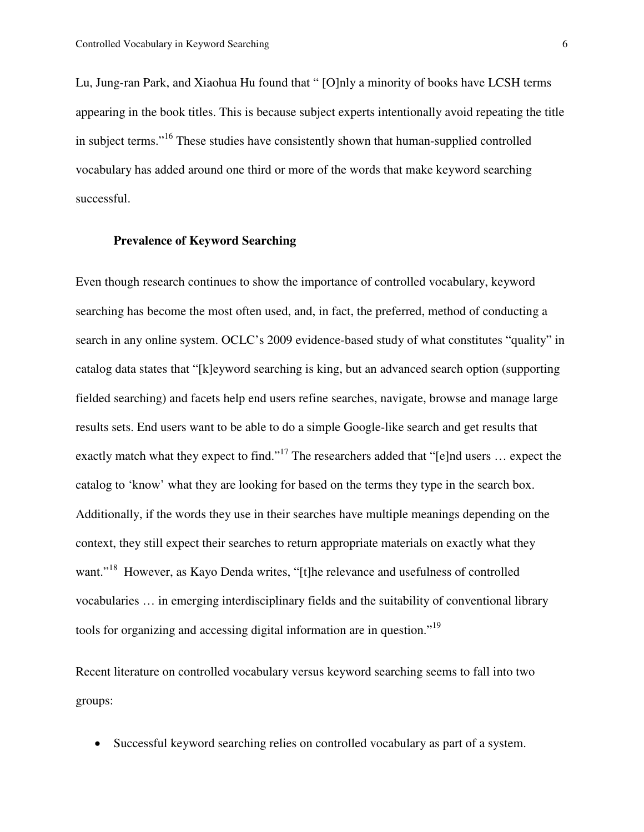Lu, Jung-ran Park, and Xiaohua Hu found that " [O]nly a minority of books have LCSH terms appearing in the book titles. This is because subject experts intentionally avoid repeating the title in subject terms."<sup>16</sup> These studies have consistently shown that human-supplied controlled vocabulary has added around one third or more of the words that make keyword searching successful.

#### **Prevalence of Keyword Searching**

Even though research continues to show the importance of controlled vocabulary, keyword searching has become the most often used, and, in fact, the preferred, method of conducting a search in any online system. OCLC's 2009 evidence-based study of what constitutes "quality" in catalog data states that "[k]eyword searching is king, but an advanced search option (supporting fielded searching) and facets help end users refine searches, navigate, browse and manage large results sets. End users want to be able to do a simple Google-like search and get results that exactly match what they expect to find."<sup>17</sup> The researchers added that "[e]nd users ... expect the catalog to 'know' what they are looking for based on the terms they type in the search box. Additionally, if the words they use in their searches have multiple meanings depending on the context, they still expect their searches to return appropriate materials on exactly what they want."<sup>18</sup> However, as Kayo Denda writes, "[t]he relevance and usefulness of controlled vocabularies … in emerging interdisciplinary fields and the suitability of conventional library tools for organizing and accessing digital information are in question."<sup>19</sup>

Recent literature on controlled vocabulary versus keyword searching seems to fall into two groups:

• Successful keyword searching relies on controlled vocabulary as part of a system.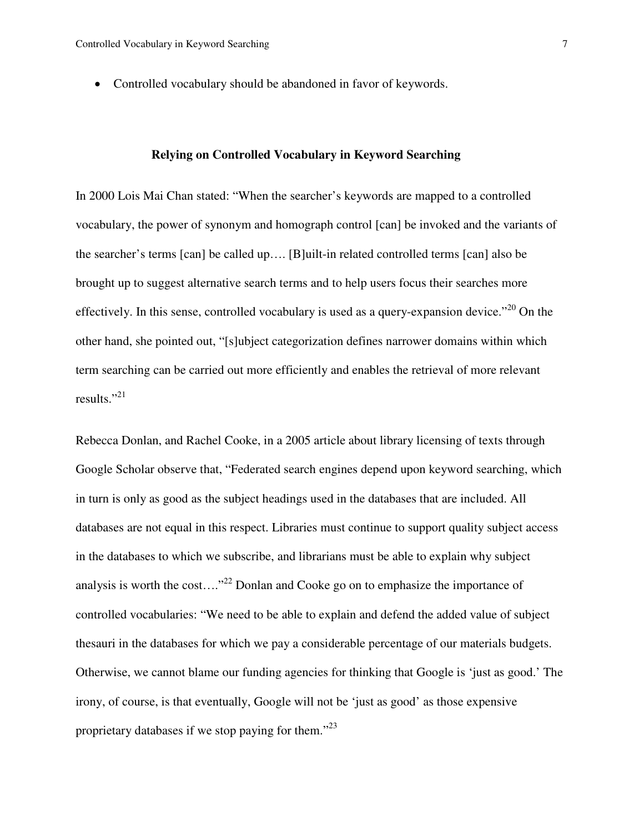• Controlled vocabulary should be abandoned in favor of keywords.

#### **Relying on Controlled Vocabulary in Keyword Searching**

In 2000 Lois Mai Chan stated: "When the searcher's keywords are mapped to a controlled vocabulary, the power of synonym and homograph control [can] be invoked and the variants of the searcher's terms [can] be called up…. [B]uilt-in related controlled terms [can] also be brought up to suggest alternative search terms and to help users focus their searches more effectively. In this sense, controlled vocabulary is used as a query-expansion device. $120$  On the other hand, she pointed out, "[s]ubject categorization defines narrower domains within which term searching can be carried out more efficiently and enables the retrieval of more relevant results."<sup>21</sup>

Rebecca Donlan, and Rachel Cooke, in a 2005 article about library licensing of texts through Google Scholar observe that, "Federated search engines depend upon keyword searching, which in turn is only as good as the subject headings used in the databases that are included. All databases are not equal in this respect. Libraries must continue to support quality subject access in the databases to which we subscribe, and librarians must be able to explain why subject analysis is worth the cost...."<sup>22</sup> Donlan and Cooke go on to emphasize the importance of controlled vocabularies: "We need to be able to explain and defend the added value of subject thesauri in the databases for which we pay a considerable percentage of our materials budgets. Otherwise, we cannot blame our funding agencies for thinking that Google is 'just as good.' The irony, of course, is that eventually, Google will not be 'just as good' as those expensive proprietary databases if we stop paying for them. $^{23}$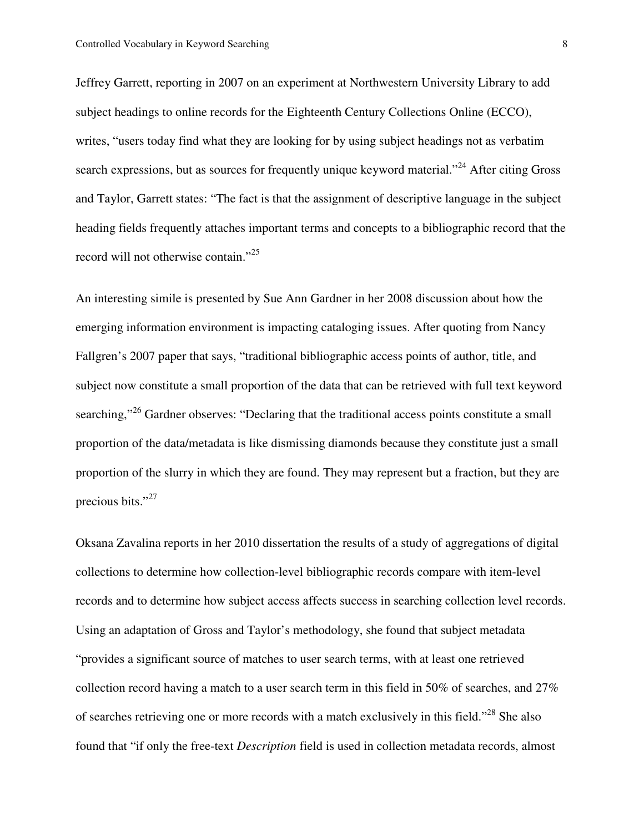Jeffrey Garrett, reporting in 2007 on an experiment at Northwestern University Library to add subject headings to online records for the Eighteenth Century Collections Online (ECCO), writes, "users today find what they are looking for by using subject headings not as verbatim search expressions, but as sources for frequently unique keyword material."<sup>24</sup> After citing Gross and Taylor, Garrett states: "The fact is that the assignment of descriptive language in the subject heading fields frequently attaches important terms and concepts to a bibliographic record that the record will not otherwise contain."<sup>25</sup>

An interesting simile is presented by Sue Ann Gardner in her 2008 discussion about how the emerging information environment is impacting cataloging issues. After quoting from Nancy Fallgren's 2007 paper that says, "traditional bibliographic access points of author, title, and subject now constitute a small proportion of the data that can be retrieved with full text keyword searching,"<sup>26</sup> Gardner observes: "Declaring that the traditional access points constitute a small proportion of the data/metadata is like dismissing diamonds because they constitute just a small proportion of the slurry in which they are found. They may represent but a fraction, but they are precious bits."<sup>27</sup>

Oksana Zavalina reports in her 2010 dissertation the results of a study of aggregations of digital collections to determine how collection-level bibliographic records compare with item-level records and to determine how subject access affects success in searching collection level records. Using an adaptation of Gross and Taylor's methodology, she found that subject metadata "provides a significant source of matches to user search terms, with at least one retrieved collection record having a match to a user search term in this field in 50% of searches, and 27% of searches retrieving one or more records with a match exclusively in this field."<sup>28</sup> She also found that "if only the free-text *Description* field is used in collection metadata records, almost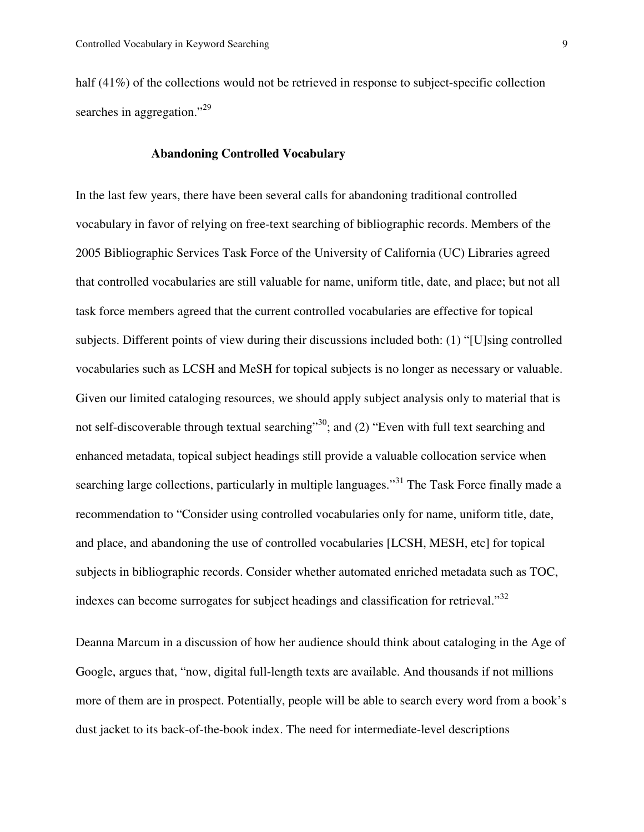half (41%) of the collections would not be retrieved in response to subject-specific collection searches in aggregation."<sup>29</sup>

#### **Abandoning Controlled Vocabulary**

In the last few years, there have been several calls for abandoning traditional controlled vocabulary in favor of relying on free-text searching of bibliographic records. Members of the 2005 Bibliographic Services Task Force of the University of California (UC) Libraries agreed that controlled vocabularies are still valuable for name, uniform title, date, and place; but not all task force members agreed that the current controlled vocabularies are effective for topical subjects. Different points of view during their discussions included both: (1) "[U]sing controlled vocabularies such as LCSH and MeSH for topical subjects is no longer as necessary or valuable. Given our limited cataloging resources, we should apply subject analysis only to material that is not self-discoverable through textual searching"<sup>30</sup>; and (2) "Even with full text searching and enhanced metadata, topical subject headings still provide a valuable collocation service when searching large collections, particularly in multiple languages."<sup>31</sup> The Task Force finally made a recommendation to "Consider using controlled vocabularies only for name, uniform title, date, and place, and abandoning the use of controlled vocabularies [LCSH, MESH, etc] for topical subjects in bibliographic records. Consider whether automated enriched metadata such as TOC, indexes can become surrogates for subject headings and classification for retrieval."<sup>32</sup>

Deanna Marcum in a discussion of how her audience should think about cataloging in the Age of Google, argues that, "now, digital full-length texts are available. And thousands if not millions more of them are in prospect. Potentially, people will be able to search every word from a book's dust jacket to its back-of-the-book index. The need for intermediate-level descriptions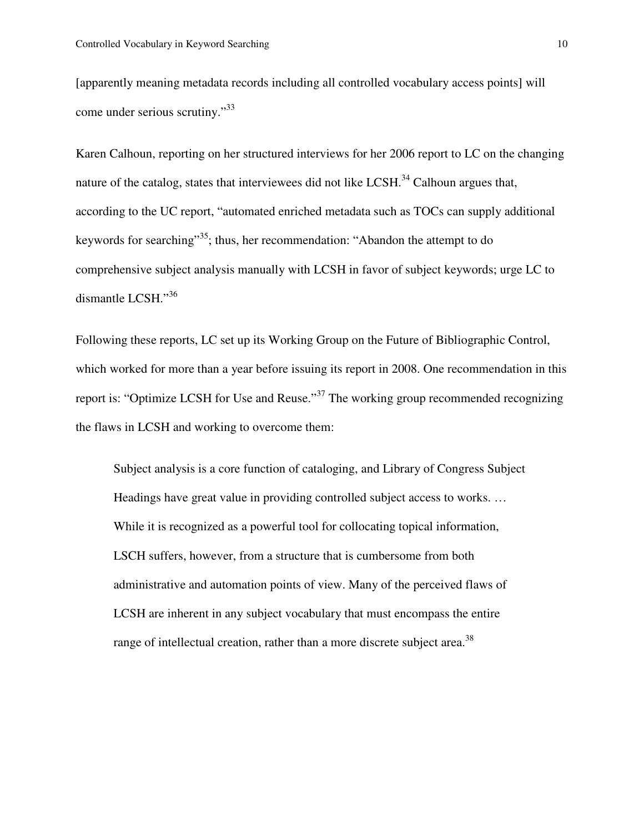[apparently meaning metadata records including all controlled vocabulary access points] will come under serious scrutiny."<sup>33</sup>

Karen Calhoun, reporting on her structured interviews for her 2006 report to LC on the changing nature of the catalog, states that interviewees did not like LCSH.<sup>34</sup> Calhoun argues that, according to the UC report, "automated enriched metadata such as TOCs can supply additional keywords for searching"<sup>35</sup>; thus, her recommendation: "Abandon the attempt to do comprehensive subject analysis manually with LCSH in favor of subject keywords; urge LC to dismantle LCSH."<sup>36</sup>

Following these reports, LC set up its Working Group on the Future of Bibliographic Control, which worked for more than a year before issuing its report in 2008. One recommendation in this report is: "Optimize LCSH for Use and Reuse."<sup>37</sup> The working group recommended recognizing the flaws in LCSH and working to overcome them:

Subject analysis is a core function of cataloging, and Library of Congress Subject Headings have great value in providing controlled subject access to works. … While it is recognized as a powerful tool for collocating topical information, LSCH suffers, however, from a structure that is cumbersome from both administrative and automation points of view. Many of the perceived flaws of LCSH are inherent in any subject vocabulary that must encompass the entire range of intellectual creation, rather than a more discrete subject area.<sup>38</sup>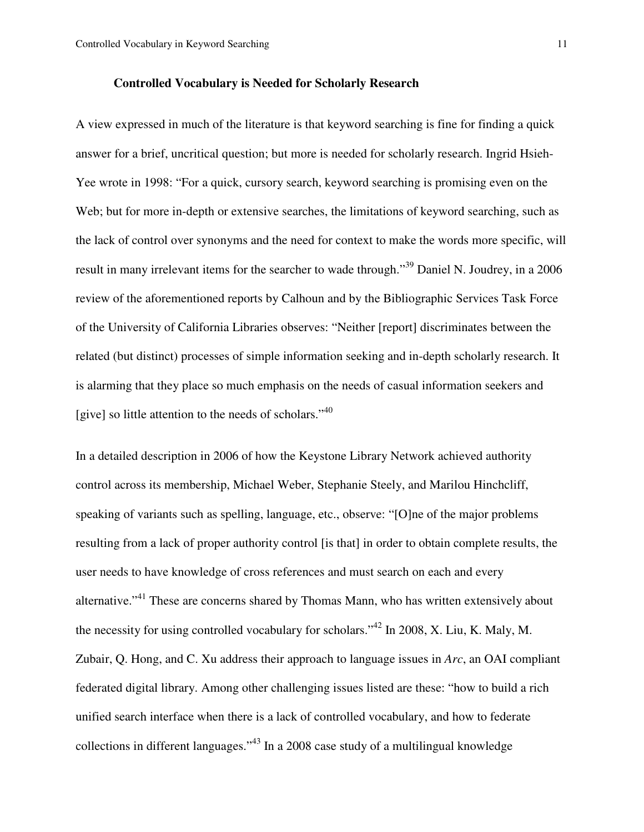#### **Controlled Vocabulary is Needed for Scholarly Research**

A view expressed in much of the literature is that keyword searching is fine for finding a quick answer for a brief, uncritical question; but more is needed for scholarly research. Ingrid Hsieh-Yee wrote in 1998: "For a quick, cursory search, keyword searching is promising even on the Web; but for more in-depth or extensive searches, the limitations of keyword searching, such as the lack of control over synonyms and the need for context to make the words more specific, will result in many irrelevant items for the searcher to wade through."<sup>39</sup> Daniel N. Joudrey, in a 2006 review of the aforementioned reports by Calhoun and by the Bibliographic Services Task Force of the University of California Libraries observes: "Neither [report] discriminates between the related (but distinct) processes of simple information seeking and in-depth scholarly research. It is alarming that they place so much emphasis on the needs of casual information seekers and [give] so little attention to the needs of scholars." $40$ 

In a detailed description in 2006 of how the Keystone Library Network achieved authority control across its membership, Michael Weber, Stephanie Steely, and Marilou Hinchcliff, speaking of variants such as spelling, language, etc., observe: "[O]ne of the major problems resulting from a lack of proper authority control [is that] in order to obtain complete results, the user needs to have knowledge of cross references and must search on each and every alternative."<sup>41</sup> These are concerns shared by Thomas Mann, who has written extensively about the necessity for using controlled vocabulary for scholars."<sup>42</sup> In 2008, X. Liu, K. Maly, M. Zubair, Q. Hong, and C. Xu address their approach to language issues in *Arc*, an OAI compliant federated digital library. Among other challenging issues listed are these: "how to build a rich unified search interface when there is a lack of controlled vocabulary, and how to federate collections in different languages."<sup>43</sup> In a 2008 case study of a multilingual knowledge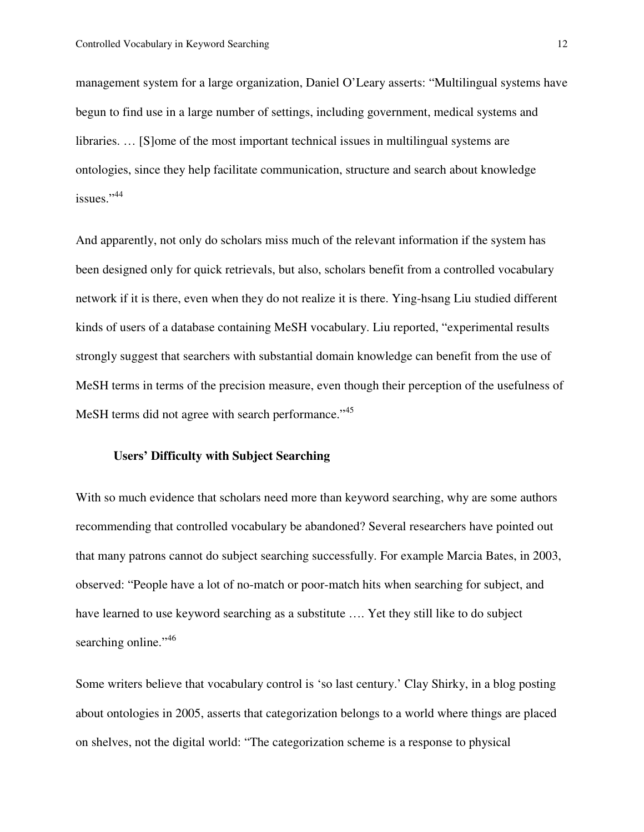management system for a large organization, Daniel O'Leary asserts: "Multilingual systems have begun to find use in a large number of settings, including government, medical systems and libraries. … [S]ome of the most important technical issues in multilingual systems are ontologies, since they help facilitate communication, structure and search about knowledge issues."<sup>44</sup>

And apparently, not only do scholars miss much of the relevant information if the system has been designed only for quick retrievals, but also, scholars benefit from a controlled vocabulary network if it is there, even when they do not realize it is there. Ying-hsang Liu studied different kinds of users of a database containing MeSH vocabulary. Liu reported, "experimental results strongly suggest that searchers with substantial domain knowledge can benefit from the use of MeSH terms in terms of the precision measure, even though their perception of the usefulness of MeSH terms did not agree with search performance."<sup>45</sup>

#### **Users' Difficulty with Subject Searching**

With so much evidence that scholars need more than keyword searching, why are some authors recommending that controlled vocabulary be abandoned? Several researchers have pointed out that many patrons cannot do subject searching successfully. For example Marcia Bates, in 2003, observed: "People have a lot of no-match or poor-match hits when searching for subject, and have learned to use keyword searching as a substitute …. Yet they still like to do subject searching online."<sup>46</sup>

Some writers believe that vocabulary control is 'so last century.' Clay Shirky, in a blog posting about ontologies in 2005, asserts that categorization belongs to a world where things are placed on shelves, not the digital world: "The categorization scheme is a response to physical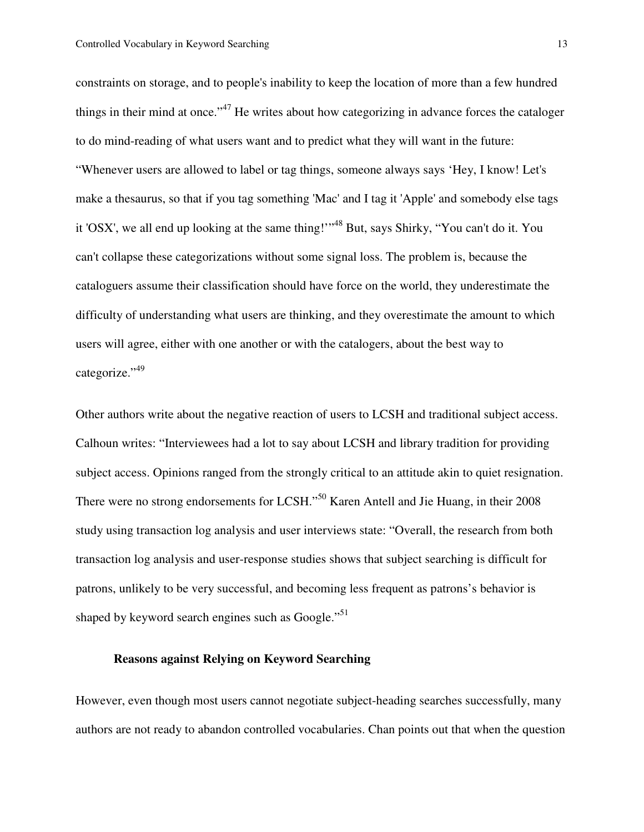constraints on storage, and to people's inability to keep the location of more than a few hundred things in their mind at once."<sup>47</sup> He writes about how categorizing in advance forces the cataloger to do mind-reading of what users want and to predict what they will want in the future: "Whenever users are allowed to label or tag things, someone always says 'Hey, I know! Let's make a thesaurus, so that if you tag something 'Mac' and I tag it 'Apple' and somebody else tags it 'OSX', we all end up looking at the same thing!'"<sup>48</sup> But, says Shirky, "You can't do it. You can't collapse these categorizations without some signal loss. The problem is, because the cataloguers assume their classification should have force on the world, they underestimate the difficulty of understanding what users are thinking, and they overestimate the amount to which users will agree, either with one another or with the catalogers, about the best way to categorize."<sup>49</sup>

Other authors write about the negative reaction of users to LCSH and traditional subject access. Calhoun writes: "Interviewees had a lot to say about LCSH and library tradition for providing subject access. Opinions ranged from the strongly critical to an attitude akin to quiet resignation. There were no strong endorsements for LCSH."<sup>50</sup> Karen Antell and Jie Huang, in their 2008 study using transaction log analysis and user interviews state: "Overall, the research from both transaction log analysis and user-response studies shows that subject searching is difficult for patrons, unlikely to be very successful, and becoming less frequent as patrons's behavior is shaped by keyword search engines such as Google."<sup>51</sup>

# **Reasons against Relying on Keyword Searching**

However, even though most users cannot negotiate subject-heading searches successfully, many authors are not ready to abandon controlled vocabularies. Chan points out that when the question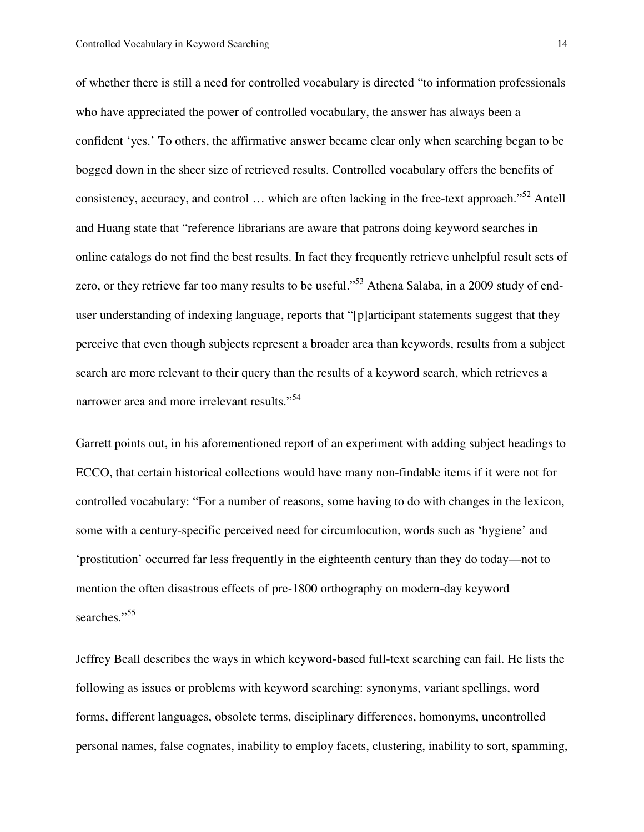of whether there is still a need for controlled vocabulary is directed "to information professionals who have appreciated the power of controlled vocabulary, the answer has always been a confident 'yes.' To others, the affirmative answer became clear only when searching began to be bogged down in the sheer size of retrieved results. Controlled vocabulary offers the benefits of consistency, accuracy, and control  $\ldots$  which are often lacking in the free-text approach."<sup>52</sup> Antell and Huang state that "reference librarians are aware that patrons doing keyword searches in online catalogs do not find the best results. In fact they frequently retrieve unhelpful result sets of zero, or they retrieve far too many results to be useful."<sup>53</sup> Athena Salaba, in a 2009 study of enduser understanding of indexing language, reports that "[p]articipant statements suggest that they perceive that even though subjects represent a broader area than keywords, results from a subject search are more relevant to their query than the results of a keyword search, which retrieves a narrower area and more irrelevant results."<sup>54</sup>

Garrett points out, in his aforementioned report of an experiment with adding subject headings to ECCO, that certain historical collections would have many non-findable items if it were not for controlled vocabulary: "For a number of reasons, some having to do with changes in the lexicon, some with a century-specific perceived need for circumlocution, words such as 'hygiene' and 'prostitution' occurred far less frequently in the eighteenth century than they do today—not to mention the often disastrous effects of pre-1800 orthography on modern-day keyword searches."<sup>55</sup>

Jeffrey Beall describes the ways in which keyword-based full-text searching can fail. He lists the following as issues or problems with keyword searching: synonyms, variant spellings, word forms, different languages, obsolete terms, disciplinary differences, homonyms, uncontrolled personal names, false cognates, inability to employ facets, clustering, inability to sort, spamming,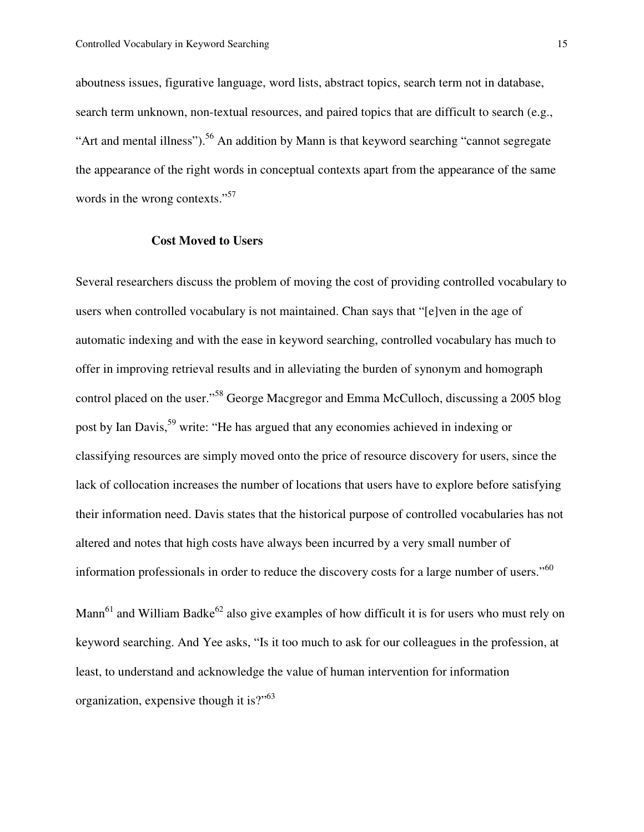aboutness issues, figurative language, word lists, abstract topics, search term not in database, search term unknown, non-textual resources, and paired topics that are difficult to search (e.g., "Art and mental illness").<sup>56</sup> An addition by Mann is that keyword searching "cannot segregate" the appearance of the right words in conceptual contexts apart from the appearance of the same words in the wrong contexts."<sup>57</sup>

#### **Cost Moved to Users**

Several researchers discuss the problem of moving the cost of providing controlled vocabulary to users when controlled vocabulary is not maintained. Chan says that "[e]ven in the age of automatic indexing and with the ease in keyword searching, controlled vocabulary has much to offer in improving retrieval results and in alleviating the burden of synonym and homograph control placed on the user."<sup>58</sup> George Macgregor and Emma McCulloch, discussing a 2005 blog post by Ian Davis,<sup>59</sup> write: "He has argued that any economies achieved in indexing or classifying resources are simply moved onto the price of resource discovery for users, since the lack of collocation increases the number of locations that users have to explore before satisfying their information need. Davis states that the historical purpose of controlled vocabularies has not altered and notes that high costs have always been incurred by a very small number of information professionals in order to reduce the discovery costs for a large number of users."<sup>60</sup>

Mann<sup>61</sup> and William Badke<sup>62</sup> also give examples of how difficult it is for users who must rely on keyword searching. And Yee asks, "Is it too much to ask for our colleagues in the profession, at least, to understand and acknowledge the value of human intervention for information organization, expensive though it is?"<sup>63</sup>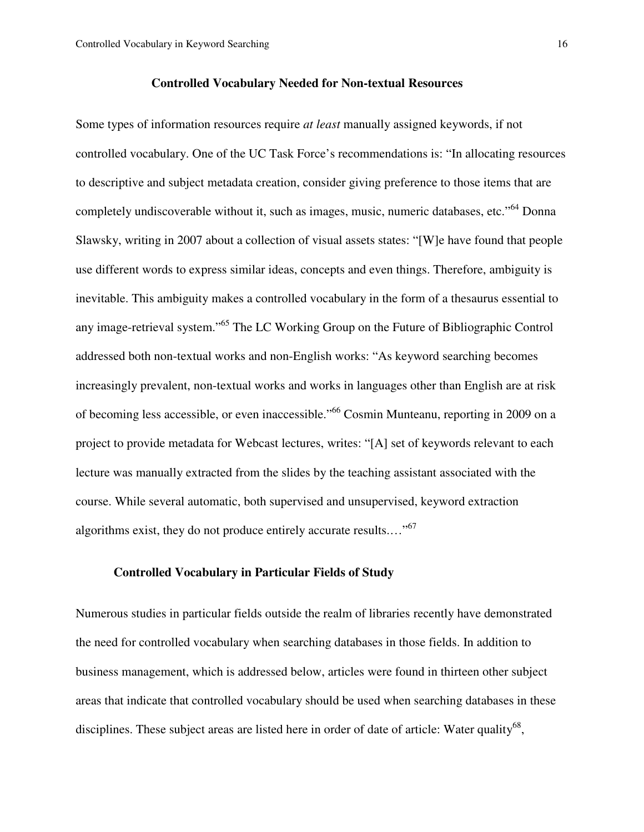#### **Controlled Vocabulary Needed for Non-textual Resources**

Some types of information resources require *at least* manually assigned keywords, if not controlled vocabulary. One of the UC Task Force's recommendations is: "In allocating resources to descriptive and subject metadata creation, consider giving preference to those items that are completely undiscoverable without it, such as images, music, numeric databases, etc."<sup>64</sup> Donna Slawsky, writing in 2007 about a collection of visual assets states: "[W]e have found that people use different words to express similar ideas, concepts and even things. Therefore, ambiguity is inevitable. This ambiguity makes a controlled vocabulary in the form of a thesaurus essential to any image-retrieval system."<sup>65</sup> The LC Working Group on the Future of Bibliographic Control addressed both non-textual works and non-English works: "As keyword searching becomes increasingly prevalent, non-textual works and works in languages other than English are at risk of becoming less accessible, or even inaccessible."<sup>66</sup> Cosmin Munteanu, reporting in 2009 on a project to provide metadata for Webcast lectures, writes: "[A] set of keywords relevant to each lecture was manually extracted from the slides by the teaching assistant associated with the course. While several automatic, both supervised and unsupervised, keyword extraction algorithms exist, they do not produce entirely accurate results...."<sup>67</sup>

# **Controlled Vocabulary in Particular Fields of Study**

Numerous studies in particular fields outside the realm of libraries recently have demonstrated the need for controlled vocabulary when searching databases in those fields. In addition to business management, which is addressed below, articles were found in thirteen other subject areas that indicate that controlled vocabulary should be used when searching databases in these disciplines. These subject areas are listed here in order of date of article: Water quality<sup>68</sup>,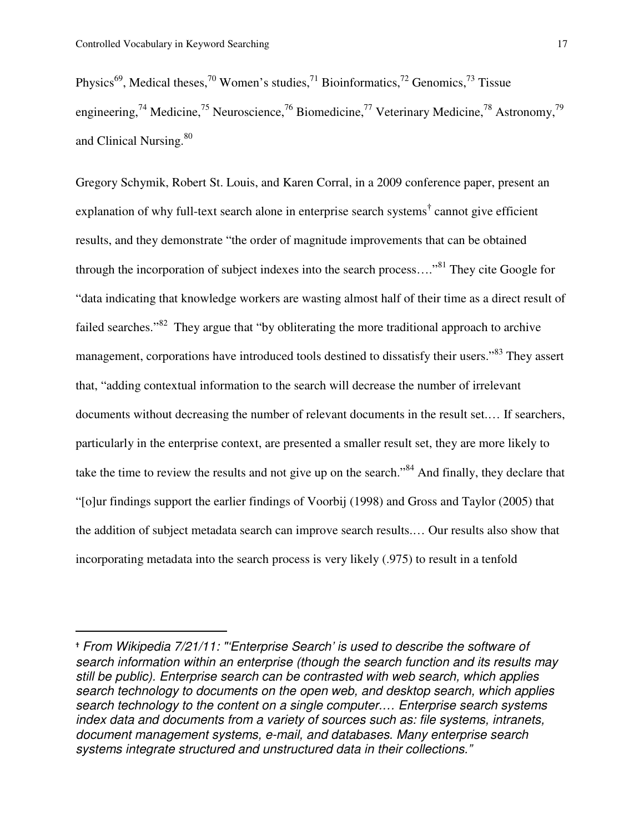l.

Physics<sup>69</sup>, Medical theses,<sup>70</sup> Women's studies,<sup>71</sup> Bioinformatics,<sup>72</sup> Genomics,<sup>73</sup> Tissue engineering,<sup>74</sup> Medicine,<sup>75</sup> Neuroscience,<sup>76</sup> Biomedicine,<sup>77</sup> Veterinary Medicine,<sup>78</sup> Astronomy,<sup>79</sup> and Clinical Nursing.<sup>80</sup>

Gregory Schymik, Robert St. Louis, and Karen Corral, in a 2009 conference paper, present an explanation of why full-text search alone in enterprise search systems**†** cannot give efficient results, and they demonstrate "the order of magnitude improvements that can be obtained through the incorporation of subject indexes into the search process...."<sup>81</sup> They cite Google for "data indicating that knowledge workers are wasting almost half of their time as a direct result of failed searches."<sup>82</sup> They argue that "by obliterating the more traditional approach to archive management, corporations have introduced tools destined to dissatisfy their users."<sup>83</sup> They assert that, "adding contextual information to the search will decrease the number of irrelevant documents without decreasing the number of relevant documents in the result set.… If searchers, particularly in the enterprise context, are presented a smaller result set, they are more likely to take the time to review the results and not give up on the search."<sup>84</sup> And finally, they declare that "[o]ur findings support the earlier findings of Voorbij (1998) and Gross and Taylor (2005) that the addition of subject metadata search can improve search results.… Our results also show that incorporating metadata into the search process is very likely (.975) to result in a tenfold

<sup>†</sup> From Wikipedia 7/21/11: "'Enterprise Search' is used to describe the software of search information within an enterprise (though the search function and its results may still be public). Enterprise search can be contrasted with web search, which applies search technology to documents on the open web, and desktop search, which applies search technology to the content on a single computer.… Enterprise search systems index data and documents from a variety of sources such as: file systems, intranets, document management systems, e-mail, and databases. Many enterprise search systems integrate structured and unstructured data in their collections."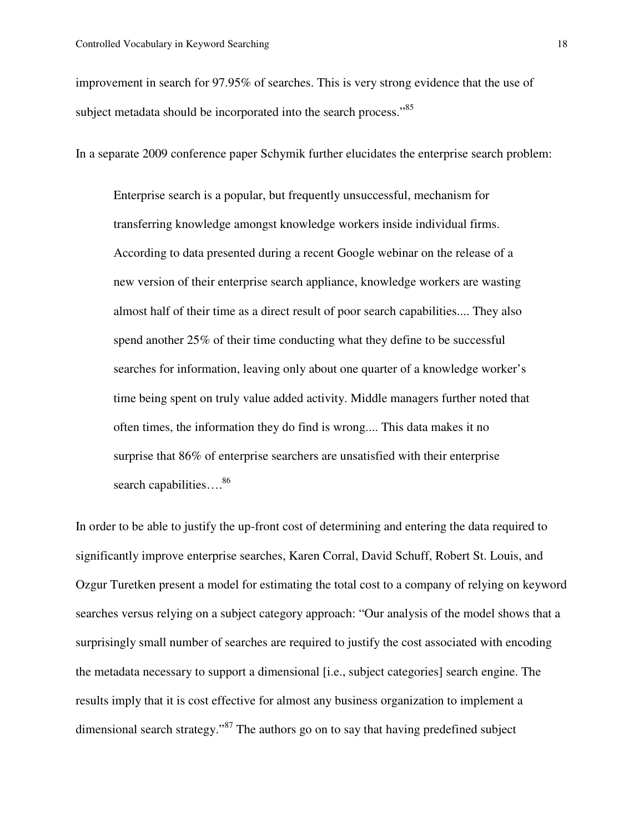improvement in search for 97.95% of searches. This is very strong evidence that the use of subject metadata should be incorporated into the search process."<sup>85</sup>

In a separate 2009 conference paper Schymik further elucidates the enterprise search problem:

Enterprise search is a popular, but frequently unsuccessful, mechanism for transferring knowledge amongst knowledge workers inside individual firms. According to data presented during a recent Google webinar on the release of a new version of their enterprise search appliance, knowledge workers are wasting almost half of their time as a direct result of poor search capabilities.... They also spend another 25% of their time conducting what they define to be successful searches for information, leaving only about one quarter of a knowledge worker's time being spent on truly value added activity. Middle managers further noted that often times, the information they do find is wrong.... This data makes it no surprise that 86% of enterprise searchers are unsatisfied with their enterprise search capabilities....<sup>86</sup>

In order to be able to justify the up-front cost of determining and entering the data required to significantly improve enterprise searches, Karen Corral, David Schuff, Robert St. Louis, and Ozgur Turetken present a model for estimating the total cost to a company of relying on keyword searches versus relying on a subject category approach: "Our analysis of the model shows that a surprisingly small number of searches are required to justify the cost associated with encoding the metadata necessary to support a dimensional [i.e., subject categories] search engine. The results imply that it is cost effective for almost any business organization to implement a dimensional search strategy."<sup>87</sup> The authors go on to say that having predefined subject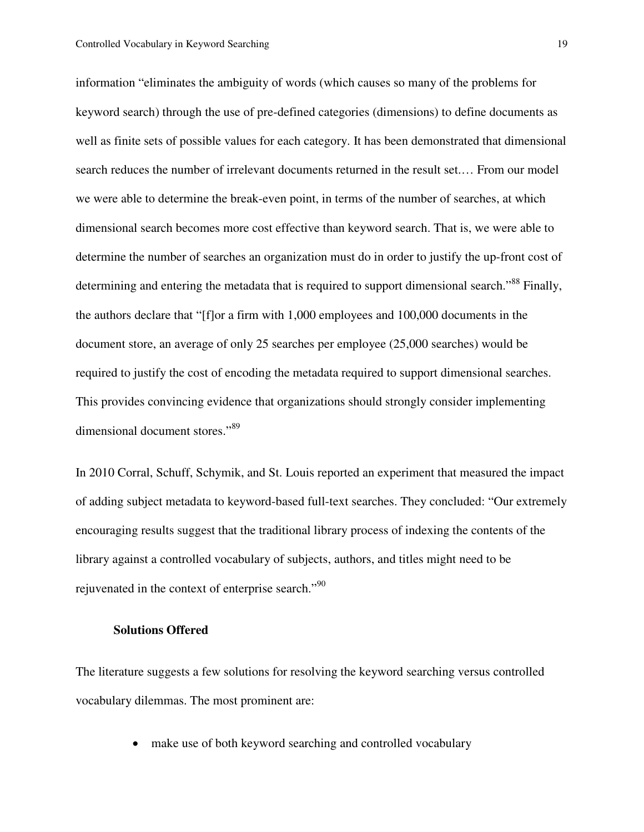information "eliminates the ambiguity of words (which causes so many of the problems for keyword search) through the use of pre-defined categories (dimensions) to define documents as well as finite sets of possible values for each category. It has been demonstrated that dimensional search reduces the number of irrelevant documents returned in the result set.… From our model we were able to determine the break-even point, in terms of the number of searches, at which dimensional search becomes more cost effective than keyword search. That is, we were able to determine the number of searches an organization must do in order to justify the up-front cost of determining and entering the metadata that is required to support dimensional search."<sup>88</sup> Finally, the authors declare that "[f]or a firm with 1,000 employees and 100,000 documents in the document store, an average of only 25 searches per employee (25,000 searches) would be required to justify the cost of encoding the metadata required to support dimensional searches. This provides convincing evidence that organizations should strongly consider implementing dimensional document stores."<sup>89</sup>

In 2010 Corral, Schuff, Schymik, and St. Louis reported an experiment that measured the impact of adding subject metadata to keyword-based full-text searches. They concluded: "Our extremely encouraging results suggest that the traditional library process of indexing the contents of the library against a controlled vocabulary of subjects, authors, and titles might need to be rejuvenated in the context of enterprise search."<sup>90</sup>

#### **Solutions Offered**

The literature suggests a few solutions for resolving the keyword searching versus controlled vocabulary dilemmas. The most prominent are:

• make use of both keyword searching and controlled vocabulary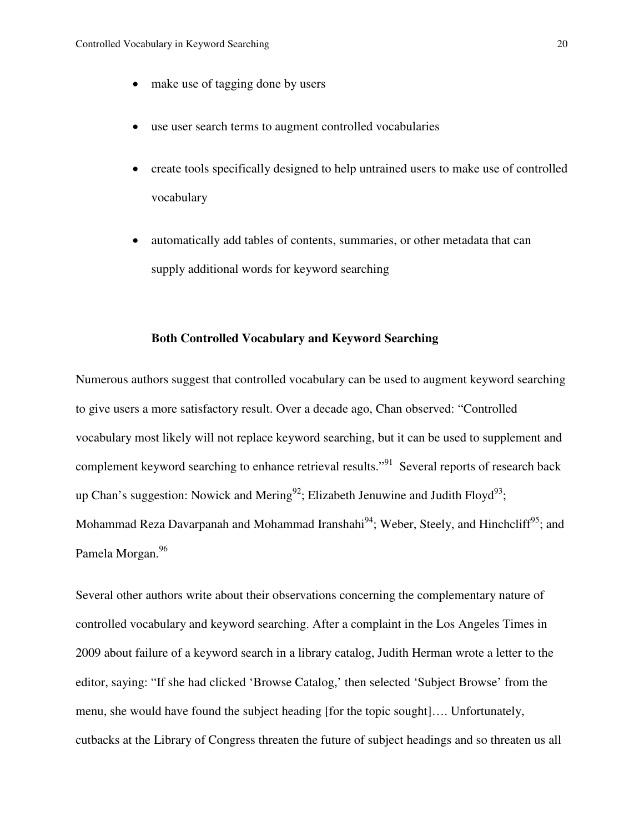- make use of tagging done by users
- use user search terms to augment controlled vocabularies
- create tools specifically designed to help untrained users to make use of controlled vocabulary
- automatically add tables of contents, summaries, or other metadata that can supply additional words for keyword searching

#### **Both Controlled Vocabulary and Keyword Searching**

Numerous authors suggest that controlled vocabulary can be used to augment keyword searching to give users a more satisfactory result. Over a decade ago, Chan observed: "Controlled vocabulary most likely will not replace keyword searching, but it can be used to supplement and complement keyword searching to enhance retrieval results."<sup>91</sup> Several reports of research back up Chan's suggestion: Nowick and Mering<sup>92</sup>; Elizabeth Jenuwine and Judith Floyd<sup>93</sup>; Mohammad Reza Davarpanah and Mohammad Iranshahi<sup>94</sup>; Weber, Steely, and Hinchcliff<sup>95</sup>; and Pamela Morgan.<sup>96</sup>

Several other authors write about their observations concerning the complementary nature of controlled vocabulary and keyword searching. After a complaint in the Los Angeles Times in 2009 about failure of a keyword search in a library catalog, Judith Herman wrote a letter to the editor, saying: "If she had clicked 'Browse Catalog,' then selected 'Subject Browse' from the menu, she would have found the subject heading [for the topic sought]…. Unfortunately, cutbacks at the Library of Congress threaten the future of subject headings and so threaten us all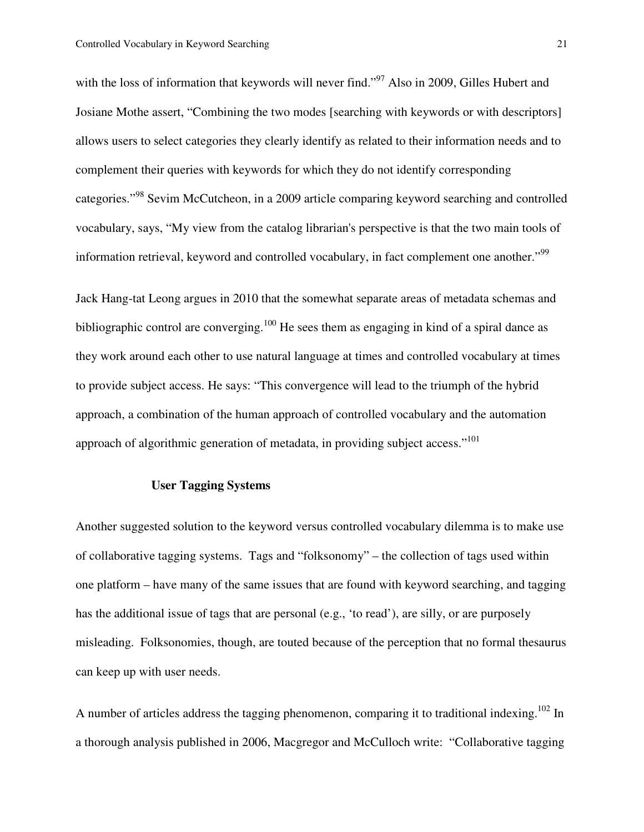with the loss of information that keywords will never find."<sup>97</sup> Also in 2009, Gilles Hubert and Josiane Mothe assert, "Combining the two modes [searching with keywords or with descriptors] allows users to select categories they clearly identify as related to their information needs and to complement their queries with keywords for which they do not identify corresponding categories."<sup>98</sup> Sevim McCutcheon, in a 2009 article comparing keyword searching and controlled vocabulary, says, "My view from the catalog librarian's perspective is that the two main tools of information retrieval, keyword and controlled vocabulary, in fact complement one another."<sup>99</sup>

Jack Hang-tat Leong argues in 2010 that the somewhat separate areas of metadata schemas and bibliographic control are converging.<sup>100</sup> He sees them as engaging in kind of a spiral dance as they work around each other to use natural language at times and controlled vocabulary at times to provide subject access. He says: "This convergence will lead to the triumph of the hybrid approach, a combination of the human approach of controlled vocabulary and the automation approach of algorithmic generation of metadata, in providing subject access."<sup>101</sup>

# **User Tagging Systems**

Another suggested solution to the keyword versus controlled vocabulary dilemma is to make use of collaborative tagging systems. Tags and "folksonomy" – the collection of tags used within one platform – have many of the same issues that are found with keyword searching, and tagging has the additional issue of tags that are personal (e.g., 'to read'), are silly, or are purposely misleading. Folksonomies, though, are touted because of the perception that no formal thesaurus can keep up with user needs.

A number of articles address the tagging phenomenon, comparing it to traditional indexing.<sup>102</sup> In a thorough analysis published in 2006, Macgregor and McCulloch write: "Collaborative tagging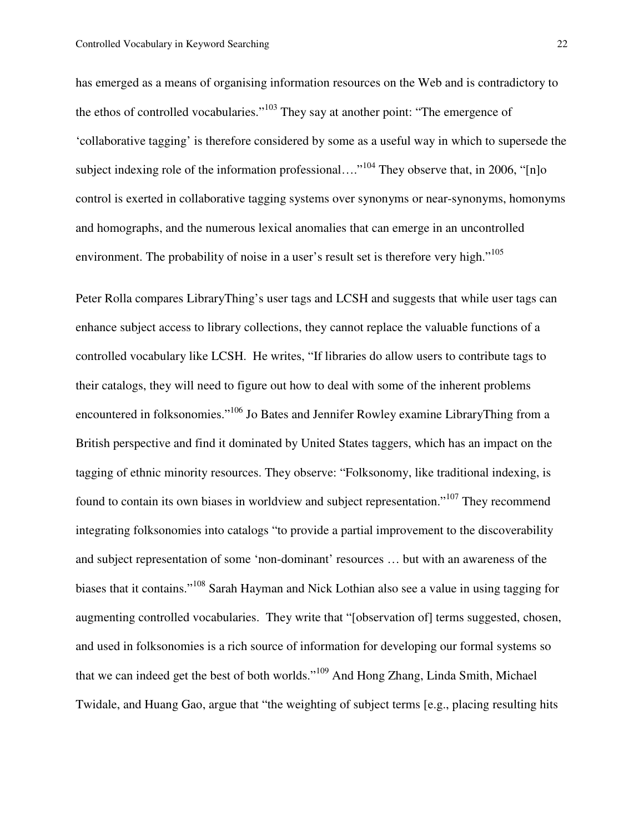has emerged as a means of organising information resources on the Web and is contradictory to the ethos of controlled vocabularies."<sup>103</sup> They say at another point: "The emergence of 'collaborative tagging' is therefore considered by some as a useful way in which to supersede the subject indexing role of the information professional...."<sup>104</sup> They observe that, in 2006, " $[n]$ <sup>o</sup> control is exerted in collaborative tagging systems over synonyms or near-synonyms, homonyms and homographs, and the numerous lexical anomalies that can emerge in an uncontrolled environment. The probability of noise in a user's result set is therefore very high."<sup>105</sup>

Peter Rolla compares LibraryThing's user tags and LCSH and suggests that while user tags can enhance subject access to library collections, they cannot replace the valuable functions of a controlled vocabulary like LCSH. He writes, "If libraries do allow users to contribute tags to their catalogs, they will need to figure out how to deal with some of the inherent problems encountered in folksonomies."<sup>106</sup> Jo Bates and Jennifer Rowley examine LibraryThing from a British perspective and find it dominated by United States taggers, which has an impact on the tagging of ethnic minority resources. They observe: "Folksonomy, like traditional indexing, is found to contain its own biases in worldview and subject representation."<sup>107</sup> They recommend integrating folksonomies into catalogs "to provide a partial improvement to the discoverability and subject representation of some 'non-dominant' resources … but with an awareness of the biases that it contains."<sup>108</sup> Sarah Hayman and Nick Lothian also see a value in using tagging for augmenting controlled vocabularies. They write that "[observation of] terms suggested, chosen, and used in folksonomies is a rich source of information for developing our formal systems so that we can indeed get the best of both worlds."<sup>109</sup> And Hong Zhang, Linda Smith, Michael Twidale, and Huang Gao, argue that "the weighting of subject terms [e.g., placing resulting hits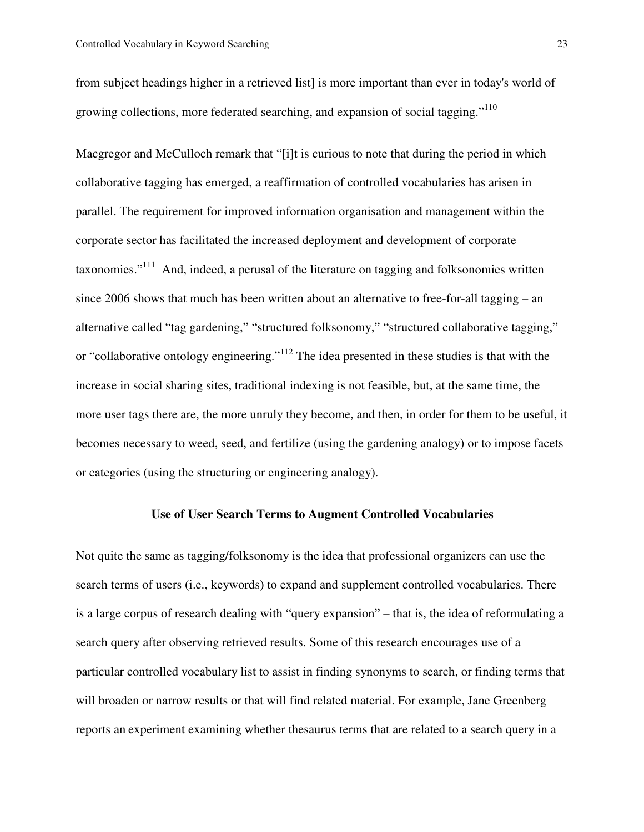from subject headings higher in a retrieved list] is more important than ever in today's world of growing collections, more federated searching, and expansion of social tagging."<sup>110</sup>

Macgregor and McCulloch remark that "[i]t is curious to note that during the period in which collaborative tagging has emerged, a reaffirmation of controlled vocabularies has arisen in parallel. The requirement for improved information organisation and management within the corporate sector has facilitated the increased deployment and development of corporate taxonomies."<sup>111</sup> And, indeed, a perusal of the literature on tagging and folksonomies written since 2006 shows that much has been written about an alternative to free-for-all tagging – an alternative called "tag gardening," "structured folksonomy," "structured collaborative tagging," or "collaborative ontology engineering."<sup>112</sup> The idea presented in these studies is that with the increase in social sharing sites, traditional indexing is not feasible, but, at the same time, the more user tags there are, the more unruly they become, and then, in order for them to be useful, it becomes necessary to weed, seed, and fertilize (using the gardening analogy) or to impose facets or categories (using the structuring or engineering analogy).

## **Use of User Search Terms to Augment Controlled Vocabularies**

Not quite the same as tagging/folksonomy is the idea that professional organizers can use the search terms of users (i.e., keywords) to expand and supplement controlled vocabularies. There is a large corpus of research dealing with "query expansion" – that is, the idea of reformulating a search query after observing retrieved results. Some of this research encourages use of a particular controlled vocabulary list to assist in finding synonyms to search, or finding terms that will broaden or narrow results or that will find related material. For example, Jane Greenberg reports an experiment examining whether thesaurus terms that are related to a search query in a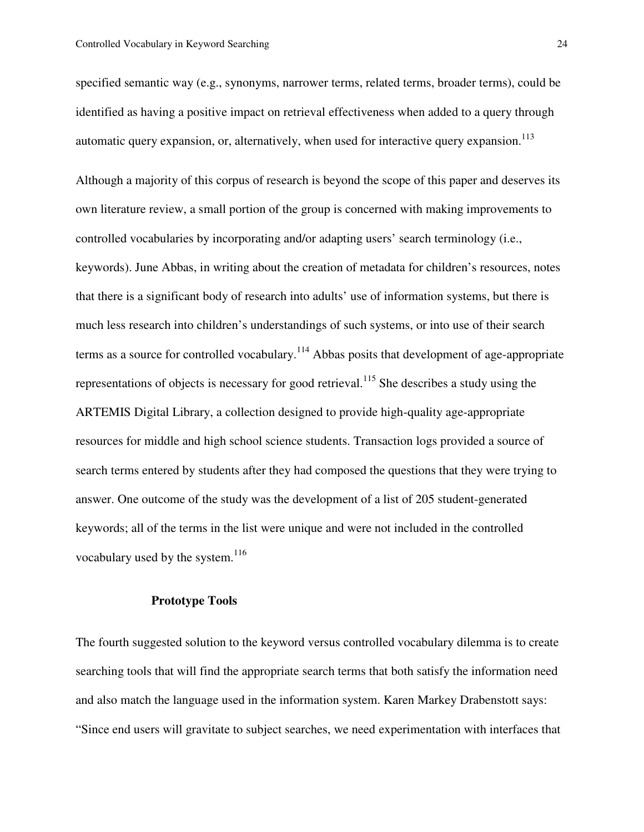specified semantic way (e.g., synonyms, narrower terms, related terms, broader terms), could be identified as having a positive impact on retrieval effectiveness when added to a query through automatic query expansion, or, alternatively, when used for interactive query expansion.<sup>113</sup>

Although a majority of this corpus of research is beyond the scope of this paper and deserves its own literature review, a small portion of the group is concerned with making improvements to controlled vocabularies by incorporating and/or adapting users' search terminology (i.e., keywords). June Abbas, in writing about the creation of metadata for children's resources, notes that there is a significant body of research into adults' use of information systems, but there is much less research into children's understandings of such systems, or into use of their search terms as a source for controlled vocabulary.<sup>114</sup> Abbas posits that development of age-appropriate representations of objects is necessary for good retrieval.<sup>115</sup> She describes a study using the ARTEMIS Digital Library, a collection designed to provide high-quality age-appropriate resources for middle and high school science students. Transaction logs provided a source of search terms entered by students after they had composed the questions that they were trying to answer. One outcome of the study was the development of a list of 205 student-generated keywords; all of the terms in the list were unique and were not included in the controlled vocabulary used by the system. $116$ 

# **Prototype Tools**

The fourth suggested solution to the keyword versus controlled vocabulary dilemma is to create searching tools that will find the appropriate search terms that both satisfy the information need and also match the language used in the information system. Karen Markey Drabenstott says: "Since end users will gravitate to subject searches, we need experimentation with interfaces that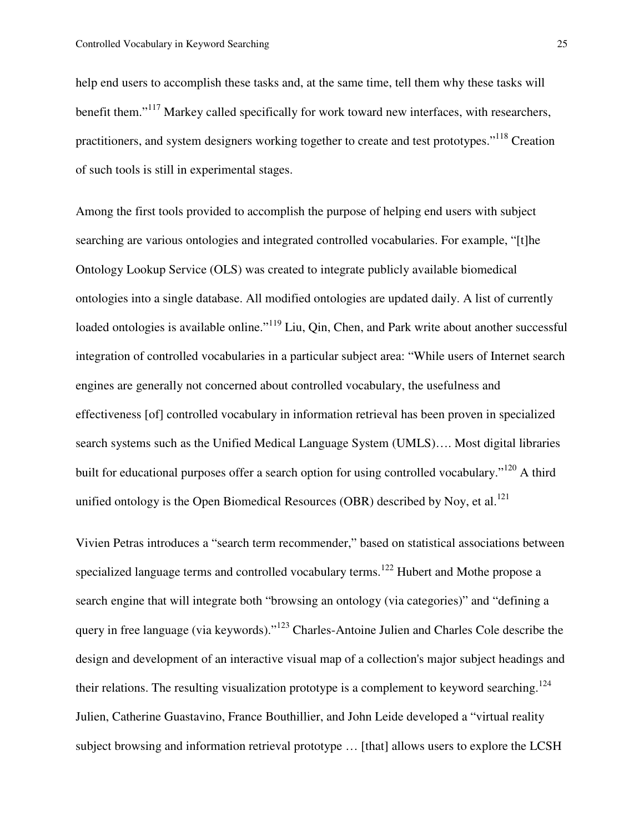help end users to accomplish these tasks and, at the same time, tell them why these tasks will benefit them."<sup>117</sup> Markey called specifically for work toward new interfaces, with researchers, practitioners, and system designers working together to create and test prototypes."<sup>118</sup> Creation of such tools is still in experimental stages.

Among the first tools provided to accomplish the purpose of helping end users with subject searching are various ontologies and integrated controlled vocabularies. For example, "[t]he Ontology Lookup Service (OLS) was created to integrate publicly available biomedical ontologies into a single database. All modified ontologies are updated daily. A list of currently loaded ontologies is available online."<sup>119</sup> Liu, Qin, Chen, and Park write about another successful integration of controlled vocabularies in a particular subject area: "While users of Internet search engines are generally not concerned about controlled vocabulary, the usefulness and effectiveness [of] controlled vocabulary in information retrieval has been proven in specialized search systems such as the Unified Medical Language System (UMLS)…. Most digital libraries built for educational purposes offer a search option for using controlled vocabulary."<sup>120</sup> A third unified ontology is the Open Biomedical Resources (OBR) described by Noy, et al.<sup>121</sup>

Vivien Petras introduces a "search term recommender," based on statistical associations between specialized language terms and controlled vocabulary terms.<sup>122</sup> Hubert and Mothe propose a search engine that will integrate both "browsing an ontology (via categories)" and "defining a query in free language (via keywords)."<sup>123</sup> Charles-Antoine Julien and Charles Cole describe the design and development of an interactive visual map of a collection's major subject headings and their relations. The resulting visualization prototype is a complement to keyword searching.<sup>124</sup> Julien, Catherine Guastavino, France Bouthillier, and John Leide developed a "virtual reality subject browsing and information retrieval prototype … [that] allows users to explore the LCSH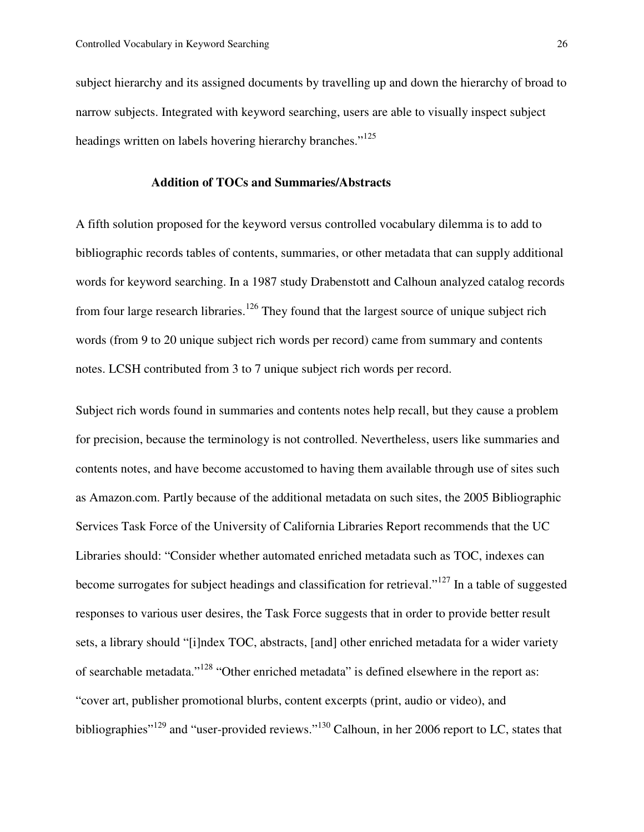subject hierarchy and its assigned documents by travelling up and down the hierarchy of broad to narrow subjects. Integrated with keyword searching, users are able to visually inspect subject headings written on labels hovering hierarchy branches."<sup>125</sup>

#### **Addition of TOCs and Summaries/Abstracts**

A fifth solution proposed for the keyword versus controlled vocabulary dilemma is to add to bibliographic records tables of contents, summaries, or other metadata that can supply additional words for keyword searching. In a 1987 study Drabenstott and Calhoun analyzed catalog records from four large research libraries.<sup>126</sup> They found that the largest source of unique subject rich words (from 9 to 20 unique subject rich words per record) came from summary and contents notes. LCSH contributed from 3 to 7 unique subject rich words per record.

Subject rich words found in summaries and contents notes help recall, but they cause a problem for precision, because the terminology is not controlled. Nevertheless, users like summaries and contents notes, and have become accustomed to having them available through use of sites such as Amazon.com. Partly because of the additional metadata on such sites, the 2005 Bibliographic Services Task Force of the University of California Libraries Report recommends that the UC Libraries should: "Consider whether automated enriched metadata such as TOC, indexes can become surrogates for subject headings and classification for retrieval."<sup>127</sup> In a table of suggested responses to various user desires, the Task Force suggests that in order to provide better result sets, a library should "[i]ndex TOC, abstracts, [and] other enriched metadata for a wider variety of searchable metadata."<sup>128</sup> "Other enriched metadata" is defined elsewhere in the report as: "cover art, publisher promotional blurbs, content excerpts (print, audio or video), and bibliographies"<sup>129</sup> and "user-provided reviews."<sup>130</sup> Calhoun, in her 2006 report to LC, states that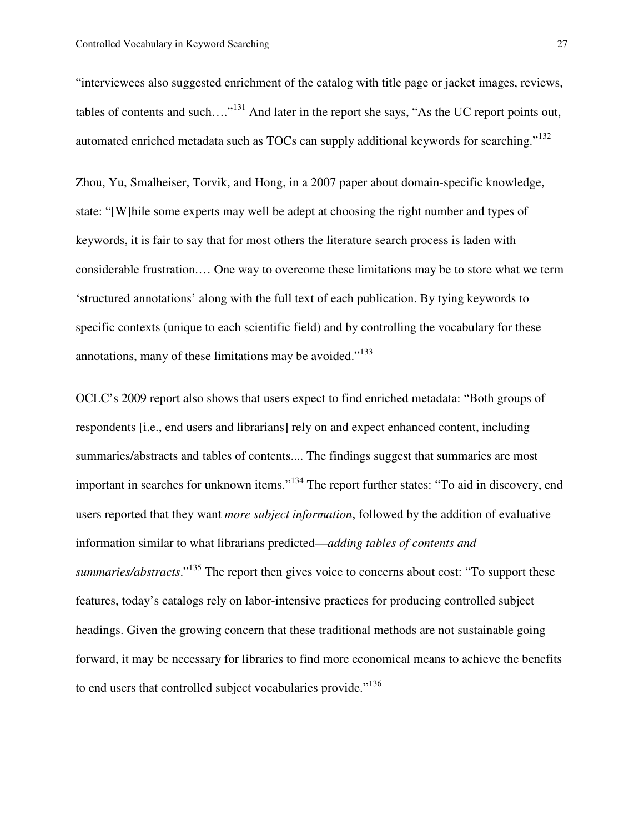"interviewees also suggested enrichment of the catalog with title page or jacket images, reviews, tables of contents and such…."<sup>131</sup> And later in the report she says, "As the UC report points out, automated enriched metadata such as TOCs can supply additional keywords for searching."<sup>132</sup>

Zhou, Yu, Smalheiser, Torvik, and Hong, in a 2007 paper about domain-specific knowledge, state: "[W]hile some experts may well be adept at choosing the right number and types of keywords, it is fair to say that for most others the literature search process is laden with considerable frustration.… One way to overcome these limitations may be to store what we term 'structured annotations' along with the full text of each publication. By tying keywords to specific contexts (unique to each scientific field) and by controlling the vocabulary for these annotations, many of these limitations may be avoided."<sup>133</sup>

OCLC's 2009 report also shows that users expect to find enriched metadata: "Both groups of respondents [i.e., end users and librarians] rely on and expect enhanced content, including summaries/abstracts and tables of contents.... The findings suggest that summaries are most important in searches for unknown items."<sup>134</sup> The report further states: "To aid in discovery, end users reported that they want *more subject information*, followed by the addition of evaluative information similar to what librarians predicted—*adding tables of contents and summaries/abstracts*."<sup>135</sup> The report then gives voice to concerns about cost: "To support these features, today's catalogs rely on labor-intensive practices for producing controlled subject headings. Given the growing concern that these traditional methods are not sustainable going forward, it may be necessary for libraries to find more economical means to achieve the benefits to end users that controlled subject vocabularies provide."<sup>136</sup>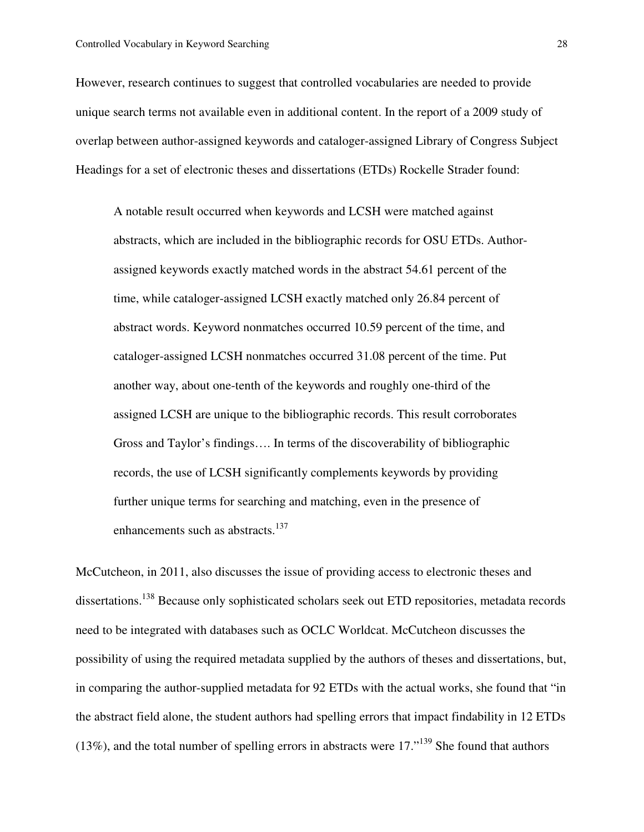However, research continues to suggest that controlled vocabularies are needed to provide unique search terms not available even in additional content. In the report of a 2009 study of overlap between author-assigned keywords and cataloger-assigned Library of Congress Subject Headings for a set of electronic theses and dissertations (ETDs) Rockelle Strader found:

A notable result occurred when keywords and LCSH were matched against abstracts, which are included in the bibliographic records for OSU ETDs. Authorassigned keywords exactly matched words in the abstract 54.61 percent of the time, while cataloger-assigned LCSH exactly matched only 26.84 percent of abstract words. Keyword nonmatches occurred 10.59 percent of the time, and cataloger-assigned LCSH nonmatches occurred 31.08 percent of the time. Put another way, about one-tenth of the keywords and roughly one-third of the assigned LCSH are unique to the bibliographic records. This result corroborates Gross and Taylor's findings…. In terms of the discoverability of bibliographic records, the use of LCSH significantly complements keywords by providing further unique terms for searching and matching, even in the presence of enhancements such as abstracts.<sup>137</sup>

McCutcheon, in 2011, also discusses the issue of providing access to electronic theses and dissertations.<sup>138</sup> Because only sophisticated scholars seek out ETD repositories, metadata records need to be integrated with databases such as OCLC Worldcat. McCutcheon discusses the possibility of using the required metadata supplied by the authors of theses and dissertations, but, in comparing the author-supplied metadata for 92 ETDs with the actual works, she found that "in the abstract field alone, the student authors had spelling errors that impact findability in 12 ETDs  $(13\%)$ , and the total number of spelling errors in abstracts were 17.<sup> $139$ </sup> She found that authors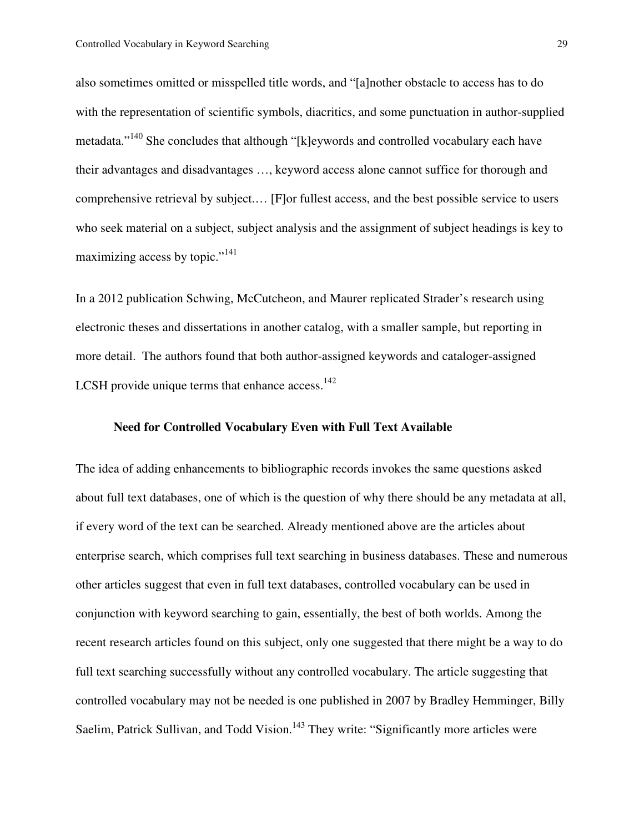also sometimes omitted or misspelled title words, and "[a]nother obstacle to access has to do with the representation of scientific symbols, diacritics, and some punctuation in author-supplied metadata."<sup>140</sup> She concludes that although "[k]eywords and controlled vocabulary each have their advantages and disadvantages …, keyword access alone cannot suffice for thorough and comprehensive retrieval by subject.… [F]or fullest access, and the best possible service to users who seek material on a subject, subject analysis and the assignment of subject headings is key to maximizing access by topic."<sup>141</sup>

In a 2012 publication Schwing, McCutcheon, and Maurer replicated Strader's research using electronic theses and dissertations in another catalog, with a smaller sample, but reporting in more detail. The authors found that both author-assigned keywords and cataloger-assigned LCSH provide unique terms that enhance access. $142$ 

# **Need for Controlled Vocabulary Even with Full Text Available**

The idea of adding enhancements to bibliographic records invokes the same questions asked about full text databases, one of which is the question of why there should be any metadata at all, if every word of the text can be searched. Already mentioned above are the articles about enterprise search, which comprises full text searching in business databases. These and numerous other articles suggest that even in full text databases, controlled vocabulary can be used in conjunction with keyword searching to gain, essentially, the best of both worlds. Among the recent research articles found on this subject, only one suggested that there might be a way to do full text searching successfully without any controlled vocabulary. The article suggesting that controlled vocabulary may not be needed is one published in 2007 by Bradley Hemminger, Billy Saelim, Patrick Sullivan, and Todd Vision.<sup>143</sup> They write: "Significantly more articles were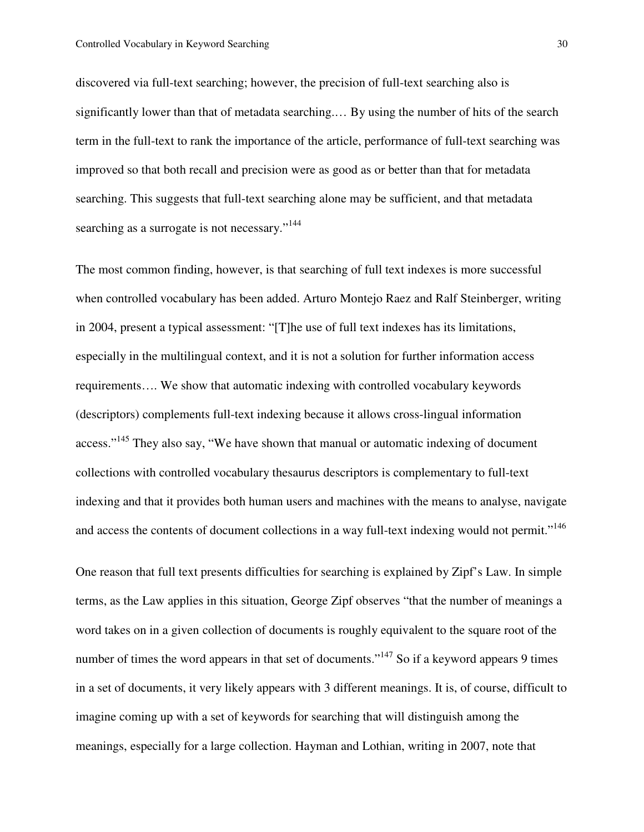discovered via full-text searching; however, the precision of full-text searching also is significantly lower than that of metadata searching.… By using the number of hits of the search term in the full-text to rank the importance of the article, performance of full-text searching was improved so that both recall and precision were as good as or better than that for metadata searching. This suggests that full-text searching alone may be sufficient, and that metadata searching as a surrogate is not necessary."<sup>144</sup>

The most common finding, however, is that searching of full text indexes is more successful when controlled vocabulary has been added. Arturo Montejo Raez and Ralf Steinberger, writing in 2004, present a typical assessment: "[T]he use of full text indexes has its limitations, especially in the multilingual context, and it is not a solution for further information access requirements…. We show that automatic indexing with controlled vocabulary keywords (descriptors) complements full-text indexing because it allows cross-lingual information access."<sup>145</sup> They also say, "We have shown that manual or automatic indexing of document collections with controlled vocabulary thesaurus descriptors is complementary to full-text indexing and that it provides both human users and machines with the means to analyse, navigate and access the contents of document collections in a way full-text indexing would not permit."<sup>146</sup>

One reason that full text presents difficulties for searching is explained by Zipf's Law. In simple terms, as the Law applies in this situation, George Zipf observes "that the number of meanings a word takes on in a given collection of documents is roughly equivalent to the square root of the number of times the word appears in that set of documents."<sup>147</sup> So if a keyword appears 9 times in a set of documents, it very likely appears with 3 different meanings. It is, of course, difficult to imagine coming up with a set of keywords for searching that will distinguish among the meanings, especially for a large collection. Hayman and Lothian, writing in 2007, note that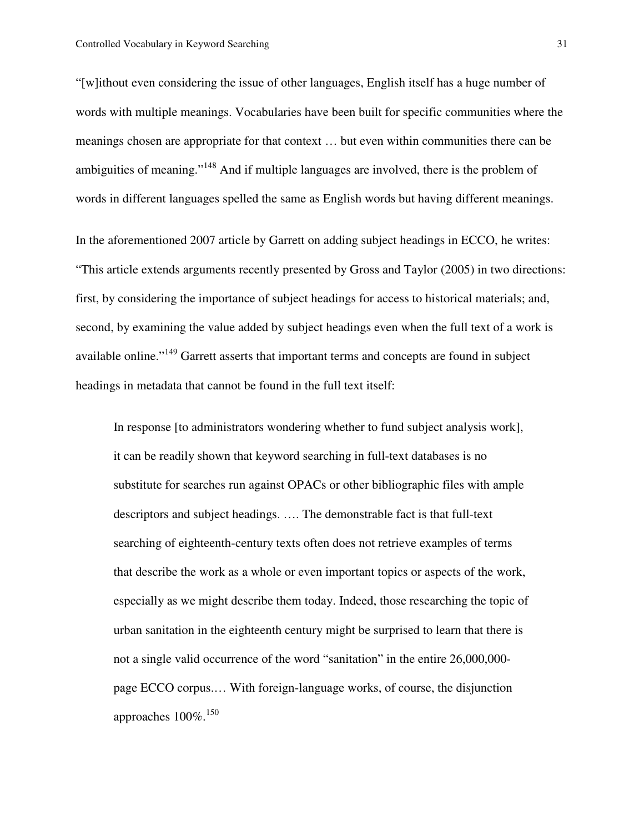"[w]ithout even considering the issue of other languages, English itself has a huge number of words with multiple meanings. Vocabularies have been built for specific communities where the meanings chosen are appropriate for that context … but even within communities there can be ambiguities of meaning."<sup>148</sup> And if multiple languages are involved, there is the problem of words in different languages spelled the same as English words but having different meanings.

In the aforementioned 2007 article by Garrett on adding subject headings in ECCO, he writes: "This article extends arguments recently presented by Gross and Taylor (2005) in two directions: first, by considering the importance of subject headings for access to historical materials; and, second, by examining the value added by subject headings even when the full text of a work is available online."<sup>149</sup> Garrett asserts that important terms and concepts are found in subject headings in metadata that cannot be found in the full text itself:

In response [to administrators wondering whether to fund subject analysis work], it can be readily shown that keyword searching in full-text databases is no substitute for searches run against OPACs or other bibliographic files with ample descriptors and subject headings. …. The demonstrable fact is that full-text searching of eighteenth-century texts often does not retrieve examples of terms that describe the work as a whole or even important topics or aspects of the work, especially as we might describe them today. Indeed, those researching the topic of urban sanitation in the eighteenth century might be surprised to learn that there is not a single valid occurrence of the word "sanitation" in the entire 26,000,000 page ECCO corpus.… With foreign-language works, of course, the disjunction approaches  $100\%$ <sup>150</sup>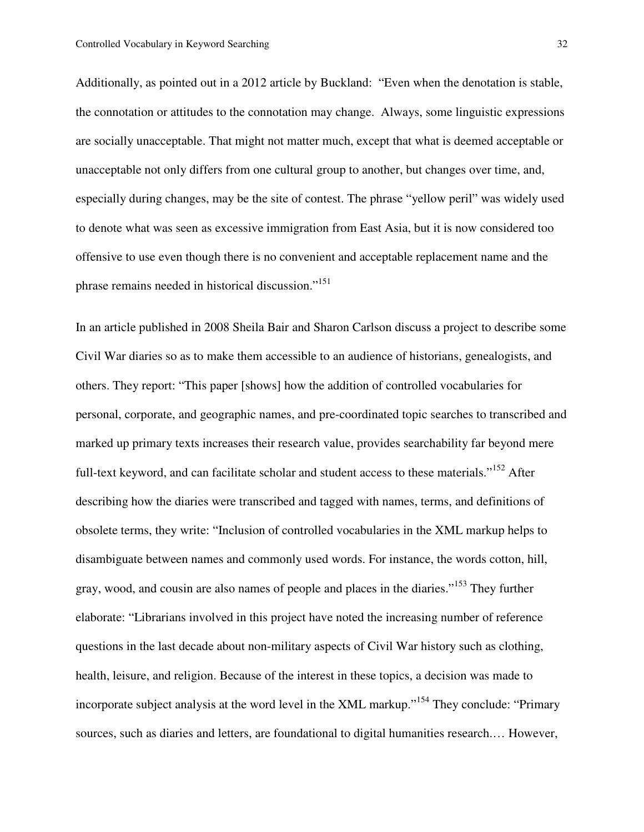Additionally, as pointed out in a 2012 article by Buckland: "Even when the denotation is stable, the connotation or attitudes to the connotation may change. Always, some linguistic expressions are socially unacceptable. That might not matter much, except that what is deemed acceptable or unacceptable not only differs from one cultural group to another, but changes over time, and, especially during changes, may be the site of contest. The phrase "yellow peril" was widely used to denote what was seen as excessive immigration from East Asia, but it is now considered too offensive to use even though there is no convenient and acceptable replacement name and the phrase remains needed in historical discussion."<sup>151</sup>

In an article published in 2008 Sheila Bair and Sharon Carlson discuss a project to describe some Civil War diaries so as to make them accessible to an audience of historians, genealogists, and others. They report: "This paper [shows] how the addition of controlled vocabularies for personal, corporate, and geographic names, and pre-coordinated topic searches to transcribed and marked up primary texts increases their research value, provides searchability far beyond mere full-text keyword, and can facilitate scholar and student access to these materials."<sup>152</sup> After describing how the diaries were transcribed and tagged with names, terms, and definitions of obsolete terms, they write: "Inclusion of controlled vocabularies in the XML markup helps to disambiguate between names and commonly used words. For instance, the words cotton, hill, gray, wood, and cousin are also names of people and places in the diaries."<sup>153</sup> They further elaborate: "Librarians involved in this project have noted the increasing number of reference questions in the last decade about non-military aspects of Civil War history such as clothing, health, leisure, and religion. Because of the interest in these topics, a decision was made to incorporate subject analysis at the word level in the XML markup."<sup>154</sup> They conclude: "Primary sources, such as diaries and letters, are foundational to digital humanities research.… However,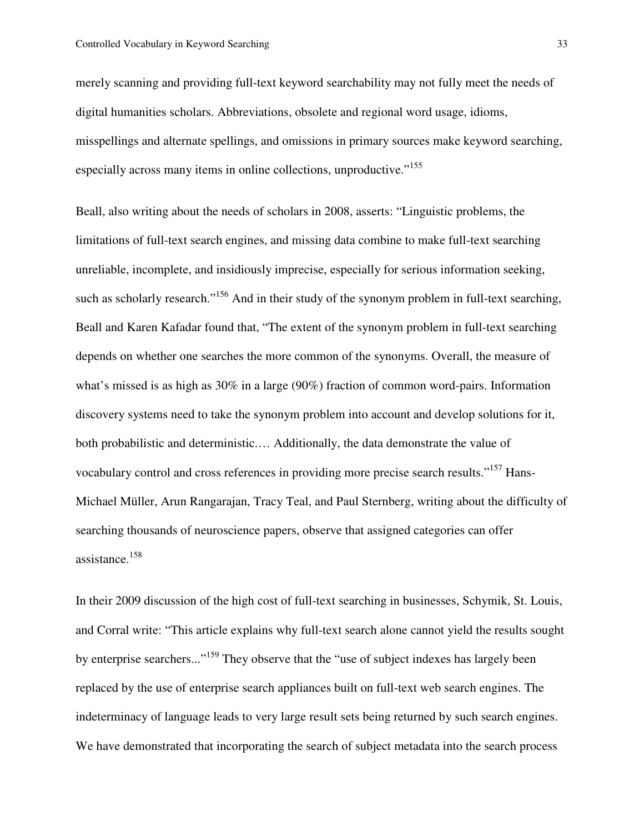merely scanning and providing full-text keyword searchability may not fully meet the needs of digital humanities scholars. Abbreviations, obsolete and regional word usage, idioms, misspellings and alternate spellings, and omissions in primary sources make keyword searching, especially across many items in online collections, unproductive."<sup>155</sup>

Beall, also writing about the needs of scholars in 2008, asserts: "Linguistic problems, the limitations of full-text search engines, and missing data combine to make full-text searching unreliable, incomplete, and insidiously imprecise, especially for serious information seeking, such as scholarly research."<sup>156</sup> And in their study of the synonym problem in full-text searching, Beall and Karen Kafadar found that, "The extent of the synonym problem in full-text searching depends on whether one searches the more common of the synonyms. Overall, the measure of what's missed is as high as 30% in a large (90%) fraction of common word-pairs. Information discovery systems need to take the synonym problem into account and develop solutions for it, both probabilistic and deterministic.… Additionally, the data demonstrate the value of vocabulary control and cross references in providing more precise search results."<sup>157</sup> Hans-Michael Müller, Arun Rangarajan, Tracy Teal, and Paul Sternberg, writing about the difficulty of searching thousands of neuroscience papers, observe that assigned categories can offer assistance.<sup>158</sup>

In their 2009 discussion of the high cost of full-text searching in businesses, Schymik, St. Louis, and Corral write: "This article explains why full-text search alone cannot yield the results sought by enterprise searchers..."<sup>159</sup> They observe that the "use of subject indexes has largely been replaced by the use of enterprise search appliances built on full-text web search engines. The indeterminacy of language leads to very large result sets being returned by such search engines. We have demonstrated that incorporating the search of subject metadata into the search process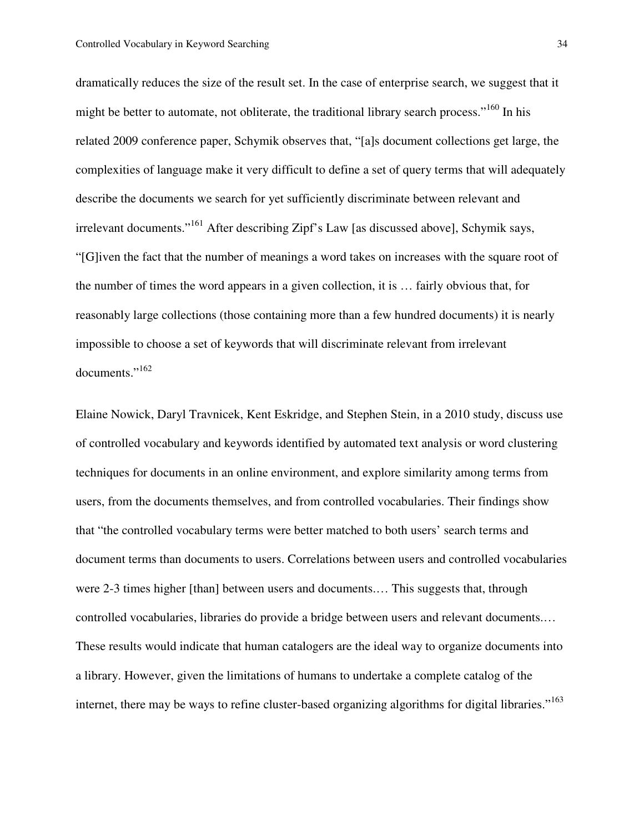dramatically reduces the size of the result set. In the case of enterprise search, we suggest that it might be better to automate, not obliterate, the traditional library search process."<sup>160</sup> In his related 2009 conference paper, Schymik observes that, "[a]s document collections get large, the complexities of language make it very difficult to define a set of query terms that will adequately describe the documents we search for yet sufficiently discriminate between relevant and irrelevant documents."<sup>161</sup> After describing Zipf's Law [as discussed above], Schymik says, "[G]iven the fact that the number of meanings a word takes on increases with the square root of the number of times the word appears in a given collection, it is … fairly obvious that, for reasonably large collections (those containing more than a few hundred documents) it is nearly impossible to choose a set of keywords that will discriminate relevant from irrelevant documents."<sup>162</sup>

Elaine Nowick, Daryl Travnicek, Kent Eskridge, and Stephen Stein, in a 2010 study, discuss use of controlled vocabulary and keywords identified by automated text analysis or word clustering techniques for documents in an online environment, and explore similarity among terms from users, from the documents themselves, and from controlled vocabularies. Their findings show that "the controlled vocabulary terms were better matched to both users' search terms and document terms than documents to users. Correlations between users and controlled vocabularies were 2-3 times higher [than] between users and documents.... This suggests that, through controlled vocabularies, libraries do provide a bridge between users and relevant documents.… These results would indicate that human catalogers are the ideal way to organize documents into a library. However, given the limitations of humans to undertake a complete catalog of the internet, there may be ways to refine cluster-based organizing algorithms for digital libraries."<sup>163</sup>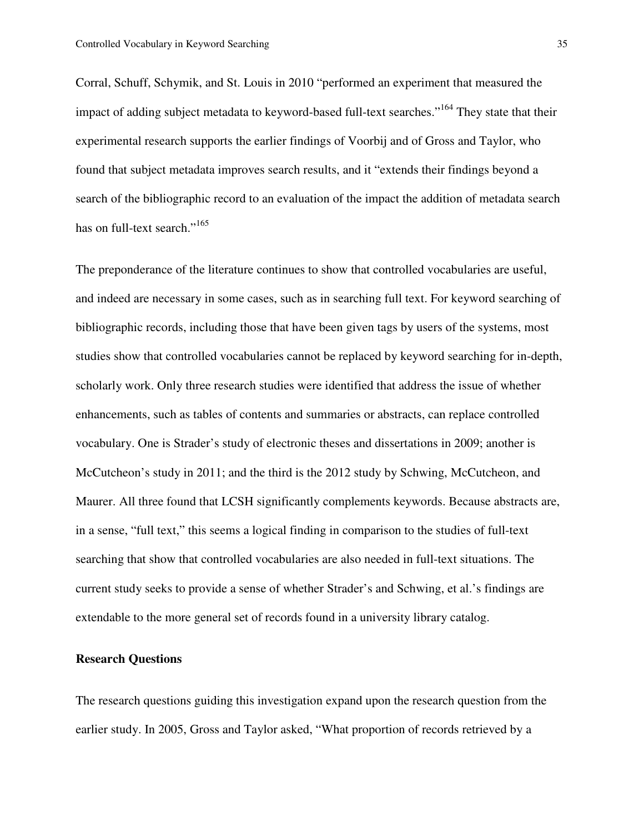Corral, Schuff, Schymik, and St. Louis in 2010 "performed an experiment that measured the impact of adding subject metadata to keyword-based full-text searches."<sup>164</sup> They state that their experimental research supports the earlier findings of Voorbij and of Gross and Taylor, who found that subject metadata improves search results, and it "extends their findings beyond a search of the bibliographic record to an evaluation of the impact the addition of metadata search has on full-text search."<sup>165</sup>

The preponderance of the literature continues to show that controlled vocabularies are useful, and indeed are necessary in some cases, such as in searching full text. For keyword searching of bibliographic records, including those that have been given tags by users of the systems, most studies show that controlled vocabularies cannot be replaced by keyword searching for in-depth, scholarly work. Only three research studies were identified that address the issue of whether enhancements, such as tables of contents and summaries or abstracts, can replace controlled vocabulary. One is Strader's study of electronic theses and dissertations in 2009; another is McCutcheon's study in 2011; and the third is the 2012 study by Schwing, McCutcheon, and Maurer. All three found that LCSH significantly complements keywords. Because abstracts are, in a sense, "full text," this seems a logical finding in comparison to the studies of full-text searching that show that controlled vocabularies are also needed in full-text situations. The current study seeks to provide a sense of whether Strader's and Schwing, et al.'s findings are extendable to the more general set of records found in a university library catalog.

## **Research Questions**

The research questions guiding this investigation expand upon the research question from the earlier study. In 2005, Gross and Taylor asked, "What proportion of records retrieved by a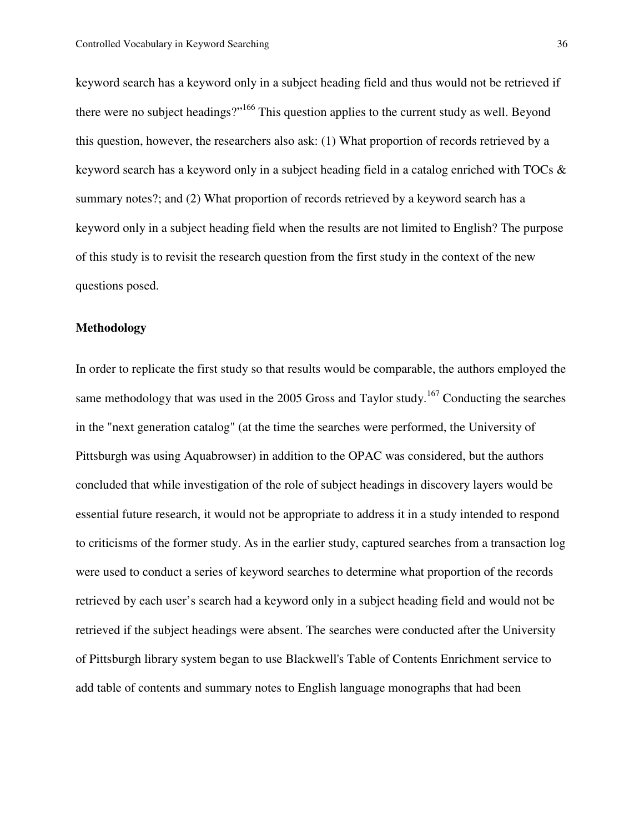keyword search has a keyword only in a subject heading field and thus would not be retrieved if there were no subject headings?"<sup>166</sup> This question applies to the current study as well. Beyond this question, however, the researchers also ask: (1) What proportion of records retrieved by a keyword search has a keyword only in a subject heading field in a catalog enriched with TOCs & summary notes?; and (2) What proportion of records retrieved by a keyword search has a keyword only in a subject heading field when the results are not limited to English? The purpose of this study is to revisit the research question from the first study in the context of the new questions posed.

#### **Methodology**

In order to replicate the first study so that results would be comparable, the authors employed the same methodology that was used in the 2005 Gross and Taylor study.<sup>167</sup> Conducting the searches in the "next generation catalog" (at the time the searches were performed, the University of Pittsburgh was using Aquabrowser) in addition to the OPAC was considered, but the authors concluded that while investigation of the role of subject headings in discovery layers would be essential future research, it would not be appropriate to address it in a study intended to respond to criticisms of the former study. As in the earlier study, captured searches from a transaction log were used to conduct a series of keyword searches to determine what proportion of the records retrieved by each user's search had a keyword only in a subject heading field and would not be retrieved if the subject headings were absent. The searches were conducted after the University of Pittsburgh library system began to use Blackwell's Table of Contents Enrichment service to add table of contents and summary notes to English language monographs that had been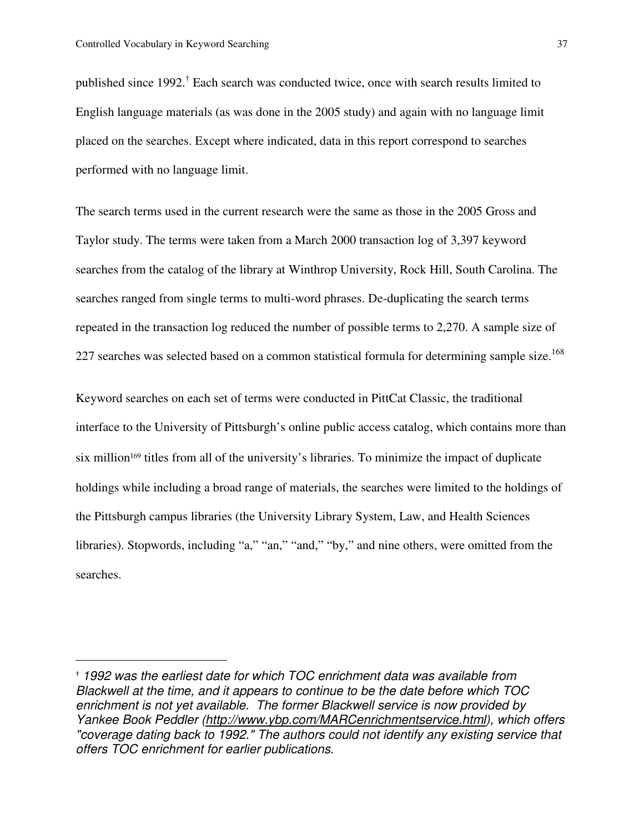l.

published since 1992.<sup>†</sup> Each search was conducted twice, once with search results limited to English language materials (as was done in the 2005 study) and again with no language limit placed on the searches. Except where indicated, data in this report correspond to searches performed with no language limit.

The search terms used in the current research were the same as those in the 2005 Gross and Taylor study. The terms were taken from a March 2000 transaction log of 3,397 keyword searches from the catalog of the library at Winthrop University, Rock Hill, South Carolina. The searches ranged from single terms to multi-word phrases. De-duplicating the search terms repeated in the transaction log reduced the number of possible terms to 2,270. A sample size of 227 searches was selected based on a common statistical formula for determining sample size.<sup>168</sup>

Keyword searches on each set of terms were conducted in PittCat Classic, the traditional interface to the University of Pittsburgh's online public access catalog, which contains more than six million<sup>169</sup> titles from all of the university's libraries. To minimize the impact of duplicate holdings while including a broad range of materials, the searches were limited to the holdings of the Pittsburgh campus libraries (the University Library System, Law, and Health Sciences libraries). Stopwords, including "a," "an," "and," "by," and nine others, were omitted from the searches.

<sup>†</sup> 1992 was the earliest date for which TOC enrichment data was available from Blackwell at the time, and it appears to continue to be the date before which TOC enrichment is not yet available. The former Blackwell service is now provided by Yankee Book Peddler (http://www.ybp.com/MARCenrichmentservice.html), which offers "coverage dating back to 1992." The authors could not identify any existing service that offers TOC enrichment for earlier publications.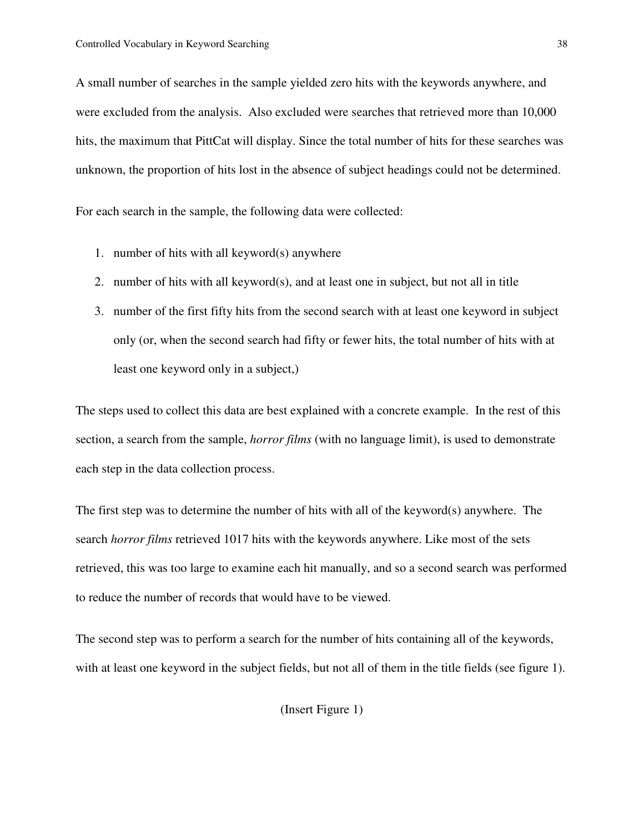A small number of searches in the sample yielded zero hits with the keywords anywhere, and were excluded from the analysis. Also excluded were searches that retrieved more than 10,000 hits, the maximum that PittCat will display. Since the total number of hits for these searches was unknown, the proportion of hits lost in the absence of subject headings could not be determined.

For each search in the sample, the following data were collected:

- 1. number of hits with all keyword(s) anywhere
- 2. number of hits with all keyword(s), and at least one in subject, but not all in title
- 3. number of the first fifty hits from the second search with at least one keyword in subject only (or, when the second search had fifty or fewer hits, the total number of hits with at least one keyword only in a subject,)

The steps used to collect this data are best explained with a concrete example. In the rest of this section, a search from the sample, *horror films* (with no language limit), is used to demonstrate each step in the data collection process.

The first step was to determine the number of hits with all of the keyword(s) anywhere. The search *horror films* retrieved 1017 hits with the keywords anywhere. Like most of the sets retrieved, this was too large to examine each hit manually, and so a second search was performed to reduce the number of records that would have to be viewed.

The second step was to perform a search for the number of hits containing all of the keywords, with at least one keyword in the subject fields, but not all of them in the title fields (see figure 1).

(Insert Figure 1)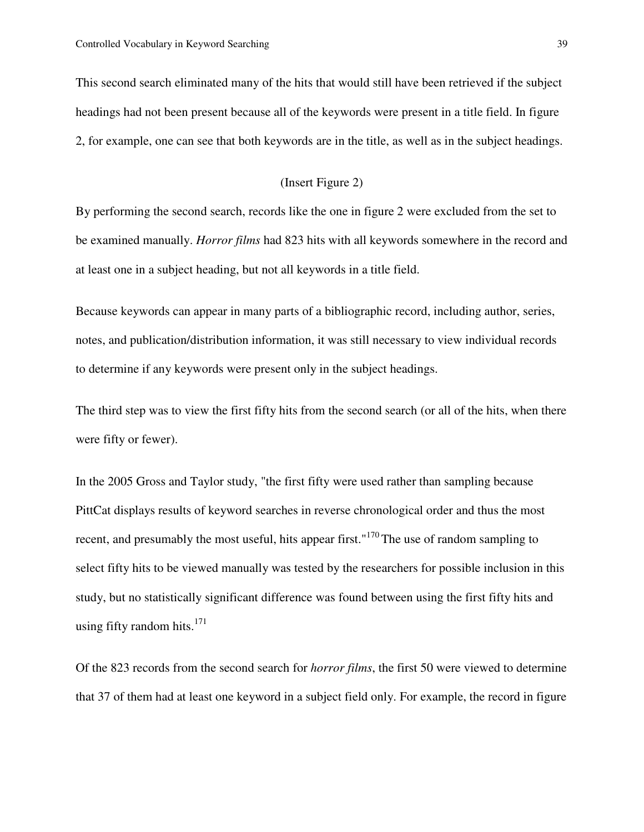This second search eliminated many of the hits that would still have been retrieved if the subject headings had not been present because all of the keywords were present in a title field. In figure 2, for example, one can see that both keywords are in the title, as well as in the subject headings.

#### (Insert Figure 2)

By performing the second search, records like the one in figure 2 were excluded from the set to be examined manually. *Horror films* had 823 hits with all keywords somewhere in the record and at least one in a subject heading, but not all keywords in a title field.

Because keywords can appear in many parts of a bibliographic record, including author, series, notes, and publication/distribution information, it was still necessary to view individual records to determine if any keywords were present only in the subject headings.

The third step was to view the first fifty hits from the second search (or all of the hits, when there were fifty or fewer).

In the 2005 Gross and Taylor study, "the first fifty were used rather than sampling because PittCat displays results of keyword searches in reverse chronological order and thus the most recent, and presumably the most useful, hits appear first."<sup>170</sup> The use of random sampling to select fifty hits to be viewed manually was tested by the researchers for possible inclusion in this study, but no statistically significant difference was found between using the first fifty hits and using fifty random hits. $171$ 

Of the 823 records from the second search for *horror films*, the first 50 were viewed to determine that 37 of them had at least one keyword in a subject field only. For example, the record in figure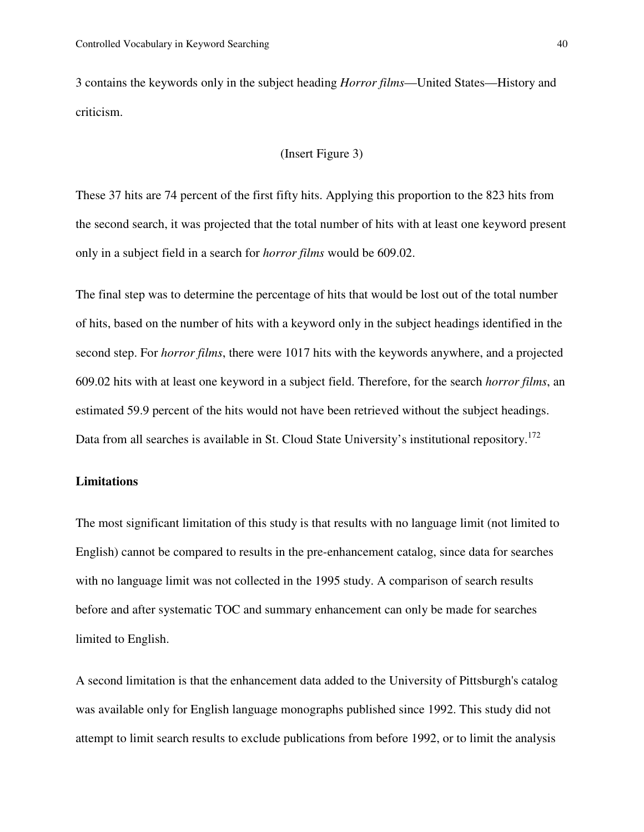3 contains the keywords only in the subject heading *Horror films*—United States—History and criticism.

#### (Insert Figure 3)

These 37 hits are 74 percent of the first fifty hits. Applying this proportion to the 823 hits from the second search, it was projected that the total number of hits with at least one keyword present only in a subject field in a search for *horror films* would be 609.02.

The final step was to determine the percentage of hits that would be lost out of the total number of hits, based on the number of hits with a keyword only in the subject headings identified in the second step. For *horror films*, there were 1017 hits with the keywords anywhere, and a projected 609.02 hits with at least one keyword in a subject field. Therefore, for the search *horror films*, an estimated 59.9 percent of the hits would not have been retrieved without the subject headings. Data from all searches is available in St. Cloud State University's institutional repository.<sup>172</sup>

## **Limitations**

The most significant limitation of this study is that results with no language limit (not limited to English) cannot be compared to results in the pre-enhancement catalog, since data for searches with no language limit was not collected in the 1995 study. A comparison of search results before and after systematic TOC and summary enhancement can only be made for searches limited to English.

A second limitation is that the enhancement data added to the University of Pittsburgh's catalog was available only for English language monographs published since 1992. This study did not attempt to limit search results to exclude publications from before 1992, or to limit the analysis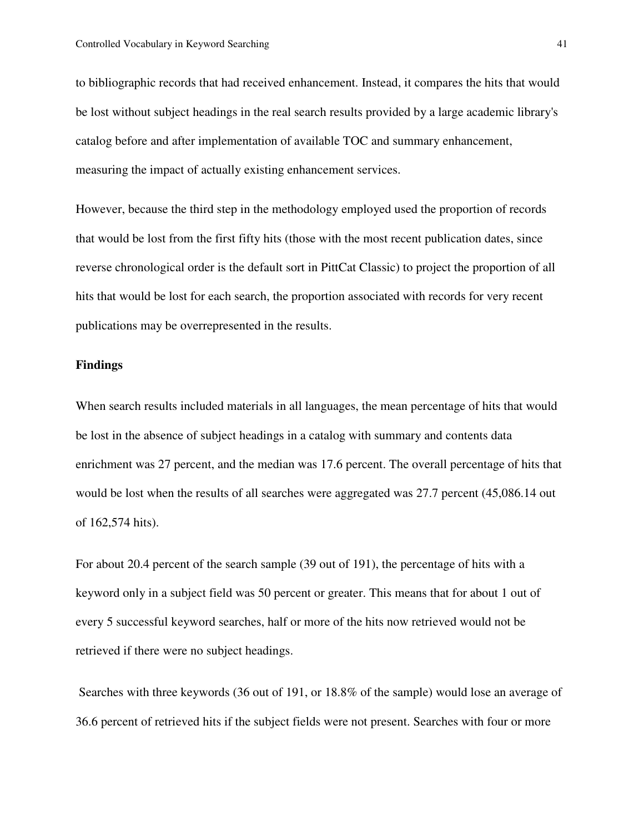to bibliographic records that had received enhancement. Instead, it compares the hits that would be lost without subject headings in the real search results provided by a large academic library's catalog before and after implementation of available TOC and summary enhancement, measuring the impact of actually existing enhancement services.

However, because the third step in the methodology employed used the proportion of records that would be lost from the first fifty hits (those with the most recent publication dates, since reverse chronological order is the default sort in PittCat Classic) to project the proportion of all hits that would be lost for each search, the proportion associated with records for very recent publications may be overrepresented in the results.

#### **Findings**

When search results included materials in all languages, the mean percentage of hits that would be lost in the absence of subject headings in a catalog with summary and contents data enrichment was 27 percent, and the median was 17.6 percent. The overall percentage of hits that would be lost when the results of all searches were aggregated was 27.7 percent (45,086.14 out of 162,574 hits).

For about 20.4 percent of the search sample (39 out of 191), the percentage of hits with a keyword only in a subject field was 50 percent or greater. This means that for about 1 out of every 5 successful keyword searches, half or more of the hits now retrieved would not be retrieved if there were no subject headings.

 Searches with three keywords (36 out of 191, or 18.8% of the sample) would lose an average of 36.6 percent of retrieved hits if the subject fields were not present. Searches with four or more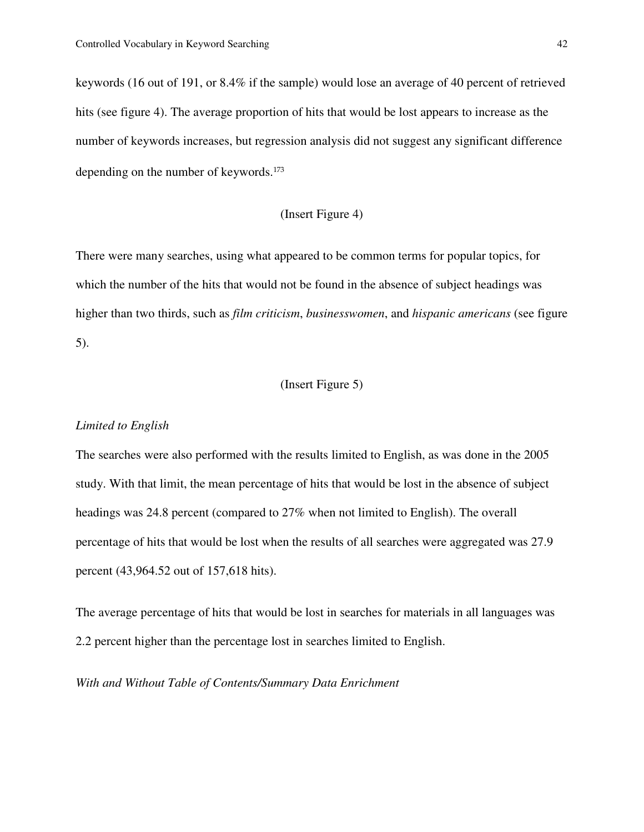keywords (16 out of 191, or 8.4% if the sample) would lose an average of 40 percent of retrieved hits (see figure 4). The average proportion of hits that would be lost appears to increase as the number of keywords increases, but regression analysis did not suggest any significant difference depending on the number of keywords.<sup>173</sup>

## (Insert Figure 4)

There were many searches, using what appeared to be common terms for popular topics, for which the number of the hits that would not be found in the absence of subject headings was higher than two thirds, such as *film criticism*, *businesswomen*, and *hispanic americans* (see figure 5).

### (Insert Figure 5)

### *Limited to English*

The searches were also performed with the results limited to English, as was done in the 2005 study. With that limit, the mean percentage of hits that would be lost in the absence of subject headings was 24.8 percent (compared to 27% when not limited to English). The overall percentage of hits that would be lost when the results of all searches were aggregated was 27.9 percent (43,964.52 out of 157,618 hits).

The average percentage of hits that would be lost in searches for materials in all languages was 2.2 percent higher than the percentage lost in searches limited to English.

*With and Without Table of Contents/Summary Data Enrichment*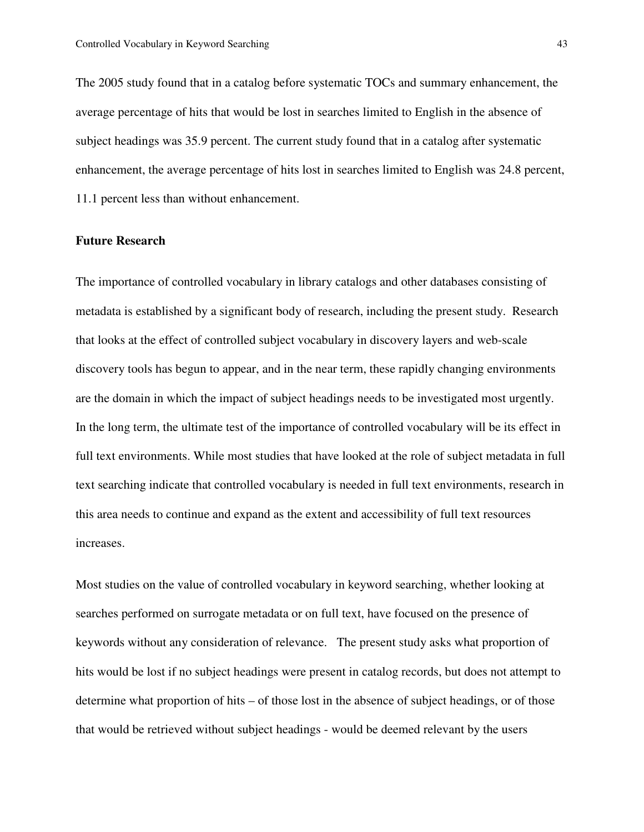The 2005 study found that in a catalog before systematic TOCs and summary enhancement, the average percentage of hits that would be lost in searches limited to English in the absence of subject headings was 35.9 percent. The current study found that in a catalog after systematic enhancement, the average percentage of hits lost in searches limited to English was 24.8 percent, 11.1 percent less than without enhancement.

#### **Future Research**

The importance of controlled vocabulary in library catalogs and other databases consisting of metadata is established by a significant body of research, including the present study. Research that looks at the effect of controlled subject vocabulary in discovery layers and web-scale discovery tools has begun to appear, and in the near term, these rapidly changing environments are the domain in which the impact of subject headings needs to be investigated most urgently. In the long term, the ultimate test of the importance of controlled vocabulary will be its effect in full text environments. While most studies that have looked at the role of subject metadata in full text searching indicate that controlled vocabulary is needed in full text environments, research in this area needs to continue and expand as the extent and accessibility of full text resources increases.

Most studies on the value of controlled vocabulary in keyword searching, whether looking at searches performed on surrogate metadata or on full text, have focused on the presence of keywords without any consideration of relevance. The present study asks what proportion of hits would be lost if no subject headings were present in catalog records, but does not attempt to determine what proportion of hits – of those lost in the absence of subject headings, or of those that would be retrieved without subject headings - would be deemed relevant by the users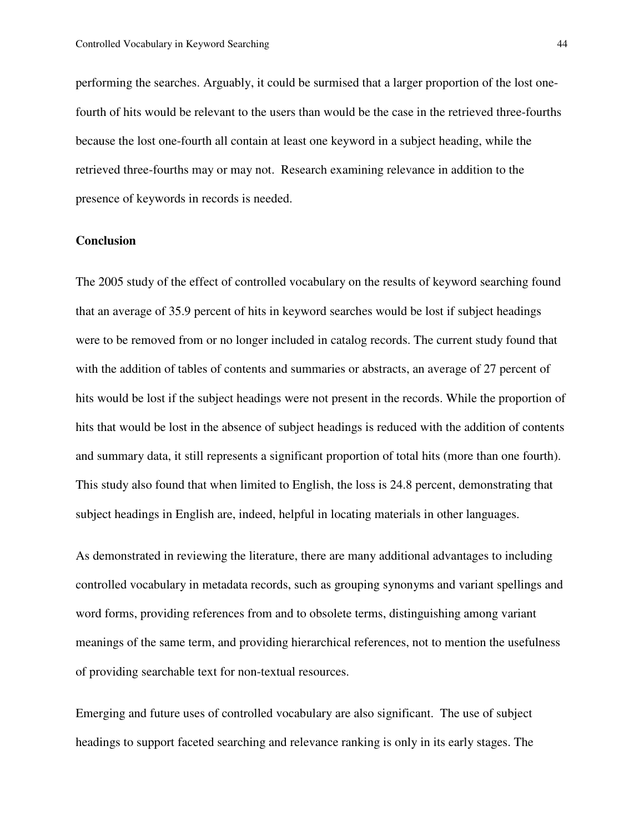performing the searches. Arguably, it could be surmised that a larger proportion of the lost onefourth of hits would be relevant to the users than would be the case in the retrieved three-fourths because the lost one-fourth all contain at least one keyword in a subject heading, while the retrieved three-fourths may or may not. Research examining relevance in addition to the presence of keywords in records is needed.

#### **Conclusion**

The 2005 study of the effect of controlled vocabulary on the results of keyword searching found that an average of 35.9 percent of hits in keyword searches would be lost if subject headings were to be removed from or no longer included in catalog records. The current study found that with the addition of tables of contents and summaries or abstracts, an average of 27 percent of hits would be lost if the subject headings were not present in the records. While the proportion of hits that would be lost in the absence of subject headings is reduced with the addition of contents and summary data, it still represents a significant proportion of total hits (more than one fourth). This study also found that when limited to English, the loss is 24.8 percent, demonstrating that subject headings in English are, indeed, helpful in locating materials in other languages.

As demonstrated in reviewing the literature, there are many additional advantages to including controlled vocabulary in metadata records, such as grouping synonyms and variant spellings and word forms, providing references from and to obsolete terms, distinguishing among variant meanings of the same term, and providing hierarchical references, not to mention the usefulness of providing searchable text for non-textual resources.

Emerging and future uses of controlled vocabulary are also significant. The use of subject headings to support faceted searching and relevance ranking is only in its early stages. The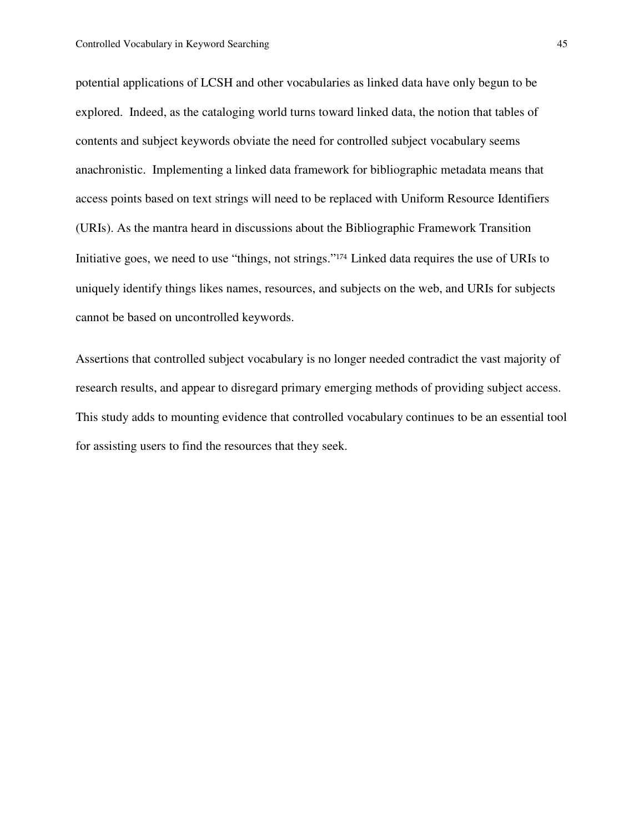potential applications of LCSH and other vocabularies as linked data have only begun to be explored. Indeed, as the cataloging world turns toward linked data, the notion that tables of contents and subject keywords obviate the need for controlled subject vocabulary seems anachronistic. Implementing a linked data framework for bibliographic metadata means that access points based on text strings will need to be replaced with Uniform Resource Identifiers (URIs). As the mantra heard in discussions about the Bibliographic Framework Transition Initiative goes, we need to use "things, not strings."<sup>174</sup>Linked data requires the use of URIs to uniquely identify things likes names, resources, and subjects on the web, and URIs for subjects cannot be based on uncontrolled keywords.

Assertions that controlled subject vocabulary is no longer needed contradict the vast majority of research results, and appear to disregard primary emerging methods of providing subject access. This study adds to mounting evidence that controlled vocabulary continues to be an essential tool for assisting users to find the resources that they seek.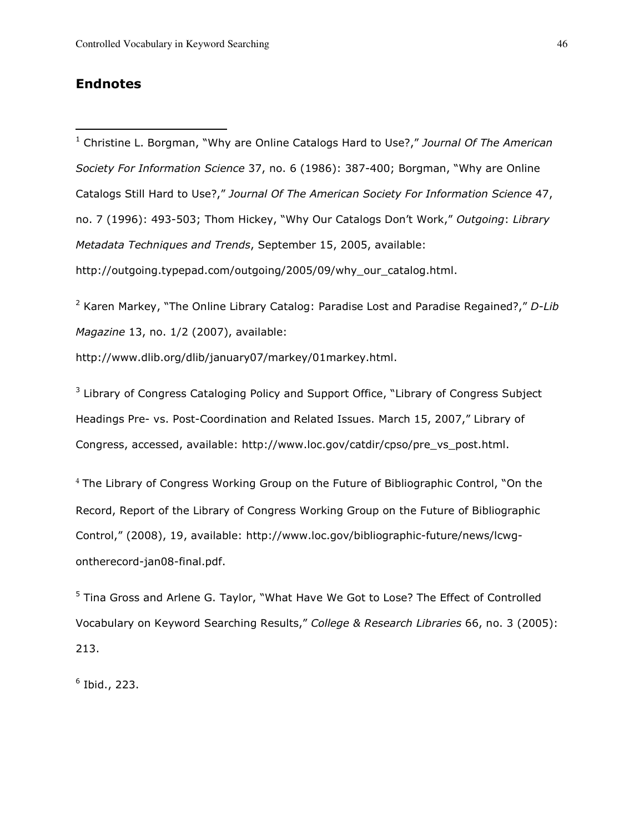## Endnotes

 $\overline{a}$ 

<sup>1</sup> Christine L. Borgman, "Why are Online Catalogs Hard to Use?," Journal Of The American Society For Information Science 37, no. 6 (1986): 387-400; Borgman, "Why are Online Catalogs Still Hard to Use?," Journal Of The American Society For Information Science 47, no. 7 (1996): 493-503; Thom Hickey, "Why Our Catalogs Don't Work," Outgoing: Library Metadata Techniques and Trends, September 15, 2005, available: http://outgoing.typepad.com/outgoing/2005/09/why\_our\_catalog.html.

<sup>2</sup> Karen Markey, "The Online Library Catalog: Paradise Lost and Paradise Regained?," D-Lib Magazine 13, no. 1/2 (2007), available:

http://www.dlib.org/dlib/january07/markey/01markey.html.

<sup>3</sup> Library of Congress Cataloging Policy and Support Office, "Library of Congress Subject Headings Pre- vs. Post-Coordination and Related Issues. March 15, 2007," Library of Congress, accessed, available: http://www.loc.gov/catdir/cpso/pre\_vs\_post.html.

<sup>4</sup> The Library of Congress Working Group on the Future of Bibliographic Control, "On the Record, Report of the Library of Congress Working Group on the Future of Bibliographic Control," (2008), 19, available: http://www.loc.gov/bibliographic-future/news/lcwgontherecord-jan08-final.pdf.

<sup>5</sup> Tina Gross and Arlene G. Taylor, "What Have We Got to Lose? The Effect of Controlled Vocabulary on Keyword Searching Results," College & Research Libraries 66, no. 3 (2005): 213.

6 Ibid., 223.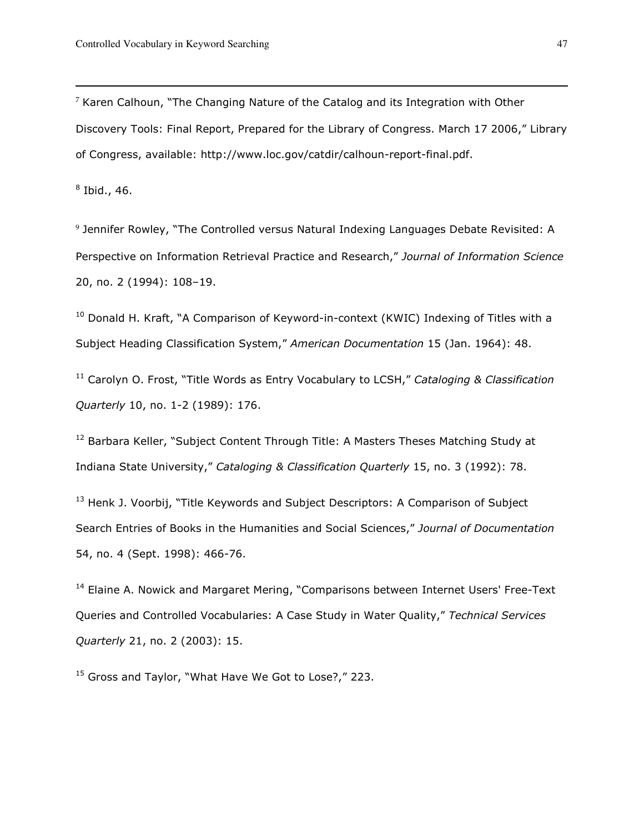$7$  Karen Calhoun, "The Changing Nature of the Catalog and its Integration with Other Discovery Tools: Final Report, Prepared for the Library of Congress. March 17 2006," Library of Congress, available: http://www.loc.gov/catdir/calhoun-report-final.pdf.

 $^8$  Ibid., 46.

 $\overline{a}$ 

<sup>9</sup> Jennifer Rowley, "The Controlled versus Natural Indexing Languages Debate Revisited: A Perspective on Information Retrieval Practice and Research," Journal of Information Science 20, no. 2 (1994): 108–19.

 $10$  Donald H. Kraft, "A Comparison of Keyword-in-context (KWIC) Indexing of Titles with a Subject Heading Classification System," American Documentation 15 (Jan. 1964): 48.

 $11$  Carolyn O. Frost, "Title Words as Entry Vocabulary to LCSH," Cataloging & Classification Quarterly 10, no. 1-2 (1989): 176.

<sup>12</sup> Barbara Keller, "Subject Content Through Title: A Masters Theses Matching Study at Indiana State University," Cataloging & Classification Quarterly 15, no. 3 (1992): 78.

<sup>13</sup> Henk J. Voorbij, "Title Keywords and Subject Descriptors: A Comparison of Subject Search Entries of Books in the Humanities and Social Sciences," Journal of Documentation 54, no. 4 (Sept. 1998): 466-76.

<sup>14</sup> Elaine A. Nowick and Margaret Mering, "Comparisons between Internet Users' Free-Text Queries and Controlled Vocabularies: A Case Study in Water Quality," Technical Services Quarterly 21, no. 2 (2003): 15.

<sup>15</sup> Gross and Taylor, "What Have We Got to Lose?," 223.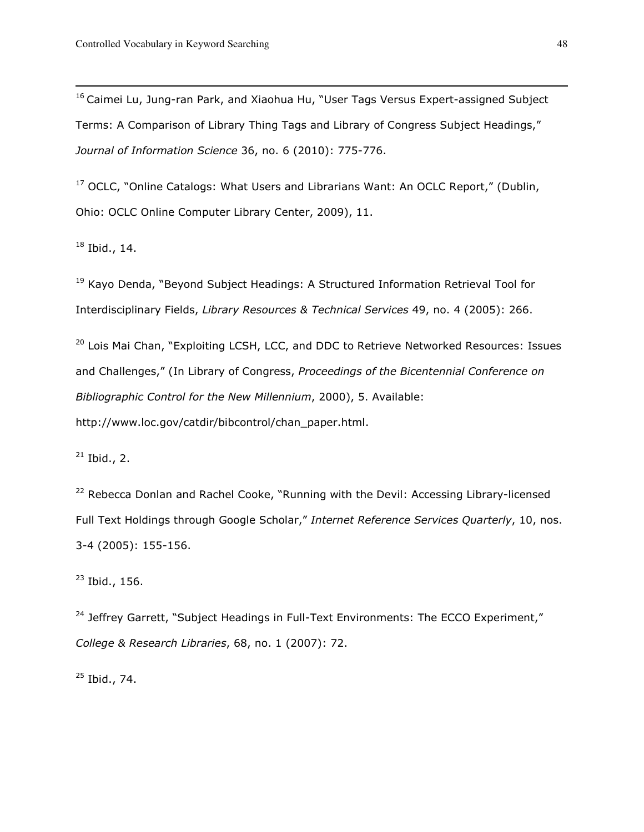<sup>16</sup> Caimei Lu, Jung-ran Park, and Xiaohua Hu, "User Tags Versus Expert-assigned Subject Terms: A Comparison of Library Thing Tags and Library of Congress Subject Headings," Journal of Information Science 36, no. 6 (2010): 775-776.

<sup>17</sup> OCLC, "Online Catalogs: What Users and Librarians Want: An OCLC Report," (Dublin, Ohio: OCLC Online Computer Library Center, 2009), 11.

 $18$  Ibid., 14.

 $\overline{a}$ 

<sup>19</sup> Kayo Denda, "Beyond Subject Headings: A Structured Information Retrieval Tool for Interdisciplinary Fields, Library Resources & Technical Services 49, no. 4 (2005): 266.

<sup>20</sup> Lois Mai Chan, "Exploiting LCSH, LCC, and DDC to Retrieve Networked Resources: Issues and Challenges," (In Library of Congress, Proceedings of the Bicentennial Conference on Bibliographic Control for the New Millennium, 2000), 5. Available: http://www.loc.gov/catdir/bibcontrol/chan\_paper.html.

 $21$  Ibid., 2.

<sup>22</sup> Rebecca Donlan and Rachel Cooke, "Running with the Devil: Accessing Library-licensed Full Text Holdings through Google Scholar," Internet Reference Services Quarterly, 10, nos. 3-4 (2005): 155-156.

 $23$  Ibid., 156.

<sup>24</sup> Jeffrey Garrett, "Subject Headings in Full-Text Environments: The ECCO Experiment," College & Research Libraries, 68, no. 1 (2007): 72.

 $25$  Ibid., 74.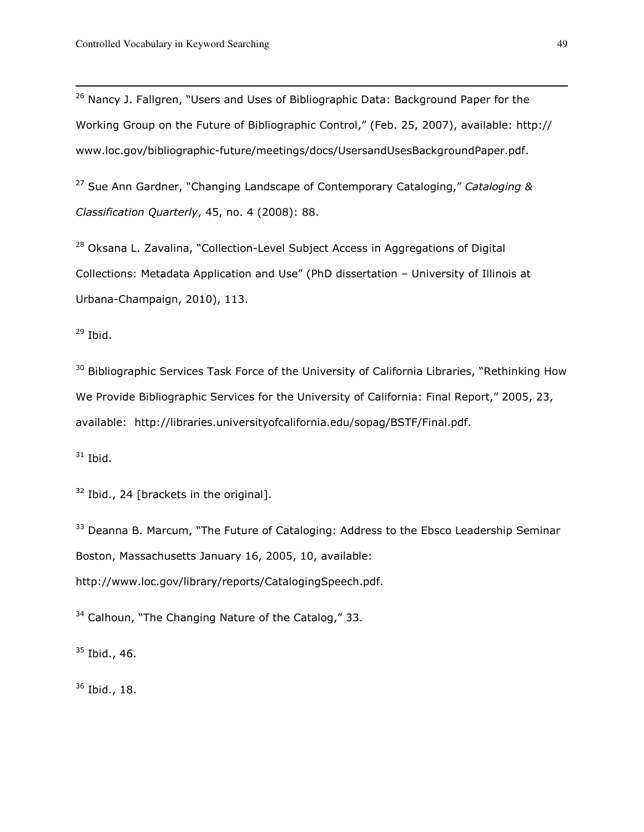<sup>26</sup> Nancy J. Fallgren, "Users and Uses of Bibliographic Data: Background Paper for the Working Group on the Future of Bibliographic Control," (Feb. 25, 2007), available: http:// www.loc.gov/bibliographic-future/meetings/docs/UsersandUsesBackgroundPaper.pdf.

<sup>27</sup> Sue Ann Gardner, "Changing Landscape of Contemporary Cataloging," Cataloging & Classification Quarterly, 45, no. 4 (2008): 88.

<sup>28</sup> Oksana L. Zavalina, "Collection-Level Subject Access in Aggregations of Digital Collections: Metadata Application and Use" (PhD dissertation – University of Illinois at Urbana-Champaign, 2010), 113.

 $29$  Ibid.

 $\overline{a}$ 

<sup>30</sup> Bibliographic Services Task Force of the University of California Libraries, "Rethinking How We Provide Bibliographic Services for the University of California: Final Report," 2005, 23, available: http://libraries.universityofcalifornia.edu/sopag/BSTF/Final.pdf.

 $31$  Ibid.

 $32$  Ibid., 24 [brackets in the original].

<sup>33</sup> Deanna B. Marcum, "The Future of Cataloging: Address to the Ebsco Leadership Seminar Boston, Massachusetts January 16, 2005, 10, available: http://www.loc.gov/library/reports/CatalogingSpeech.pdf.

 $34$  Calhoun, "The Changing Nature of the Catalog," 33.

<sup>35</sup> Ibid., 46.

<sup>36</sup> Ibid., 18.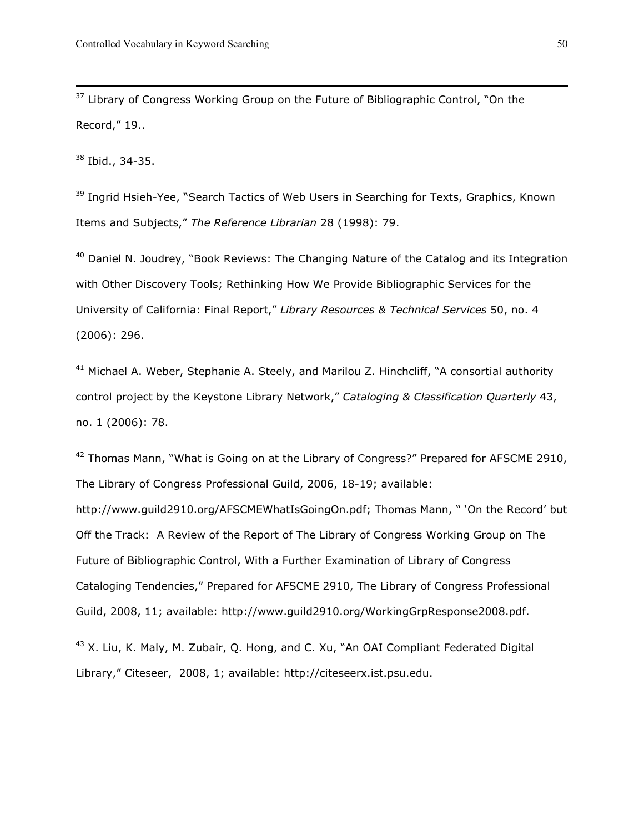$37$  Library of Congress Working Group on the Future of Bibliographic Control, "On the Record," 19..

<sup>38</sup> Ibid., 34-35.

 $\overline{a}$ 

<sup>39</sup> Ingrid Hsieh-Yee, "Search Tactics of Web Users in Searching for Texts, Graphics, Known Items and Subjects," The Reference Librarian 28 (1998): 79.

 $40$  Daniel N. Joudrey, "Book Reviews: The Changing Nature of the Catalog and its Integration with Other Discovery Tools; Rethinking How We Provide Bibliographic Services for the University of California: Final Report," Library Resources & Technical Services 50, no. 4 (2006): 296.

 $41$  Michael A. Weber, Stephanie A. Steely, and Marilou Z. Hinchcliff, "A consortial authority control project by the Keystone Library Network," Cataloging & Classification Quarterly 43, no. 1 (2006): 78.

 $42$  Thomas Mann, "What is Going on at the Library of Congress?" Prepared for AFSCME 2910, The Library of Congress Professional Guild, 2006, 18-19; available: http://www.guild2910.org/AFSCMEWhatIsGoingOn.pdf; Thomas Mann, " 'On the Record' but Off the Track: A Review of the Report of The Library of Congress Working Group on The Future of Bibliographic Control, With a Further Examination of Library of Congress Cataloging Tendencies," Prepared for AFSCME 2910, The Library of Congress Professional Guild, 2008, 11; available: http://www.guild2910.org/WorkingGrpResponse2008.pdf.

<sup>43</sup> X. Liu, K. Maly, M. Zubair, Q. Hong, and C. Xu, "An OAI Compliant Federated Digital Library," Citeseer, 2008, 1; available: http://citeseerx.ist.psu.edu.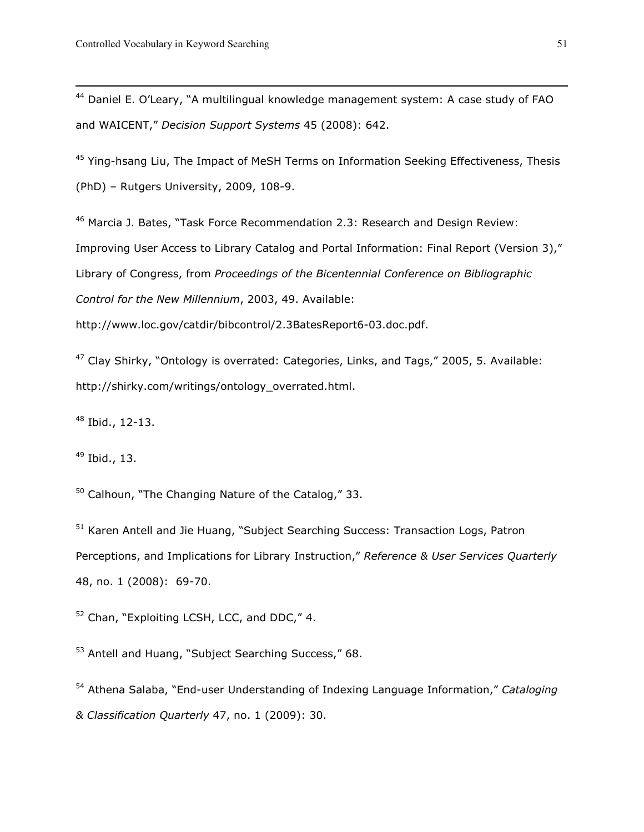<sup>44</sup> Daniel E. O'Leary, "A multilingual knowledge management system: A case study of FAO and WAICENT," Decision Support Systems 45 (2008): 642.

<sup>45</sup> Ying-hsang Liu, The Impact of MeSH Terms on Information Seeking Effectiveness, Thesis (PhD) – Rutgers University, 2009, 108-9.

<sup>46</sup> Marcia J. Bates, "Task Force Recommendation 2.3: Research and Design Review: Improving User Access to Library Catalog and Portal Information: Final Report (Version 3)," Library of Congress, from Proceedings of the Bicentennial Conference on Bibliographic Control for the New Millennium, 2003, 49. Available:

http://www.loc.gov/catdir/bibcontrol/2.3BatesReport6-03.doc.pdf.

<sup>47</sup> Clay Shirky, "Ontology is overrated: Categories, Links, and Tags," 2005, 5. Available: http://shirky.com/writings/ontology\_overrated.html.

<sup>48</sup> Ibid., 12-13.

<sup>49</sup> Ibid., 13.

 $50$  Calhoun, "The Changing Nature of the Catalog," 33.

<sup>51</sup> Karen Antell and Jie Huang, "Subject Searching Success: Transaction Logs, Patron Perceptions, and Implications for Library Instruction," Reference & User Services Quarterly 48, no. 1 (2008): 69-70.

<sup>52</sup> Chan, "Exploiting LCSH, LCC, and DDC," 4.

<sup>53</sup> Antell and Huang, "Subject Searching Success," 68.

<sup>54</sup> Athena Salaba, "End-user Understanding of Indexing Language Information," Cataloging & Classification Quarterly 47, no. 1 (2009): 30.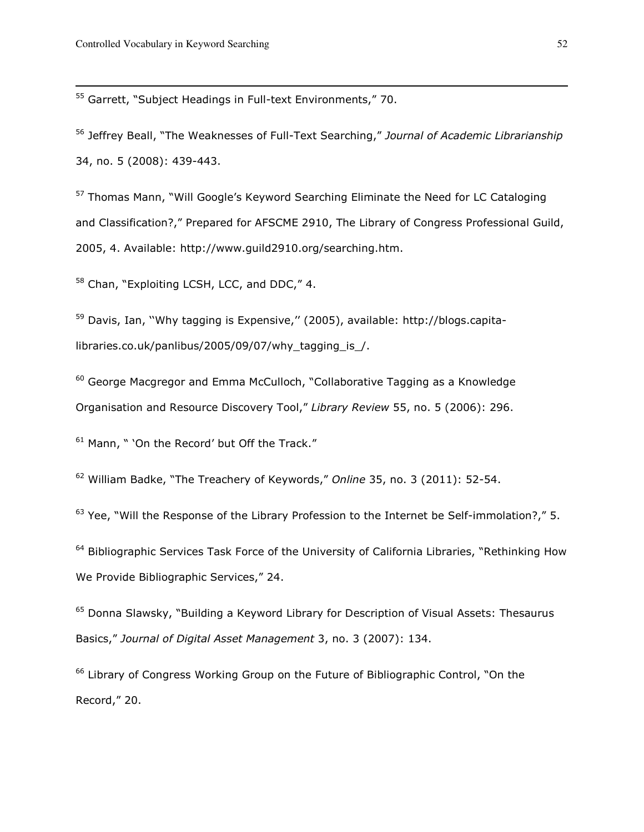<sup>55</sup> Garrett, "Subject Headings in Full-text Environments," 70.

<sup>56</sup> Jeffrey Beall, "The Weaknesses of Full-Text Searching," Journal of Academic Librarianship 34, no. 5 (2008): 439-443.

<sup>57</sup> Thomas Mann, "Will Google's Keyword Searching Eliminate the Need for LC Cataloging and Classification?," Prepared for AFSCME 2910, The Library of Congress Professional Guild, 2005, 4. Available: http://www.guild2910.org/searching.htm.

<sup>58</sup> Chan, "Exploiting LCSH, LCC, and DDC," 4.

<sup>59</sup> Davis, Ian, "Why tagging is Expensive," (2005), available: http://blogs.capitalibraries.co.uk/panlibus/2005/09/07/why\_tagging\_is\_/.

<sup>60</sup> George Macgregor and Emma McCulloch, "Collaborative Tagging as a Knowledge Organisation and Resource Discovery Tool," Library Review 55, no. 5 (2006): 296.

<sup>61</sup> Mann, " 'On the Record' but Off the Track."

<sup>62</sup> William Badke, "The Treachery of Keywords," Online 35, no. 3 (2011): 52-54.

 $63$  Yee, "Will the Response of the Library Profession to the Internet be Self-immolation?," 5.

<sup>64</sup> Bibliographic Services Task Force of the University of California Libraries, "Rethinking How We Provide Bibliographic Services," 24.

<sup>65</sup> Donna Slawsky, "Building a Keyword Library for Description of Visual Assets: Thesaurus Basics," Journal of Digital Asset Management 3, no. 3 (2007): 134.

<sup>66</sup> Library of Congress Working Group on the Future of Bibliographic Control, "On the Record," 20.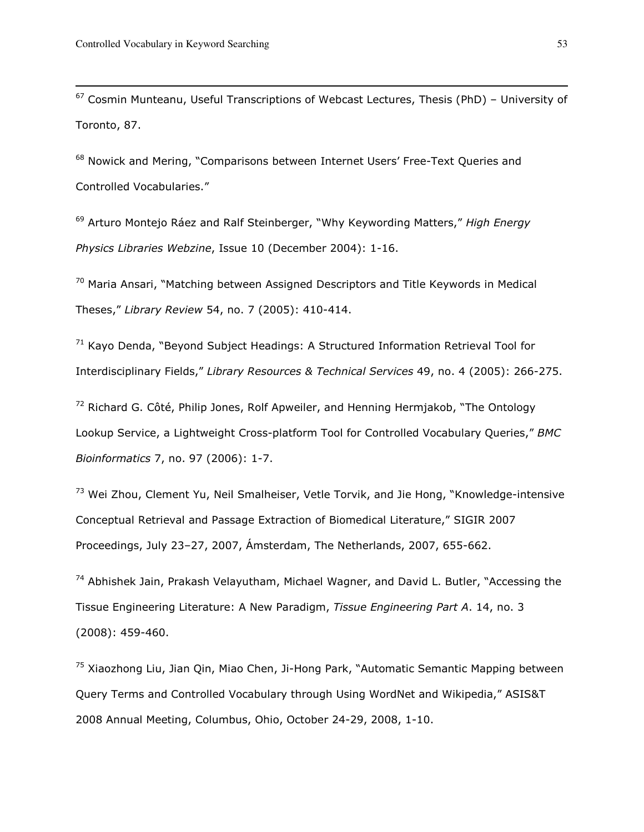$67$  Cosmin Munteanu, Useful Transcriptions of Webcast Lectures, Thesis (PhD) - University of Toronto, 87.

<sup>68</sup> Nowick and Mering, "Comparisons between Internet Users' Free-Text Queries and Controlled Vocabularies."

<sup>69</sup> Arturo Montejo Ráez and Ralf Steinberger, "Why Keywording Matters," High Energy Physics Libraries Webzine, Issue 10 (December 2004): 1-16.

 $70$  Maria Ansari, "Matching between Assigned Descriptors and Title Keywords in Medical Theses," Library Review 54, no. 7 (2005): 410-414.

 $71$  Kayo Denda, "Beyond Subject Headings: A Structured Information Retrieval Tool for Interdisciplinary Fields," Library Resources & Technical Services 49, no. 4 (2005): 266-275.

 $72$  Richard G. Côté, Philip Jones, Rolf Apweiler, and Henning Hermjakob, "The Ontology Lookup Service, a Lightweight Cross-platform Tool for Controlled Vocabulary Queries," BMC Bioinformatics 7, no. 97 (2006): 1-7.

<sup>73</sup> Wei Zhou, Clement Yu, Neil Smalheiser, Vetle Torvik, and Jie Hong, "Knowledge-intensive Conceptual Retrieval and Passage Extraction of Biomedical Literature," SIGIR 2007 Proceedings, July 23–27, 2007, Ámsterdam, The Netherlands, 2007, 655-662.

 $74$  Abhishek Jain, Prakash Velayutham, Michael Wagner, and David L. Butler, "Accessing the Tissue Engineering Literature: A New Paradigm, Tissue Engineering Part A. 14, no. 3 (2008): 459-460.

<sup>75</sup> Xiaozhong Liu, Jian Qin, Miao Chen, Ji-Hong Park, "Automatic Semantic Mapping between Query Terms and Controlled Vocabulary through Using WordNet and Wikipedia," ASIS&T 2008 Annual Meeting, Columbus, Ohio, October 24-29, 2008, 1-10.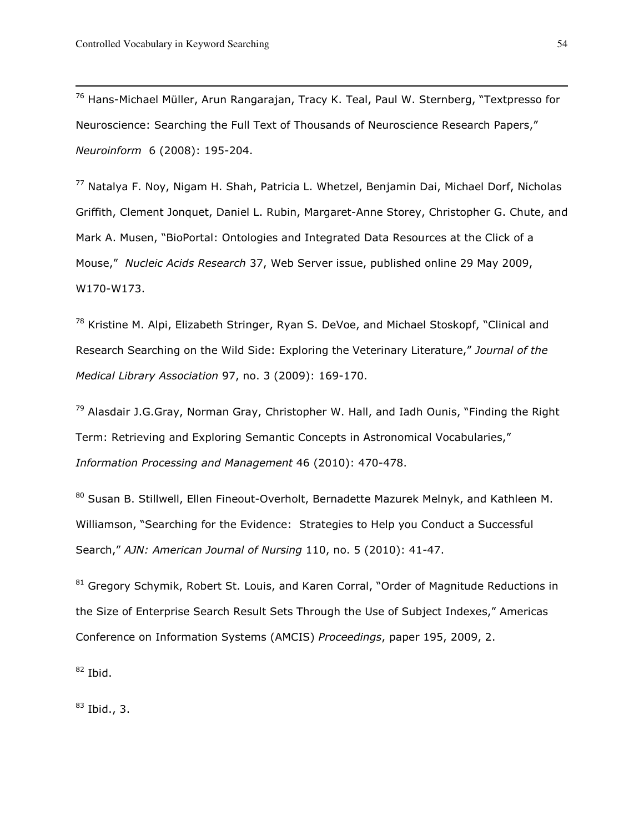<sup>76</sup> Hans-Michael Müller, Arun Rangarajan, Tracy K. Teal, Paul W. Sternberg, "Textpresso for Neuroscience: Searching the Full Text of Thousands of Neuroscience Research Papers," Neuroinform 6 (2008): 195-204.

<sup>77</sup> Natalya F. Noy, Nigam H. Shah, Patricia L. Whetzel, Benjamin Dai, Michael Dorf, Nicholas Griffith, Clement Jonquet, Daniel L. Rubin, Margaret-Anne Storey, Christopher G. Chute, and Mark A. Musen, "BioPortal: Ontologies and Integrated Data Resources at the Click of a Mouse," Nucleic Acids Research 37, Web Server issue, published online 29 May 2009, W170-W173.

<sup>78</sup> Kristine M. Alpi, Elizabeth Stringer, Ryan S. DeVoe, and Michael Stoskopf, "Clinical and Research Searching on the Wild Side: Exploring the Veterinary Literature," Journal of the Medical Library Association 97, no. 3 (2009): 169-170.

 $79$  Alasdair J.G.Gray, Norman Gray, Christopher W. Hall, and Iadh Ounis, "Finding the Right Term: Retrieving and Exploring Semantic Concepts in Astronomical Vocabularies," Information Processing and Management 46 (2010): 470-478.

80 Susan B. Stillwell, Ellen Fineout-Overholt, Bernadette Mazurek Melnyk, and Kathleen M. Williamson, "Searching for the Evidence: Strategies to Help you Conduct a Successful Search," AJN: American Journal of Nursing 110, no. 5 (2010): 41-47.

<sup>81</sup> Gregory Schymik, Robert St. Louis, and Karen Corral, "Order of Magnitude Reductions in the Size of Enterprise Search Result Sets Through the Use of Subject Indexes," Americas Conference on Information Systems (AMCIS) Proceedings, paper 195, 2009, 2.

 $82$  Ibid.

 $83$  Ibid., 3.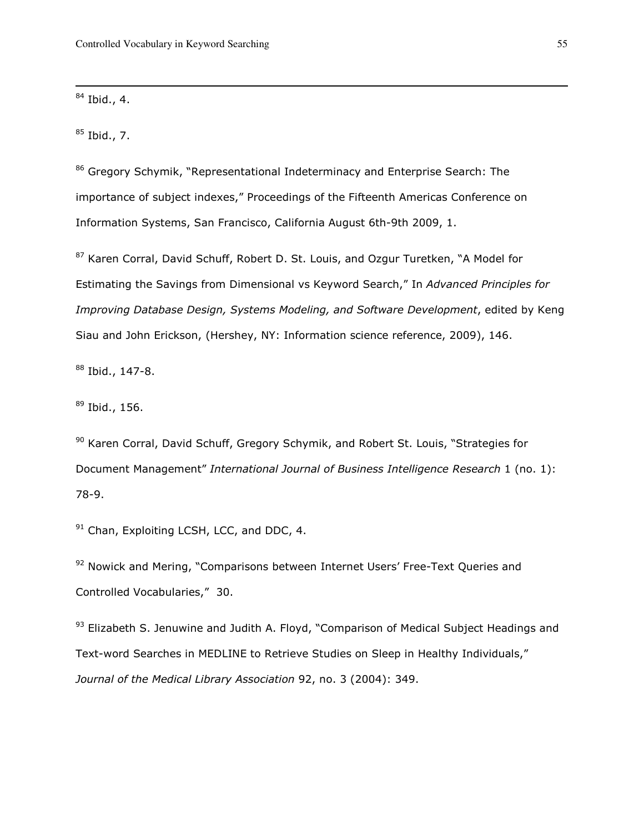$84$  Ibid., 4.

 $\overline{a}$ 

 $85$  Ibid., 7.

86 Gregory Schymik, "Representational Indeterminacy and Enterprise Search: The importance of subject indexes," Proceedings of the Fifteenth Americas Conference on Information Systems, San Francisco, California August 6th-9th 2009, 1.

87 Karen Corral, David Schuff, Robert D. St. Louis, and Ozgur Turetken, "A Model for Estimating the Savings from Dimensional vs Keyword Search," In Advanced Principles for Improving Database Design, Systems Modeling, and Software Development, edited by Keng Siau and John Erickson, (Hershey, NY: Information science reference, 2009), 146.

<sup>88</sup> Ibid., 147-8.

 $89$  Ibid., 156.

90 Karen Corral, David Schuff, Gregory Schymik, and Robert St. Louis, "Strategies for Document Management" International Journal of Business Intelligence Research 1 (no. 1): 78-9.

 $91$  Chan, Exploiting LCSH, LCC, and DDC, 4.

<sup>92</sup> Nowick and Mering, "Comparisons between Internet Users' Free-Text Queries and Controlled Vocabularies," 30.

93 Elizabeth S. Jenuwine and Judith A. Floyd, "Comparison of Medical Subject Headings and Text-word Searches in MEDLINE to Retrieve Studies on Sleep in Healthy Individuals," Journal of the Medical Library Association 92, no. 3 (2004): 349.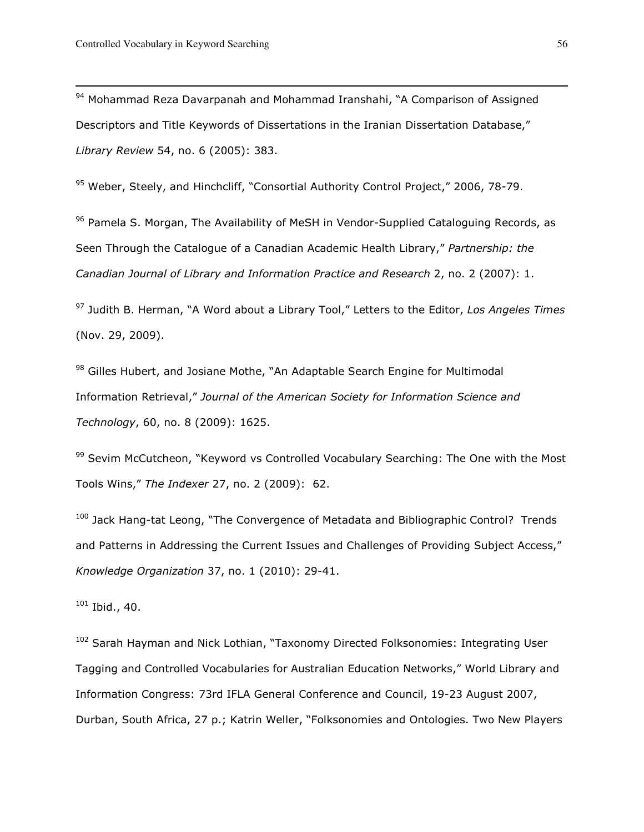94 Mohammad Reza Davarpanah and Mohammad Iranshahi, "A Comparison of Assigned Descriptors and Title Keywords of Dissertations in the Iranian Dissertation Database," Library Review 54, no. 6 (2005): 383.

95 Weber, Steely, and Hinchcliff, "Consortial Authority Control Project," 2006, 78-79.

96 Pamela S. Morgan, The Availability of MeSH in Vendor-Supplied Cataloguing Records, as Seen Through the Catalogue of a Canadian Academic Health Library," Partnership: the Canadian Journal of Library and Information Practice and Research 2, no. 2 (2007): 1.

 $97$  Judith B. Herman, "A Word about a Library Tool," Letters to the Editor, Los Angeles Times (Nov. 29, 2009).

98 Gilles Hubert, and Josiane Mothe, "An Adaptable Search Engine for Multimodal Information Retrieval," Journal of the American Society for Information Science and Technology, 60, no. 8 (2009): 1625.

<sup>99</sup> Sevim McCutcheon, "Keyword vs Controlled Vocabulary Searching: The One with the Most Tools Wins," The Indexer 27, no. 2 (2009): 62.

<sup>100</sup> Jack Hang-tat Leong, "The Convergence of Metadata and Bibliographic Control? Trends and Patterns in Addressing the Current Issues and Challenges of Providing Subject Access," Knowledge Organization 37, no. 1 (2010): 29-41.

 $101$  Ibid., 40.

<sup>102</sup> Sarah Hayman and Nick Lothian, "Taxonomy Directed Folksonomies: Integrating User Tagging and Controlled Vocabularies for Australian Education Networks," World Library and Information Congress: 73rd IFLA General Conference and Council, 19-23 August 2007, Durban, South Africa, 27 p.; Katrin Weller, "Folksonomies and Ontologies. Two New Players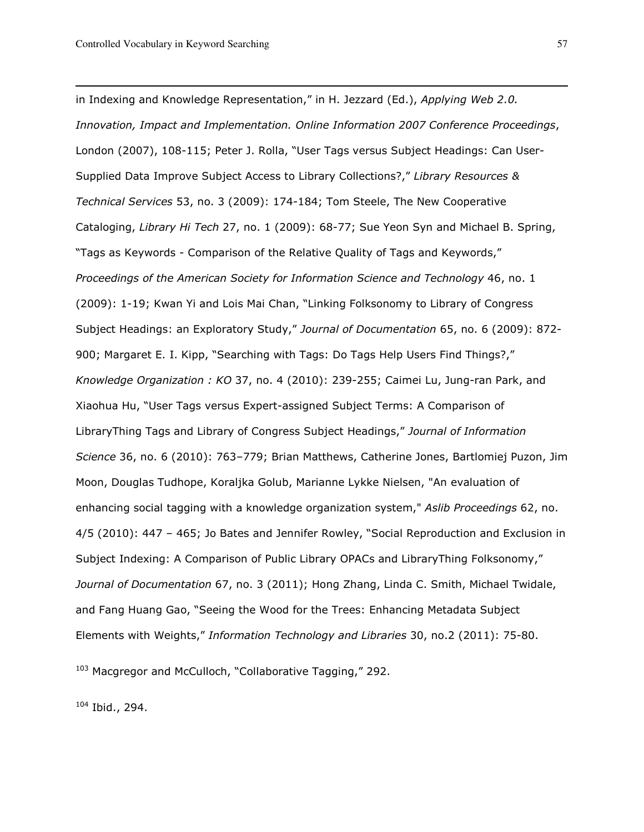in Indexing and Knowledge Representation," in H. Jezzard (Ed.), Applying Web 2.0. Innovation, Impact and Implementation. Online Information 2007 Conference Proceedings, London (2007), 108-115; Peter J. Rolla, "User Tags versus Subject Headings: Can User-Supplied Data Improve Subject Access to Library Collections?," Library Resources & Technical Services 53, no. 3 (2009): 174-184; Tom Steele, The New Cooperative Cataloging, Library Hi Tech 27, no. 1 (2009): 68-77; Sue Yeon Syn and Michael B. Spring, "Tags as Keywords - Comparison of the Relative Quality of Tags and Keywords," Proceedings of the American Society for Information Science and Technology 46, no. 1 (2009): 1-19; Kwan Yi and Lois Mai Chan, "Linking Folksonomy to Library of Congress Subject Headings: an Exploratory Study," Journal of Documentation 65, no. 6 (2009): 872- 900; Margaret E. I. Kipp, "Searching with Tags: Do Tags Help Users Find Things?," Knowledge Organization : KO 37, no. 4 (2010): 239-255; Caimei Lu, Jung-ran Park, and Xiaohua Hu, "User Tags versus Expert-assigned Subject Terms: A Comparison of LibraryThing Tags and Library of Congress Subject Headings," Journal of Information Science 36, no. 6 (2010): 763–779; Brian Matthews, Catherine Jones, Bartlomiej Puzon, Jim Moon, Douglas Tudhope, Koraljka Golub, Marianne Lykke Nielsen, "An evaluation of enhancing social tagging with a knowledge organization system," Aslib Proceedings 62, no. 4/5 (2010): 447 – 465; Jo Bates and Jennifer Rowley, "Social Reproduction and Exclusion in Subject Indexing: A Comparison of Public Library OPACs and LibraryThing Folksonomy," Journal of Documentation 67, no. 3 (2011); Hong Zhang, Linda C. Smith, Michael Twidale, and Fang Huang Gao, "Seeing the Wood for the Trees: Enhancing Metadata Subject Elements with Weights," Information Technology and Libraries 30, no.2 (2011): 75-80.

<sup>103</sup> Macgregor and McCulloch, "Collaborative Tagging," 292.

<sup>104</sup> Ibid., 294.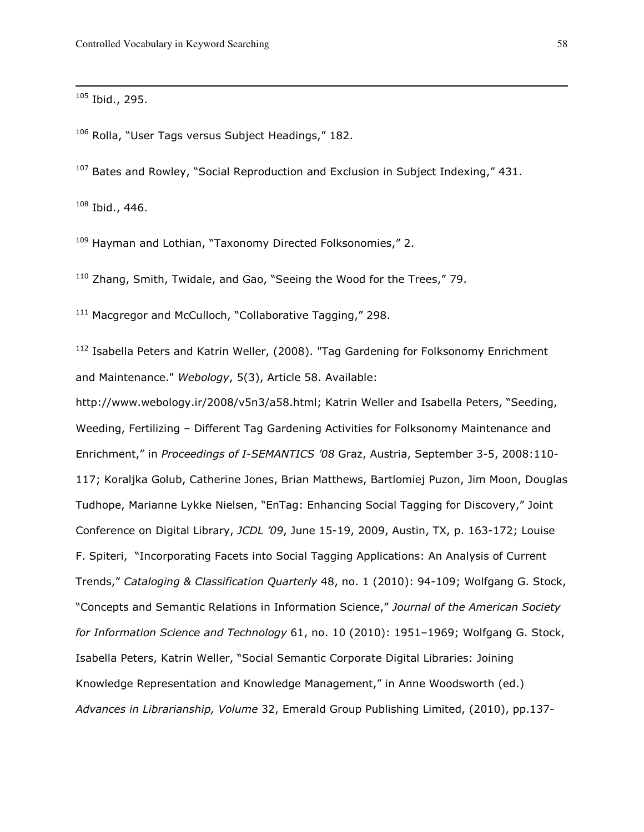<sup>105</sup> Ibid., 295.

 $\overline{a}$ 

<sup>106</sup> Rolla, "User Tags versus Subject Headings," 182.

 $107$  Bates and Rowley, "Social Reproduction and Exclusion in Subject Indexing," 431.

 $108$  Ibid., 446.

<sup>109</sup> Hayman and Lothian, "Taxonomy Directed Folksonomies," 2.

<sup>110</sup> Zhang, Smith, Twidale, and Gao, "Seeing the Wood for the Trees," 79.

<sup>111</sup> Macgregor and McCulloch, "Collaborative Tagging," 298.

 $112$  Isabella Peters and Katrin Weller, (2008). "Tag Gardening for Folksonomy Enrichment and Maintenance." Webology, 5(3), Article 58. Available:

http://www.webology.ir/2008/v5n3/a58.html; Katrin Weller and Isabella Peters, "Seeding, Weeding, Fertilizing – Different Tag Gardening Activities for Folksonomy Maintenance and Enrichment," in Proceedings of I-SEMANTICS '08 Graz, Austria, September 3-5, 2008:110- 117; Koraljka Golub, Catherine Jones, Brian Matthews, Bartlomiej Puzon, Jim Moon, Douglas Tudhope, Marianne Lykke Nielsen, "EnTag: Enhancing Social Tagging for Discovery," Joint Conference on Digital Library, JCDL '09, June 15-19, 2009, Austin, TX, p. 163-172; Louise F. Spiteri, "Incorporating Facets into Social Tagging Applications: An Analysis of Current Trends," Cataloging & Classification Quarterly 48, no. 1 (2010): 94-109; Wolfgang G. Stock, "Concepts and Semantic Relations in Information Science," Journal of the American Society for Information Science and Technology 61, no. 10 (2010): 1951–1969; Wolfgang G. Stock, Isabella Peters, Katrin Weller, "Social Semantic Corporate Digital Libraries: Joining Knowledge Representation and Knowledge Management," in Anne Woodsworth (ed.) Advances in Librarianship, Volume 32, Emerald Group Publishing Limited, (2010), pp.137-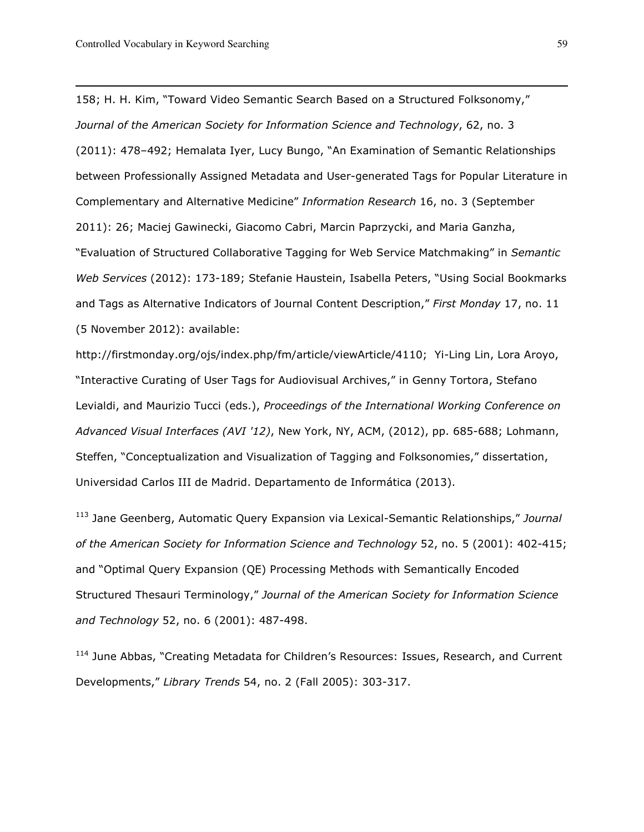158; H. H. Kim, "Toward Video Semantic Search Based on a Structured Folksonomy," Journal of the American Society for Information Science and Technology, 62, no. 3 (2011): 478–492; Hemalata Iyer, Lucy Bungo, "An Examination of Semantic Relationships between Professionally Assigned Metadata and User-generated Tags for Popular Literature in Complementary and Alternative Medicine" Information Research 16, no. 3 (September 2011): 26; Maciej Gawinecki, Giacomo Cabri, Marcin Paprzycki, and Maria Ganzha, "Evaluation of Structured Collaborative Tagging for Web Service Matchmaking" in Semantic Web Services (2012): 173-189; Stefanie Haustein, Isabella Peters, "Using Social Bookmarks and Tags as Alternative Indicators of Journal Content Description," First Monday 17, no. 11 (5 November 2012): available:

http://firstmonday.org/ojs/index.php/fm/article/viewArticle/4110; Yi-Ling Lin, Lora Aroyo, "Interactive Curating of User Tags for Audiovisual Archives," in Genny Tortora, Stefano Levialdi, and Maurizio Tucci (eds.), Proceedings of the International Working Conference on Advanced Visual Interfaces (AVI '12), New York, NY, ACM, (2012), pp. 685-688; Lohmann, Steffen, "Conceptualization and Visualization of Tagging and Folksonomies," dissertation, Universidad Carlos III de Madrid. Departamento de Informática (2013).

<sup>113</sup> Jane Geenberg, Automatic Query Expansion via Lexical-Semantic Relationships," Journal of the American Society for Information Science and Technology 52, no. 5 (2001): 402-415; and "Optimal Query Expansion (QE) Processing Methods with Semantically Encoded Structured Thesauri Terminology," Journal of the American Society for Information Science and Technology 52, no. 6 (2001): 487-498.

<sup>114</sup> June Abbas, "Creating Metadata for Children's Resources: Issues, Research, and Current Developments," Library Trends 54, no. 2 (Fall 2005): 303-317.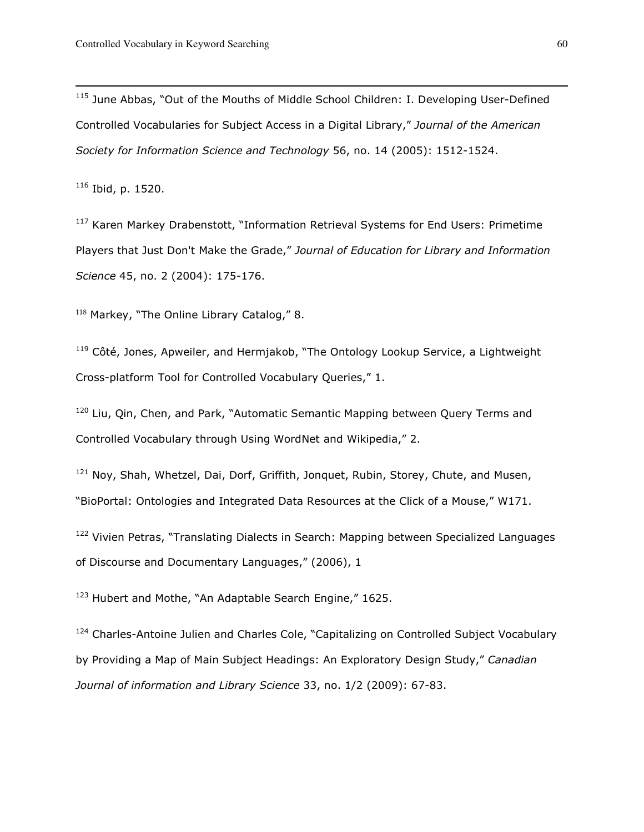<sup>115</sup> June Abbas, "Out of the Mouths of Middle School Children: I. Developing User-Defined Controlled Vocabularies for Subject Access in a Digital Library," Journal of the American Society for Information Science and Technology 56, no. 14 (2005): 1512-1524.

<sup>116</sup> Ibid, p. 1520.

 $\overline{a}$ 

<sup>117</sup> Karen Markey Drabenstott, "Information Retrieval Systems for End Users: Primetime Players that Just Don't Make the Grade," Journal of Education for Library and Information Science 45, no. 2 (2004): 175-176.

118 Markey, "The Online Library Catalog," 8.

 $119$  Côté, Jones, Apweiler, and Hermjakob, "The Ontology Lookup Service, a Lightweight Cross-platform Tool for Controlled Vocabulary Queries," 1.

 $120$  Liu, Qin, Chen, and Park, "Automatic Semantic Mapping between Query Terms and Controlled Vocabulary through Using WordNet and Wikipedia," 2.

<sup>121</sup> Noy, Shah, Whetzel, Dai, Dorf, Griffith, Jonquet, Rubin, Storey, Chute, and Musen, "BioPortal: Ontologies and Integrated Data Resources at the Click of a Mouse," W171.

<sup>122</sup> Vivien Petras, "Translating Dialects in Search: Mapping between Specialized Languages of Discourse and Documentary Languages," (2006), 1

<sup>123</sup> Hubert and Mothe, "An Adaptable Search Engine," 1625.

<sup>124</sup> Charles-Antoine Julien and Charles Cole, "Capitalizing on Controlled Subject Vocabulary by Providing a Map of Main Subject Headings: An Exploratory Design Study," Canadian Journal of information and Library Science 33, no. 1/2 (2009): 67-83.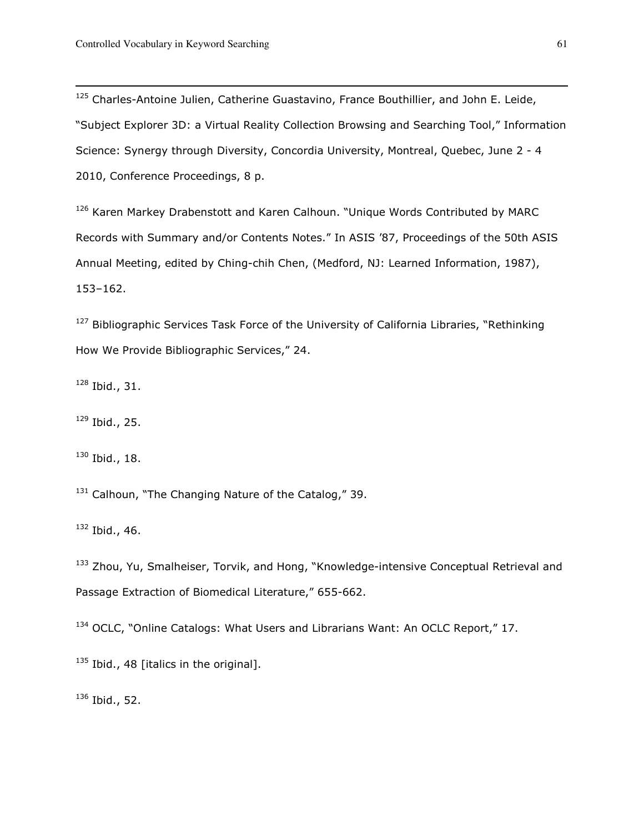<sup>125</sup> Charles-Antoine Julien, Catherine Guastavino, France Bouthillier, and John E. Leide, "Subject Explorer 3D: a Virtual Reality Collection Browsing and Searching Tool," Information Science: Synergy through Diversity, Concordia University, Montreal, Quebec, June 2 - 4 2010, Conference Proceedings, 8 p.

<sup>126</sup> Karen Markey Drabenstott and Karen Calhoun. "Unique Words Contributed by MARC Records with Summary and/or Contents Notes." In ASIS '87, Proceedings of the 50th ASIS Annual Meeting, edited by Ching-chih Chen, (Medford, NJ: Learned Information, 1987), 153–162.

<sup>127</sup> Bibliographic Services Task Force of the University of California Libraries, "Rethinking How We Provide Bibliographic Services," 24.

 $128$  Ibid., 31.

 $\overline{a}$ 

 $129$  Ibid., 25.

<sup>130</sup> Ibid., 18.

 $131$  Calhoun, "The Changing Nature of the Catalog," 39.

 $132$  Ibid., 46.

<sup>133</sup> Zhou, Yu, Smalheiser, Torvik, and Hong, "Knowledge-intensive Conceptual Retrieval and Passage Extraction of Biomedical Literature," 655-662.

<sup>134</sup> OCLC, "Online Catalogs: What Users and Librarians Want: An OCLC Report," 17.

 $135$  Ibid., 48 [italics in the original].

 $136$  Ibid., 52.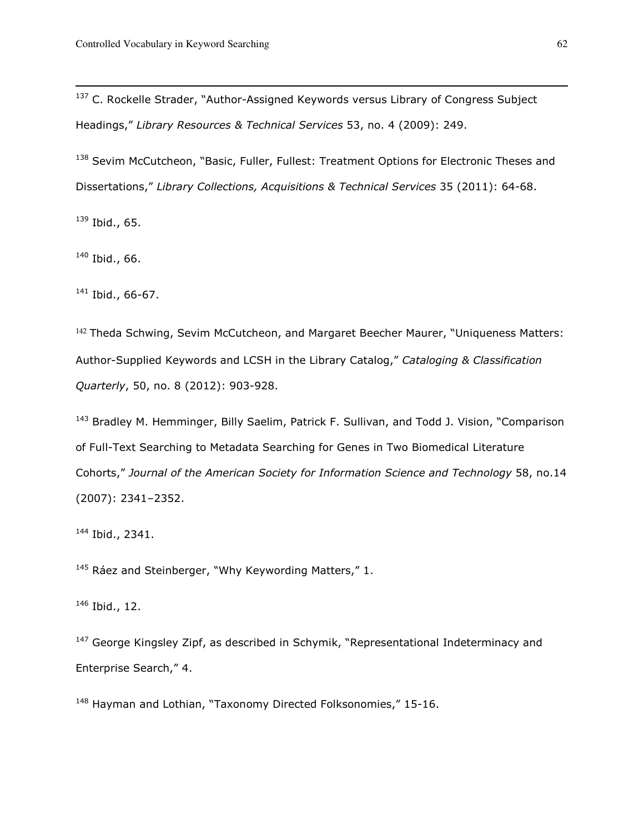<sup>137</sup> C. Rockelle Strader, "Author-Assigned Keywords versus Library of Congress Subject Headings," Library Resources & Technical Services 53, no. 4 (2009): 249.

<sup>138</sup> Sevim McCutcheon, "Basic, Fuller, Fullest: Treatment Options for Electronic Theses and Dissertations," Library Collections, Acquisitions & Technical Services 35 (2011): 64-68.

 $139$  Ibid., 65.

 $\overline{a}$ 

 $140$  Ibid., 66.

<sup>141</sup> Ibid., 66-67.

<sup>142</sup> Theda Schwing, Sevim McCutcheon, and Margaret Beecher Maurer, "Uniqueness Matters: Author-Supplied Keywords and LCSH in the Library Catalog," Cataloging & Classification Quarterly, 50, no. 8 (2012): 903-928.

<sup>143</sup> Bradlev M. Hemminger, Billy Saelim, Patrick F. Sullivan, and Todd J. Vision, "Comparison of Full-Text Searching to Metadata Searching for Genes in Two Biomedical Literature Cohorts," Journal of the American Society for Information Science and Technology 58, no.14 (2007): 2341–2352.

<sup>144</sup> Ibid., 2341.

 $145$  Ráez and Steinberger, "Why Keywording Matters," 1.

<sup>146</sup> Ibid., 12.

<sup>147</sup> George Kingsley Zipf, as described in Schymik, "Representational Indeterminacy and Enterprise Search," 4.

<sup>148</sup> Hayman and Lothian, "Taxonomy Directed Folksonomies," 15-16.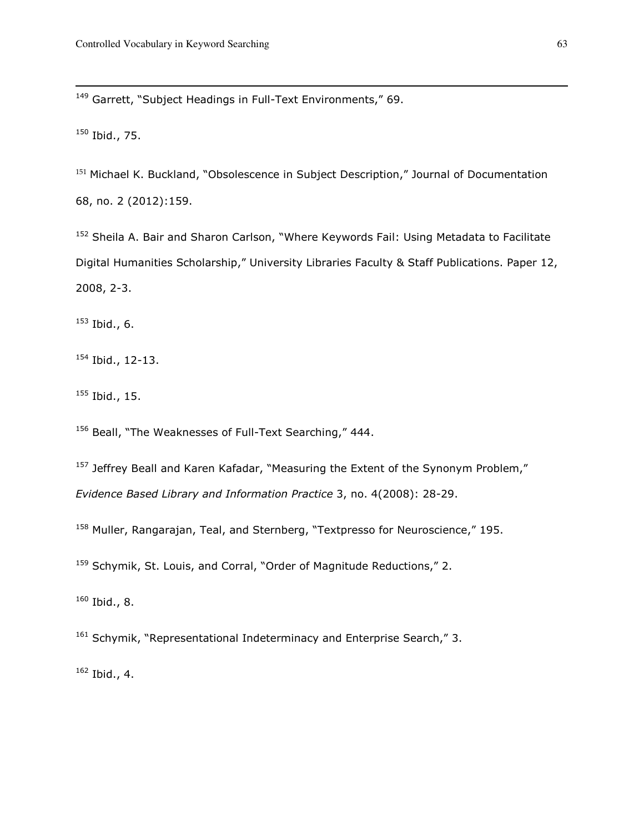<sup>149</sup> Garrett, "Subject Headings in Full-Text Environments." 69.

 $150$  Ibid., 75.

 $\overline{a}$ 

<sup>151</sup> Michael K. Buckland, "Obsolescence in Subject Description," Journal of Documentation 68, no. 2 (2012):159.

<sup>152</sup> Sheila A. Bair and Sharon Carlson, "Where Keywords Fail: Using Metadata to Facilitate Digital Humanities Scholarship," University Libraries Faculty & Staff Publications. Paper 12, 2008, 2-3.

 $153$  Ibid., 6.

<sup>154</sup> Ibid., 12-13.

 $155$  Ibid., 15.

<sup>156</sup> Beall, "The Weaknesses of Full-Text Searching," 444.

<sup>157</sup> Jeffrey Beall and Karen Kafadar, "Measuring the Extent of the Synonym Problem," Evidence Based Library and Information Practice 3, no. 4(2008): 28-29.

<sup>158</sup> Muller, Rangarajan, Teal, and Sternberg, "Textpresso for Neuroscience," 195.

<sup>159</sup> Schymik, St. Louis, and Corral, "Order of Magnitude Reductions," 2.

 $160$  Ibid., 8.

<sup>161</sup> Schymik, "Representational Indeterminacy and Enterprise Search," 3.

 $162$  Ibid., 4.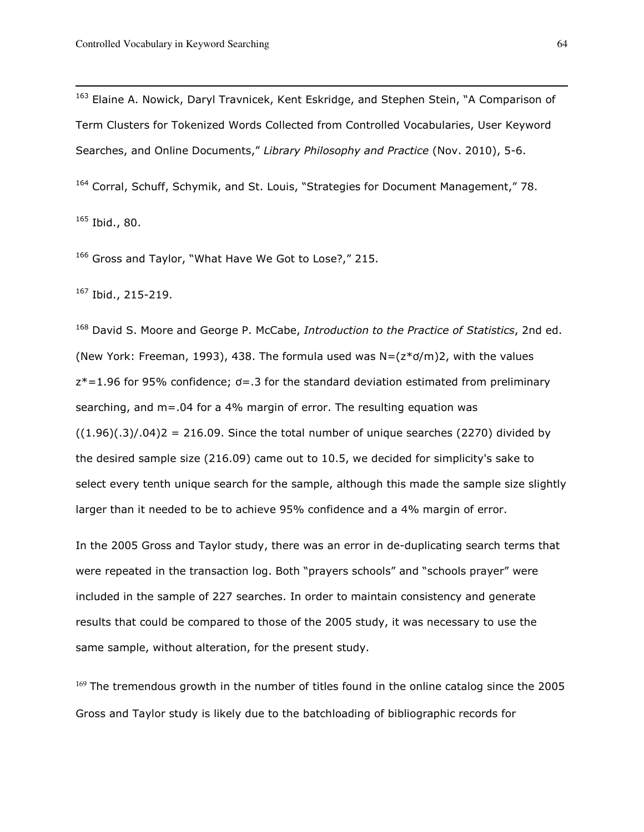<sup>163</sup> Elaine A. Nowick, Daryl Travnicek, Kent Eskridge, and Stephen Stein, "A Comparison of Term Clusters for Tokenized Words Collected from Controlled Vocabularies, User Keyword Searches, and Online Documents," Library Philosophy and Practice (Nov. 2010), 5-6.

<sup>164</sup> Corral, Schuff, Schymik, and St. Louis, "Strategies for Document Management," 78.  $165$  Ibid., 80.

166 Gross and Taylor, "What Have We Got to Lose?," 215.

<sup>167</sup> Ibid., 215-219.

 $\overline{a}$ 

<sup>168</sup> David S. Moore and George P. McCabe, Introduction to the Practice of Statistics, 2nd ed. (New York: Freeman, 1993), 438. The formula used was  $N = (z * o/m)2$ , with the values  $z^*=1.96$  for 95% confidence;  $\sigma = .3$  for the standard deviation estimated from preliminary searching, and m=.04 for a 4% margin of error. The resulting equation was  $((1.96)(.3)/.04)$ 2 = 216.09. Since the total number of unique searches (2270) divided by the desired sample size (216.09) came out to 10.5, we decided for simplicity's sake to select every tenth unique search for the sample, although this made the sample size slightly larger than it needed to be to achieve 95% confidence and a 4% margin of error.

In the 2005 Gross and Taylor study, there was an error in de-duplicating search terms that were repeated in the transaction log. Both "prayers schools" and "schools prayer" were included in the sample of 227 searches. In order to maintain consistency and generate results that could be compared to those of the 2005 study, it was necessary to use the same sample, without alteration, for the present study.

 $169$  The tremendous growth in the number of titles found in the online catalog since the 2005 Gross and Taylor study is likely due to the batchloading of bibliographic records for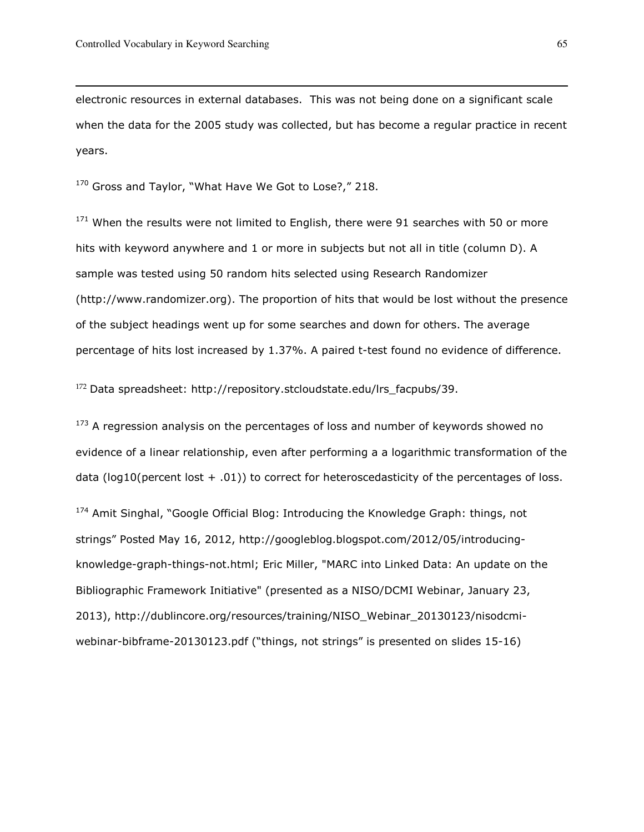electronic resources in external databases. This was not being done on a significant scale when the data for the 2005 study was collected, but has become a regular practice in recent years.

170 Gross and Taylor, "What Have We Got to Lose?," 218.

 $171$  When the results were not limited to English, there were 91 searches with 50 or more hits with keyword anywhere and 1 or more in subjects but not all in title (column D). A sample was tested using 50 random hits selected using Research Randomizer (http://www.randomizer.org). The proportion of hits that would be lost without the presence of the subject headings went up for some searches and down for others. The average percentage of hits lost increased by 1.37%. A paired t-test found no evidence of difference.

<sup>172</sup> Data spreadsheet: http://repository.stcloudstate.edu/lrs\_facpubs/39.

 $173$  A regression analysis on the percentages of loss and number of keywords showed no evidence of a linear relationship, even after performing a a logarithmic transformation of the data ( $log10$ (percent lost  $+$  .01)) to correct for heteroscedasticity of the percentages of loss.

174 Amit Singhal, "Google Official Blog: Introducing the Knowledge Graph: things, not strings" Posted May 16, 2012, http://googleblog.blogspot.com/2012/05/introducingknowledge-graph-things-not.html; Eric Miller, "MARC into Linked Data: An update on the Bibliographic Framework Initiative" (presented as a NISO/DCMI Webinar, January 23, 2013), http://dublincore.org/resources/training/NISO\_Webinar\_20130123/nisodcmiwebinar-bibframe-20130123.pdf ("things, not strings" is presented on slides 15-16)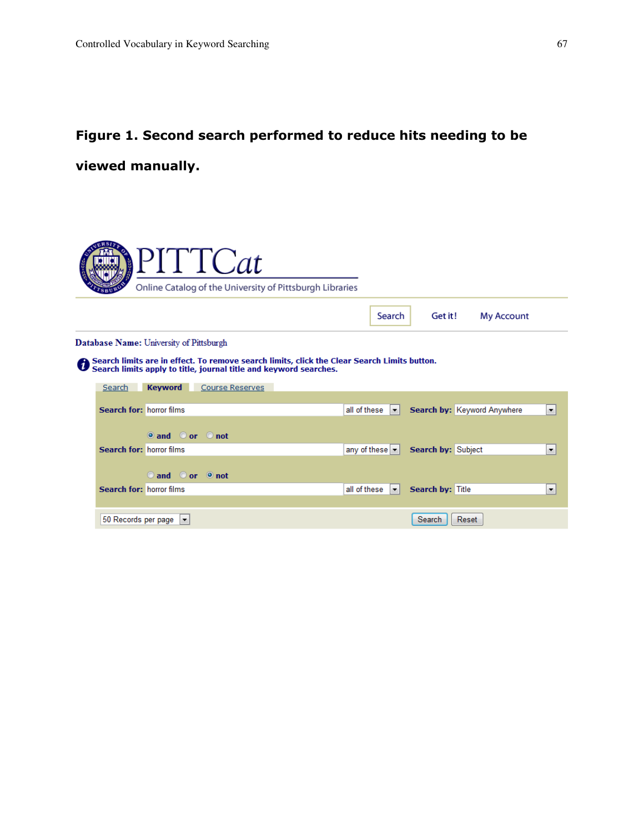## Figure 1. Second search performed to reduce hits needing to be viewed manually.

|                                                                                                                                                                      | PITTCat<br>Online Catalog of the University of Pittsburgh Libraries |                                           |  |                        |  |                                                     |                  |                             |                          |
|----------------------------------------------------------------------------------------------------------------------------------------------------------------------|---------------------------------------------------------------------|-------------------------------------------|--|------------------------|--|-----------------------------------------------------|------------------|-----------------------------|--------------------------|
|                                                                                                                                                                      |                                                                     |                                           |  |                        |  | Search                                              | Get it!          | <b>My Account</b>           |                          |
|                                                                                                                                                                      | Database Name: University of Pittsburgh                             |                                           |  |                        |  |                                                     |                  |                             |                          |
| ← Search limits are in effect. To remove search limits, click the Clear Search Limits button.<br>← Search limits apply to title, journal title and keyword searches. |                                                                     |                                           |  |                        |  |                                                     |                  |                             |                          |
|                                                                                                                                                                      | Search                                                              | <b>Keyword</b>                            |  | <b>Course Reserves</b> |  |                                                     |                  |                             |                          |
|                                                                                                                                                                      | Search for: horror films                                            |                                           |  |                        |  | all of these $\  \cdot \ $                          |                  | Search by: Keyword Anywhere | $\overline{\phantom{a}}$ |
|                                                                                                                                                                      |                                                                     | $\circ$ and $\circ$ or $\circ$ not        |  |                        |  |                                                     |                  |                             |                          |
|                                                                                                                                                                      | Search for: horror films                                            |                                           |  |                        |  | any of these $\vert \cdot \vert$ Search by: Subject |                  |                             | ۰                        |
|                                                                                                                                                                      |                                                                     | and or onot                               |  |                        |  |                                                     |                  |                             |                          |
|                                                                                                                                                                      | Search for: horror films                                            |                                           |  |                        |  | all of these $\  \cdot \ $                          | Search by: Title |                             | ۰                        |
|                                                                                                                                                                      |                                                                     | 50 Records per page $\vert \bullet \vert$ |  |                        |  |                                                     | Search           | Reset                       |                          |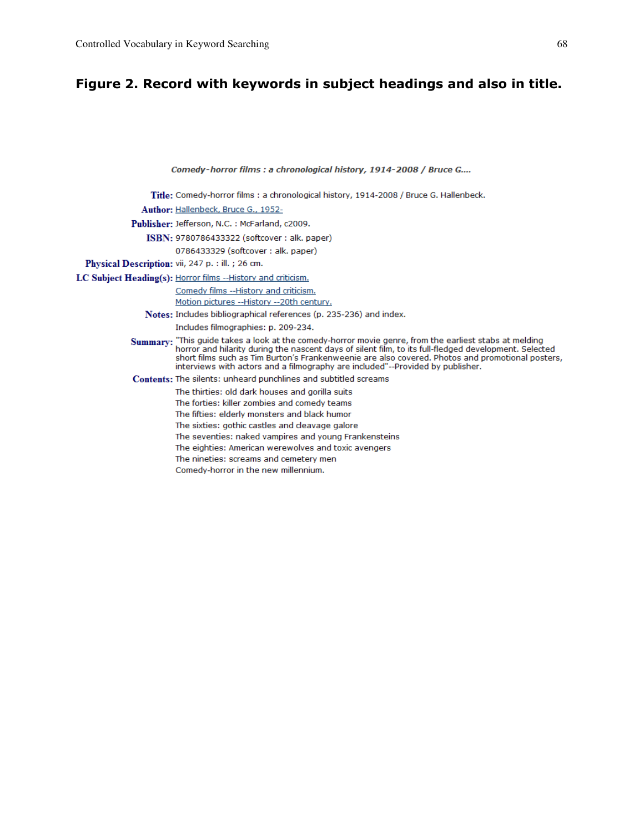## Figure 2. Record with keywords in subject headings and also in title.

Comedy-horror films : a chronological history, 1914-2008 / Bruce G.... Title: Comedy-horror films : a chronological history, 1914-2008 / Bruce G. Hallenbeck. Author: Hallenbeck, Bruce G., 1952-Publisher: Jefferson, N.C. : McFarland, c2009. ISBN: 9780786433322 (softcover: alk. paper) 0786433329 (softcover: alk. paper) Physical Description: vii, 247 p. : ill. ; 26 cm. LC Subject Heading(s): Horror films -- History and criticism. Comedy films -- History and criticism. Motion pictures --History --20th century. Notes: Includes bibliographical references (p. 235-236) and index. Includes filmographies: p. 209-234. Summary: "This guide takes a look at the comedy-horror movie genre, from the earliest stabs at melding horror and hilarity during the nascent days of silent film, to its full-fledged development. Selected short films such as Tim Burton's Frankenweenie are also covered. Photos and promotional posters, interviews with actors and a filmography are included"--Provided by publisher. Contents: The silents: unheard punchlines and subtitled screams The thirties: old dark houses and gorilla suits The forties: killer zombies and comedy teams The fifties: elderly monsters and black humor The sixties: gothic castles and cleavage galore The seventies: naked vampires and young Frankensteins The eighties: American werewolves and toxic avengers The nineties: screams and cemetery men Comedy-horror in the new millennium.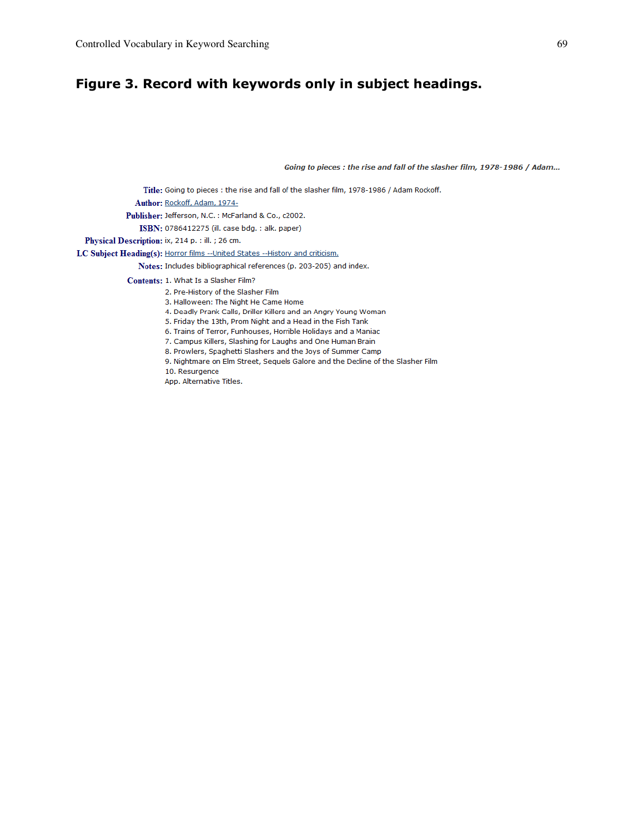## Figure 3. Record with keywords only in subject headings.

Going to pieces : the rise and fall of the slasher film, 1978-1986 / Adam...

Title: Going to pieces : the rise and fall of the slasher film, 1978-1986 / Adam Rockoff.

Author: Rockoff, Adam, 1974-

Publisher: Jefferson, N.C. : McFarland & Co., c2002.

ISBN: 0786412275 (ill. case bdg. : alk. paper)

Physical Description: ix, 214 p. : ill. ; 26 cm.

LC Subject Heading(s): Horror films -- United States -- History and criticism.

Notes: Includes bibliographical references (p. 203-205) and index.

Contents: 1. What Is a Slasher Film?

2. Pre-History of the Slasher Film

3. Halloween: The Night He Came Home

4. Deadly Prank Calls, Driller Killers and an Angry Young Woman

5. Friday the 13th, Prom Night and a Head in the Fish Tank

6. Trains of Terror, Funhouses, Horrible Holidays and a Maniac

7. Campus Killers, Slashing for Laughs and One Human Brain

8. Prowlers, Spaghetti Slashers and the Joys of Summer Camp

9. Nightmare on Elm Street, Sequels Galore and the Decline of the Slasher Film

10. Resurgence

App. Alternative Titles.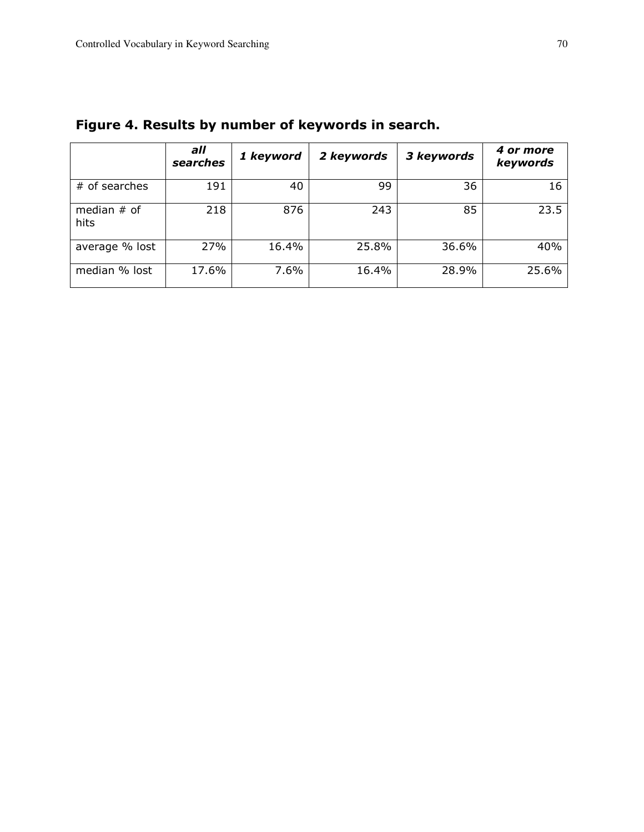|                       | all<br>searches | 1 keyword | 2 keywords | 3 keywords | 4 or more<br>keywords |
|-----------------------|-----------------|-----------|------------|------------|-----------------------|
| # of searches         | 191             | 40        | 99         | 36         | 16                    |
| median $#$ of<br>hits | 218             | 876       | 243        | 85         | 23.5                  |
| average % lost        | 27%             | 16.4%     | 25.8%      | 36.6%      | 40%                   |
| median % lost         | 17.6%           | 7.6%      | 16.4%      | 28.9%      | 25.6%                 |

Figure 4. Results by number of keywords in search.